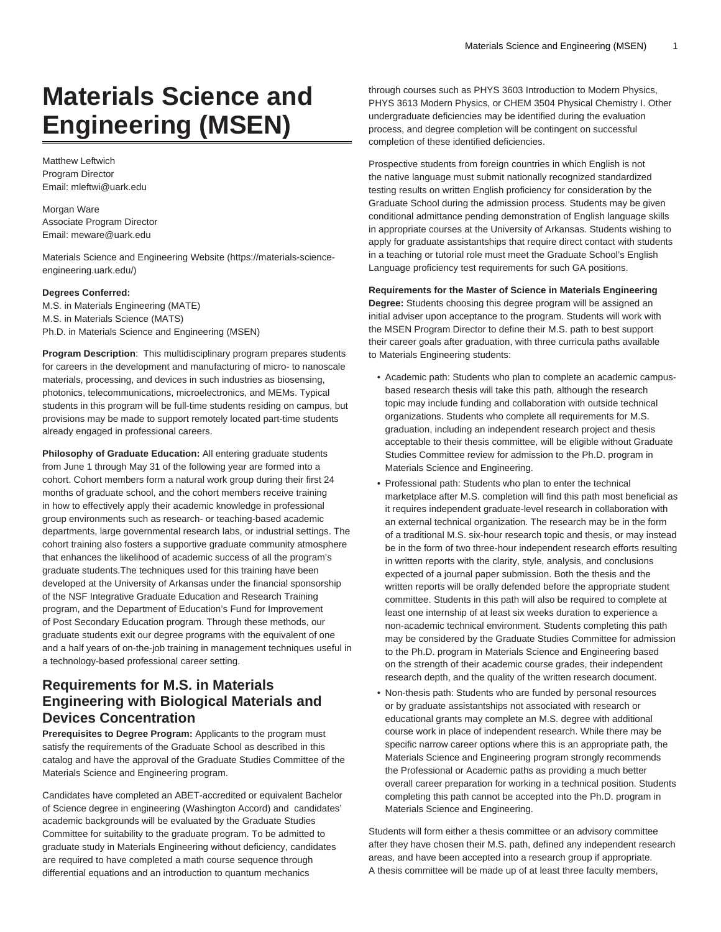# **Materials Science and Engineering (MSEN)**

Matthew Leftwich Program Director Email: [mleftwi@uark.edu](mailto:mleftwi@uark.edu)

Morgan Ware Associate Program Director Email: [meware@uark.edu](mailto:meware@uark.edu)

[Materials Science and Engineering Website](https://materials-science-engineering.uark.edu/) ([https://materials-science](https://materials-science-engineering.uark.edu/)[engineering.uark.edu/](https://materials-science-engineering.uark.edu/))

#### **Degrees Conferred:**

M.S. in Materials Engineering (MATE) M.S. in Materials Science (MATS) Ph.D. in Materials Science and Engineering (MSEN)

**Program Description**: This multidisciplinary program prepares students for careers in the development and manufacturing of micro- to nanoscale materials, processing, and devices in such industries as biosensing, photonics, telecommunications, microelectronics, and MEMs. Typical students in this program will be full-time students residing on campus, but provisions may be made to support remotely located part-time students already engaged in professional careers.

**Philosophy of Graduate Education:** All entering graduate students from June 1 through May 31 of the following year are formed into a cohort. Cohort members form a natural work group during their first 24 months of graduate school, and the cohort members receive training in how to effectively apply their academic knowledge in professional group environments such as research- or teaching-based academic departments, large governmental research labs, or industrial settings. The cohort training also fosters a supportive graduate community atmosphere that enhances the likelihood of academic success of all the program's graduate students.The techniques used for this training have been developed at the University of Arkansas under the financial sponsorship of the NSF Integrative Graduate Education and Research Training program, and the Department of Education's Fund for Improvement of Post Secondary Education program. Through these methods, our graduate students exit our degree programs with the equivalent of one and a half years of on-the-job training in management techniques useful in a technology-based professional career setting.

### **Requirements for M.S. in Materials Engineering with Biological Materials and Devices Concentration**

**Prerequisites to Degree Program:** Applicants to the program must satisfy the requirements of the Graduate School as described in this catalog and have the approval of the Graduate Studies Committee of the Materials Science and Engineering program.

Candidates have completed an ABET-accredited or equivalent Bachelor of Science degree in engineering (Washington Accord) and candidates' academic backgrounds will be evaluated by the Graduate Studies Committee for suitability to the graduate program. To be admitted to graduate study in Materials Engineering without deficiency, candidates are required to have completed a math course sequence through differential equations and an introduction to quantum mechanics

through courses such as PHYS 3603 Introduction to Modern Physics, PHYS 3613 Modern Physics, or CHEM 3504 Physical Chemistry I. Other undergraduate deficiencies may be identified during the evaluation process, and degree completion will be contingent on successful completion of these identified deficiencies.

Prospective students from foreign countries in which English is not the native language must submit nationally recognized standardized testing results on written English proficiency for consideration by the Graduate School during the admission process. Students may be given conditional admittance pending demonstration of English language skills in appropriate courses at the University of Arkansas. Students wishing to apply for graduate assistantships that require direct contact with students in a teaching or tutorial role must meet the Graduate School's English Language proficiency test requirements for such GA positions.

### **Requirements for the Master of Science in Materials Engineering**

**Degree:** Students choosing this degree program will be assigned an initial adviser upon acceptance to the program. Students will work with the MSEN Program Director to define their M.S. path to best support their career goals after graduation, with three curricula paths available to Materials Engineering students:

- Academic path: Students who plan to complete an academic campusbased research thesis will take this path, although the research topic may include funding and collaboration with outside technical organizations. Students who complete all requirements for M.S. graduation, including an independent research project and thesis acceptable to their thesis committee, will be eligible without Graduate Studies Committee review for admission to the Ph.D. program in Materials Science and Engineering.
- Professional path: Students who plan to enter the technical marketplace after M.S. completion will find this path most beneficial as it requires independent graduate-level research in collaboration with an external technical organization. The research may be in the form of a traditional M.S. six-hour research topic and thesis, or may instead be in the form of two three-hour independent research efforts resulting in written reports with the clarity, style, analysis, and conclusions expected of a journal paper submission. Both the thesis and the written reports will be orally defended before the appropriate student committee. Students in this path will also be required to complete at least one internship of at least six weeks duration to experience a non-academic technical environment. Students completing this path may be considered by the Graduate Studies Committee for admission to the Ph.D. program in Materials Science and Engineering based on the strength of their academic course grades, their independent research depth, and the quality of the written research document.
- Non-thesis path: Students who are funded by personal resources or by graduate assistantships not associated with research or educational grants may complete an M.S. degree with additional course work in place of independent research. While there may be specific narrow career options where this is an appropriate path, the Materials Science and Engineering program strongly recommends the Professional or Academic paths as providing a much better overall career preparation for working in a technical position. Students completing this path cannot be accepted into the Ph.D. program in Materials Science and Engineering.

Students will form either a thesis committee or an advisory committee after they have chosen their M.S. path, defined any independent research areas, and have been accepted into a research group if appropriate. A thesis committee will be made up of at least three faculty members,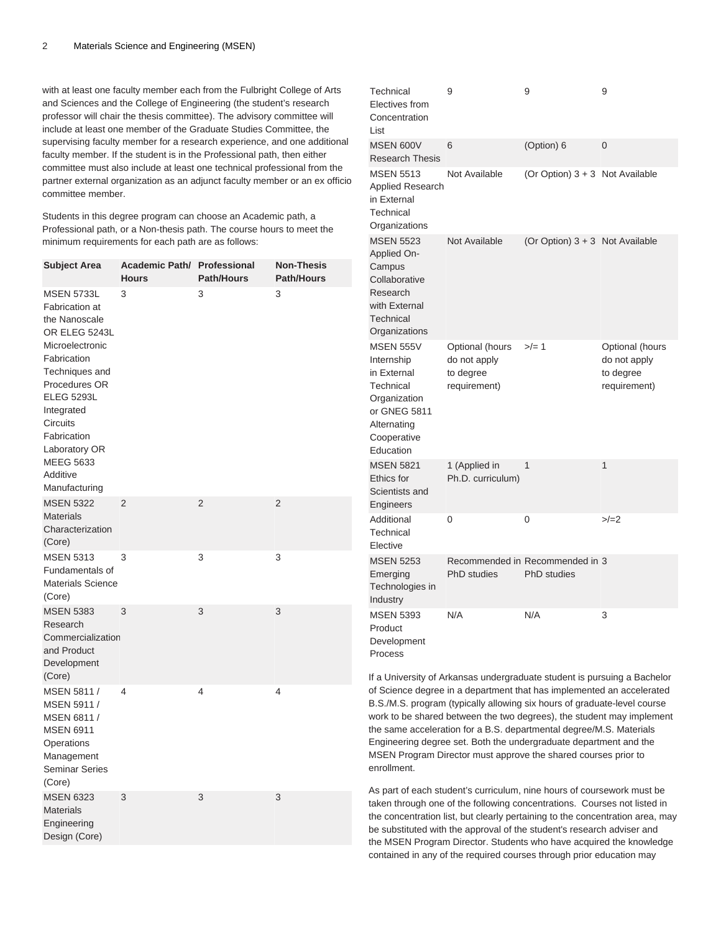with at least one faculty member each from the Fulbright College of Arts and Sciences and the College of Engineering (the student's research professor will chair the thesis committee). The advisory committee will include at least one member of the Graduate Studies Committee, the supervising faculty member for a research experience, and one additional faculty member. If the student is in the Professional path, then either committee must also include at least one technical professional from the partner external organization as an adjunct faculty member or an ex officio committee member.

Students in this degree program can choose an Academic path, a Professional path, or a Non-thesis path. The course hours to meet the minimum requirements for each path are as follows:

| <b>Subject Area</b>                                                                                                                                                                                                                                                                      | <b>Academic Path/ Professional</b><br><b>Hours</b> | <b>Path/Hours</b> | <b>Non-Thesis</b><br><b>Path/Hours</b> |
|------------------------------------------------------------------------------------------------------------------------------------------------------------------------------------------------------------------------------------------------------------------------------------------|----------------------------------------------------|-------------------|----------------------------------------|
| <b>MSEN 5733L</b><br><b>Fabrication at</b><br>the Nanoscale<br>OR ELEG 5243L<br>Microelectronic<br>Fabrication<br>Techniques and<br>Procedures OR<br><b>ELEG 5293L</b><br>Integrated<br><b>Circuits</b><br>Fabrication<br>Laboratory OR<br><b>MEEG 5633</b><br>Additive<br>Manufacturing | 3                                                  | 3                 | 3                                      |
| <b>MSEN 5322</b><br><b>Materials</b><br>Characterization<br>(Core)                                                                                                                                                                                                                       | 2                                                  | 2                 | 2                                      |
| <b>MSEN 5313</b><br>Fundamentals of<br><b>Materials Science</b><br>(Core)                                                                                                                                                                                                                | 3                                                  | 3                 | 3                                      |
| <b>MSEN 5383</b><br>Research<br>Commercialization<br>and Product<br>Development<br>(Core)                                                                                                                                                                                                | 3                                                  | 3                 | 3                                      |
| MSEN 5811 /<br>MSEN 5911 /<br>MSEN 6811 /<br><b>MSEN 6911</b><br>Operations<br>Management<br><b>Seminar Series</b><br>(Core)                                                                                                                                                             | 4                                                  | 4                 | 4                                      |
| <b>MSEN 6323</b><br><b>Materials</b><br>Engineering<br>Design (Core)                                                                                                                                                                                                                     | 3                                                  | 3                 | 3                                      |

| Technical<br>Electives from<br>Concentration<br>List                                                                                  | 9                                                            | 9                                                     | 9                                                            |
|---------------------------------------------------------------------------------------------------------------------------------------|--------------------------------------------------------------|-------------------------------------------------------|--------------------------------------------------------------|
| <b>MSEN 600V</b><br><b>Research Thesis</b>                                                                                            | 6                                                            | (Option) 6                                            | 0                                                            |
| <b>MSEN 5513</b><br><b>Applied Research</b><br>in External<br>Technical<br>Organizations                                              | Not Available                                                | (Or Option) 3 + 3 Not Available                       |                                                              |
| <b>MSEN 5523</b><br>Applied On-<br>Campus<br>Collaborative<br>Research<br>with External<br>Technical<br>Organizations                 | Not Available                                                | (Or Option) $3 + 3$ Not Available                     |                                                              |
| <b>MSEN 555V</b><br>Internship<br>in External<br>Technical<br>Organization<br>or GNEG 5811<br>Alternating<br>Cooperative<br>Education | Optional (hours<br>do not apply<br>to degree<br>requirement) | $>$ /= 1                                              | Optional (hours<br>do not apply<br>to degree<br>requirement) |
| <b>MSEN 5821</b><br>Ethics for<br>Scientists and<br>Engineers                                                                         | 1 (Applied in<br>Ph.D. curriculum)                           | 1                                                     | 1                                                            |
| Additional<br>Technical<br>Elective                                                                                                   | 0                                                            | 0                                                     | $>/-2$                                                       |
| <b>MSEN 5253</b><br>Emerging<br>Technologies in<br>Industry                                                                           | PhD studies                                                  | Recommended in Recommended in 3<br><b>PhD</b> studies |                                                              |
| <b>MSEN 5393</b><br>Product<br>Development<br>Process                                                                                 | N/A                                                          | N/A                                                   | 3                                                            |

If a University of Arkansas undergraduate student is pursuing a Bachelor of Science degree in a department that has implemented an accelerated B.S./M.S. program (typically allowing six hours of graduate-level course work to be shared between the two degrees), the student may implement the same acceleration for a B.S. departmental degree/M.S. Materials Engineering degree set. Both the undergraduate department and the MSEN Program Director must approve the shared courses prior to enrollment.

As part of each student's curriculum, nine hours of coursework must be taken through one of the following concentrations. Courses not listed in the concentration list, but clearly pertaining to the concentration area, may be substituted with the approval of the student's research adviser and the MSEN Program Director. Students who have acquired the knowledge contained in any of the required courses through prior education may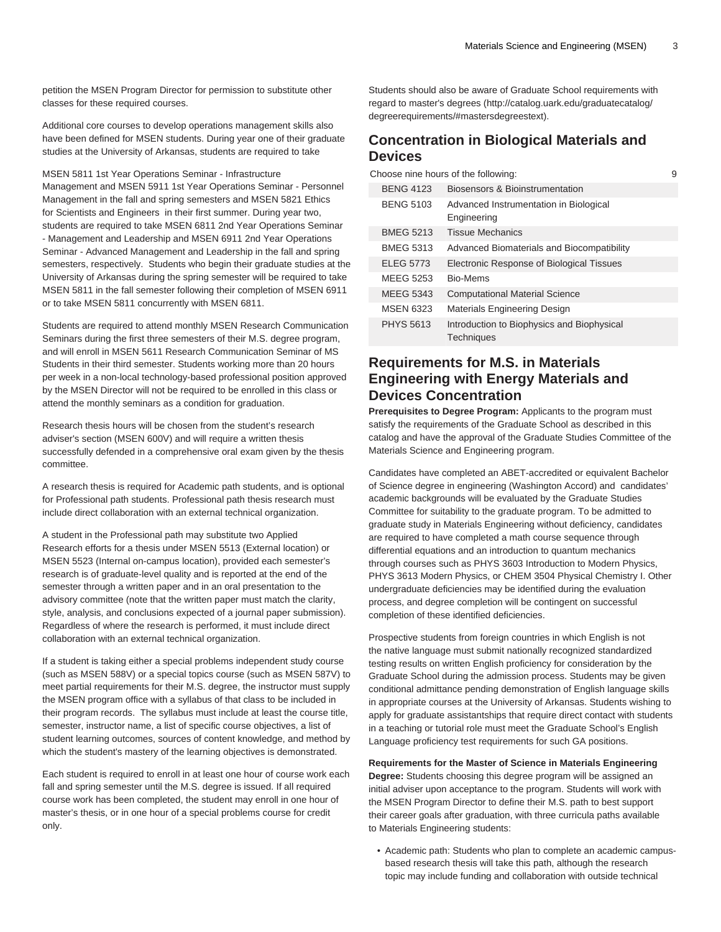petition the MSEN Program Director for permission to substitute other classes for these required courses.

Additional core courses to develop operations management skills also have been defined for MSEN students. During year one of their graduate studies at the University of Arkansas, students are required to take

MSEN 5811 1st Year Operations Seminar - Infrastructure Management and MSEN 5911 1st Year Operations Seminar - Personnel Management in the fall and spring semesters and MSEN 5821 Ethics for Scientists and Engineers in their first summer. During year two, students are required to take MSEN 6811 2nd Year Operations Seminar - Management and Leadership and MSEN 6911 2nd Year Operations Seminar - Advanced Management and Leadership in the fall and spring semesters, respectively. Students who begin their graduate studies at the University of Arkansas during the spring semester will be required to take MSEN 5811 in the fall semester following their completion of MSEN 6911 or to take MSEN 5811 concurrently with MSEN 6811.

Students are required to attend monthly MSEN Research Communication Seminars during the first three semesters of their M.S. degree program, and will enroll in MSEN 5611 Research Communication Seminar of MS Students in their third semester. Students working more than 20 hours per week in a non-local technology-based professional position approved by the MSEN Director will not be required to be enrolled in this class or attend the monthly seminars as a condition for graduation.

Research thesis hours will be chosen from the student's research adviser's section (MSEN 600V) and will require a written thesis successfully defended in a comprehensive oral exam given by the thesis committee.

A research thesis is required for Academic path students, and is optional for Professional path students. Professional path thesis research must include direct collaboration with an external technical organization.

A student in the Professional path may substitute two Applied Research efforts for a thesis under MSEN 5513 (External location) or MSEN 5523 (Internal on-campus location), provided each semester's research is of graduate-level quality and is reported at the end of the semester through a written paper and in an oral presentation to the advisory committee (note that the written paper must match the clarity, style, analysis, and conclusions expected of a journal paper submission). Regardless of where the research is performed, it must include direct collaboration with an external technical organization.

If a student is taking either a special problems independent study course (such as MSEN 588V) or a special topics course (such as MSEN 587V) to meet partial requirements for their M.S. degree, the instructor must supply the MSEN program office with a syllabus of that class to be included in their program records. The syllabus must include at least the course title, semester, instructor name, a list of specific course objectives, a list of student learning outcomes, sources of content knowledge, and method by which the student's mastery of the learning objectives is demonstrated.

Each student is required to enroll in at least one hour of course work each fall and spring semester until the M.S. degree is issued. If all required course work has been completed, the student may enroll in one hour of master's thesis, or in one hour of a special problems course for credit only.

Students should also be aware of Graduate School requirements with regard to [master's degrees \(http://catalog.uark.edu/graduatecatalog/](http://catalog.uark.edu/graduatecatalog/degreerequirements/#mastersdegreestext) [degreerequirements/#mastersdegreestext\)](http://catalog.uark.edu/graduatecatalog/degreerequirements/#mastersdegreestext).

### **Concentration in Biological Materials and Devices**

Choose nine hours of the following: 9

| <b>BFNG 4123</b> | Biosensors & Bioinstrumentation                          |
|------------------|----------------------------------------------------------|
| <b>BENG 5103</b> | Advanced Instrumentation in Biological<br>Engineering    |
| <b>BMEG 5213</b> | <b>Tissue Mechanics</b>                                  |
| <b>BMEG 5313</b> | Advanced Biomaterials and Biocompatibility               |
| <b>ELEG 5773</b> | Electronic Response of Biological Tissues                |
| MFFG 5253        | Bio-Mems                                                 |
| <b>MEEG 5343</b> | <b>Computational Material Science</b>                    |
| <b>MSFN 6323</b> | Materials Engineering Design                             |
| <b>PHYS 5613</b> | Introduction to Biophysics and Biophysical<br>Techniques |

### **Requirements for M.S. in Materials Engineering with Energy Materials and Devices Concentration**

**Prerequisites to Degree Program:** Applicants to the program must satisfy the requirements of the Graduate School as described in this catalog and have the approval of the Graduate Studies Committee of the Materials Science and Engineering program.

Candidates have completed an ABET-accredited or equivalent Bachelor of Science degree in engineering (Washington Accord) and candidates' academic backgrounds will be evaluated by the Graduate Studies Committee for suitability to the graduate program. To be admitted to graduate study in Materials Engineering without deficiency, candidates are required to have completed a math course sequence through differential equations and an introduction to quantum mechanics through courses such as PHYS 3603 Introduction to Modern Physics, PHYS 3613 Modern Physics, or CHEM 3504 Physical Chemistry I. Other undergraduate deficiencies may be identified during the evaluation process, and degree completion will be contingent on successful completion of these identified deficiencies.

Prospective students from foreign countries in which English is not the native language must submit nationally recognized standardized testing results on written English proficiency for consideration by the Graduate School during the admission process. Students may be given conditional admittance pending demonstration of English language skills in appropriate courses at the University of Arkansas. Students wishing to apply for graduate assistantships that require direct contact with students in a teaching or tutorial role must meet the Graduate School's English Language proficiency test requirements for such GA positions.

**Requirements for the Master of Science in Materials Engineering**

**Degree:** Students choosing this degree program will be assigned an initial adviser upon acceptance to the program. Students will work with the MSEN Program Director to define their M.S. path to best support their career goals after graduation, with three curricula paths available to Materials Engineering students:

• Academic path: Students who plan to complete an academic campusbased research thesis will take this path, although the research topic may include funding and collaboration with outside technical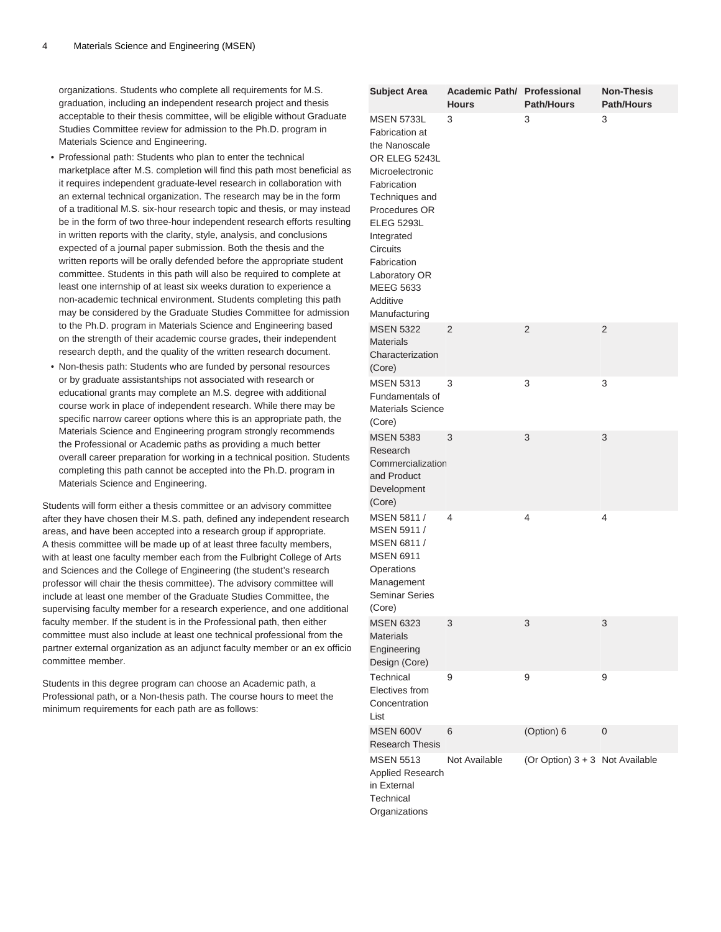organizations. Students who complete all requirements for M.S. graduation, including an independent research project and thesis acceptable to their thesis committee, will be eligible without Graduate Studies Committee review for admission to the Ph.D. program in Materials Science and Engineering.

- Professional path: Students who plan to enter the technical marketplace after M.S. completion will find this path most beneficial as it requires independent graduate-level research in collaboration with an external technical organization. The research may be in the form of a traditional M.S. six-hour research topic and thesis, or may instead be in the form of two three-hour independent research efforts resulting in written reports with the clarity, style, analysis, and conclusions expected of a journal paper submission. Both the thesis and the written reports will be orally defended before the appropriate student committee. Students in this path will also be required to complete at least one internship of at least six weeks duration to experience a non-academic technical environment. Students completing this path may be considered by the Graduate Studies Committee for admission to the Ph.D. program in Materials Science and Engineering based on the strength of their academic course grades, their independent research depth, and the quality of the written research document.
- Non-thesis path: Students who are funded by personal resources or by graduate assistantships not associated with research or educational grants may complete an M.S. degree with additional course work in place of independent research. While there may be specific narrow career options where this is an appropriate path, the Materials Science and Engineering program strongly recommends the Professional or Academic paths as providing a much better overall career preparation for working in a technical position. Students completing this path cannot be accepted into the Ph.D. program in Materials Science and Engineering.

Students will form either a thesis committee or an advisory committee after they have chosen their M.S. path, defined any independent research areas, and have been accepted into a research group if appropriate. A thesis committee will be made up of at least three faculty members, with at least one faculty member each from the Fulbright College of Arts and Sciences and the College of Engineering (the student's research professor will chair the thesis committee). The advisory committee will include at least one member of the Graduate Studies Committee, the supervising faculty member for a research experience, and one additional faculty member. If the student is in the Professional path, then either committee must also include at least one technical professional from the partner external organization as an adjunct faculty member or an ex officio committee member.

Students in this degree program can choose an Academic path, a Professional path, or a Non-thesis path. The course hours to meet the minimum requirements for each path are as follows:

| <b>Subject Area</b>                                                                                                                                                                                                                                                        | Academic Path/ Professional<br><b>Hours</b> | <b>Path/Hours</b>               | <b>Non-Thesis</b><br><b>Path/Hours</b> |
|----------------------------------------------------------------------------------------------------------------------------------------------------------------------------------------------------------------------------------------------------------------------------|---------------------------------------------|---------------------------------|----------------------------------------|
| <b>MSEN 5733L</b><br>Fabrication at<br>the Nanoscale<br>OR ELEG 5243L<br>Microelectronic<br>Fabrication<br>Techniques and<br>Procedures OR<br><b>ELEG 5293L</b><br>Integrated<br>Circuits<br>Fabrication<br>Laboratory OR<br><b>MEEG 5633</b><br>Additive<br>Manufacturing | 3                                           | 3                               | 3                                      |
| <b>MSEN 5322</b><br><b>Materials</b><br>Characterization<br>(Core)                                                                                                                                                                                                         | $\overline{2}$                              | 2                               | $\overline{2}$                         |
| <b>MSEN 5313</b><br>Fundamentals of<br><b>Materials Science</b><br>(Core)                                                                                                                                                                                                  | 3                                           | 3                               | 3                                      |
| <b>MSEN 5383</b><br>Research<br>Commercialization<br>and Product<br>Development<br>(Core)                                                                                                                                                                                  | 3                                           | 3                               | 3                                      |
| MSEN 5811 /<br>MSEN 5911 /<br>MSEN 6811 /<br><b>MSEN 6911</b><br>Operations<br>Management<br><b>Seminar Series</b><br>(Core)                                                                                                                                               | 4                                           | 4                               | 4                                      |
| <b>MSEN 6323</b><br><b>Materials</b><br>Engineering<br>Design (Core)                                                                                                                                                                                                       | 3                                           | 3                               | 3                                      |
| Technical<br>Electives from<br>Concentration<br>List                                                                                                                                                                                                                       | 9                                           | 9                               | 9                                      |
| <b>MSEN 600V</b><br><b>Research Thesis</b>                                                                                                                                                                                                                                 | 6                                           | (Option) 6                      | 0                                      |
| <b>MSEN 5513</b><br>Applied Research<br>in External<br>Technical<br>Organizations                                                                                                                                                                                          | Not Available                               | (Or Option) 3 + 3 Not Available |                                        |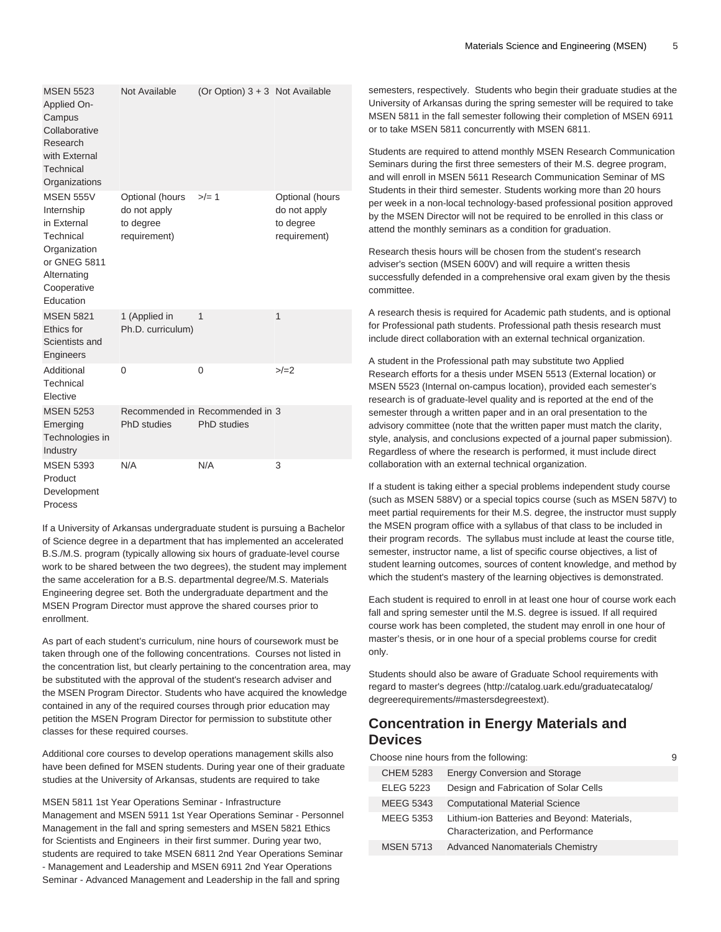| <b>MSEN 5523</b><br>Applied On-<br>Campus<br>Collaborative<br>Research<br>with External<br>Technical<br>Organizations                 | Not Available                                                | (Or Option) $3 + 3$ Not Available              |                                                              |
|---------------------------------------------------------------------------------------------------------------------------------------|--------------------------------------------------------------|------------------------------------------------|--------------------------------------------------------------|
| <b>MSEN 555V</b><br>Internship<br>in External<br>Technical<br>Organization<br>or GNEG 5811<br>Alternating<br>Cooperative<br>Education | Optional (hours<br>do not apply<br>to degree<br>requirement) | $>/- 1$                                        | Optional (hours<br>do not apply<br>to degree<br>requirement) |
| <b>MSEN 5821</b><br><b>Ethics for</b><br>Scientists and<br>Engineers                                                                  | 1 (Applied in<br>Ph.D. curriculum)                           | 1                                              | 1                                                            |
| Additional<br>Technical<br>Elective                                                                                                   | 0                                                            | $\Omega$                                       | $>/-2$                                                       |
| <b>MSEN 5253</b><br>Emerging<br>Technologies in<br>Industry                                                                           | PhD studies                                                  | Recommended in Recommended in 3<br>PhD studies |                                                              |
| <b>MSEN 5393</b><br>Product<br>Development<br>Process                                                                                 | N/A                                                          | N/A                                            | 3                                                            |

If a University of Arkansas undergraduate student is pursuing a Bachelor of Science degree in a department that has implemented an accelerated B.S./M.S. program (typically allowing six hours of graduate-level course work to be shared between the two degrees), the student may implement the same acceleration for a B.S. departmental degree/M.S. Materials Engineering degree set. Both the undergraduate department and the MSEN Program Director must approve the shared courses prior to enrollment.

As part of each student's curriculum, nine hours of coursework must be taken through one of the following concentrations. Courses not listed in the concentration list, but clearly pertaining to the concentration area, may be substituted with the approval of the student's research adviser and the MSEN Program Director. Students who have acquired the knowledge contained in any of the required courses through prior education may petition the MSEN Program Director for permission to substitute other classes for these required courses.

Additional core courses to develop operations management skills also have been defined for MSEN students. During year one of their graduate studies at the University of Arkansas, students are required to take

MSEN 5811 1st Year Operations Seminar - Infrastructure Management and MSEN 5911 1st Year Operations Seminar - Personnel Management in the fall and spring semesters and MSEN 5821 Ethics for Scientists and Engineers in their first summer. During year two, students are required to take MSEN 6811 2nd Year Operations Seminar - Management and Leadership and MSEN 6911 2nd Year Operations Seminar - Advanced Management and Leadership in the fall and spring

semesters, respectively. Students who begin their graduate studies at the University of Arkansas during the spring semester will be required to take MSEN 5811 in the fall semester following their completion of MSEN 6911 or to take MSEN 5811 concurrently with MSEN 6811.

Students are required to attend monthly MSEN Research Communication Seminars during the first three semesters of their M.S. degree program, and will enroll in MSEN 5611 Research Communication Seminar of MS Students in their third semester. Students working more than 20 hours per week in a non-local technology-based professional position approved by the MSEN Director will not be required to be enrolled in this class or attend the monthly seminars as a condition for graduation.

Research thesis hours will be chosen from the student's research adviser's section (MSEN 600V) and will require a written thesis successfully defended in a comprehensive oral exam given by the thesis committee.

A research thesis is required for Academic path students, and is optional for Professional path students. Professional path thesis research must include direct collaboration with an external technical organization.

A student in the Professional path may substitute two Applied Research efforts for a thesis under MSEN 5513 (External location) or MSEN 5523 (Internal on-campus location), provided each semester's research is of graduate-level quality and is reported at the end of the semester through a written paper and in an oral presentation to the advisory committee (note that the written paper must match the clarity, style, analysis, and conclusions expected of a journal paper submission). Regardless of where the research is performed, it must include direct collaboration with an external technical organization.

If a student is taking either a special problems independent study course (such as MSEN 588V) or a special topics course (such as MSEN 587V) to meet partial requirements for their M.S. degree, the instructor must supply the MSEN program office with a syllabus of that class to be included in their program records. The syllabus must include at least the course title, semester, instructor name, a list of specific course objectives, a list of student learning outcomes, sources of content knowledge, and method by which the student's mastery of the learning objectives is demonstrated.

Each student is required to enroll in at least one hour of course work each fall and spring semester until the M.S. degree is issued. If all required course work has been completed, the student may enroll in one hour of master's thesis, or in one hour of a special problems course for credit only.

Students should also be aware of Graduate School requirements with regard to [master's degrees \(http://catalog.uark.edu/graduatecatalog/](http://catalog.uark.edu/graduatecatalog/degreerequirements/#mastersdegreestext) [degreerequirements/#mastersdegreestext\)](http://catalog.uark.edu/graduatecatalog/degreerequirements/#mastersdegreestext).

# **Concentration in Energy Materials and Devices**

| Choose nine hours from the following: |                  |                                                                                   | 9 |
|---------------------------------------|------------------|-----------------------------------------------------------------------------------|---|
|                                       | <b>CHEM 5283</b> | <b>Energy Conversion and Storage</b>                                              |   |
|                                       | <b>ELEG 5223</b> | Design and Fabrication of Solar Cells                                             |   |
|                                       | <b>MEEG 5343</b> | <b>Computational Material Science</b>                                             |   |
|                                       | <b>MEEG 5353</b> | Lithium-ion Batteries and Beyond: Materials,<br>Characterization, and Performance |   |
|                                       | <b>MSEN 5713</b> | <b>Advanced Nanomaterials Chemistry</b>                                           |   |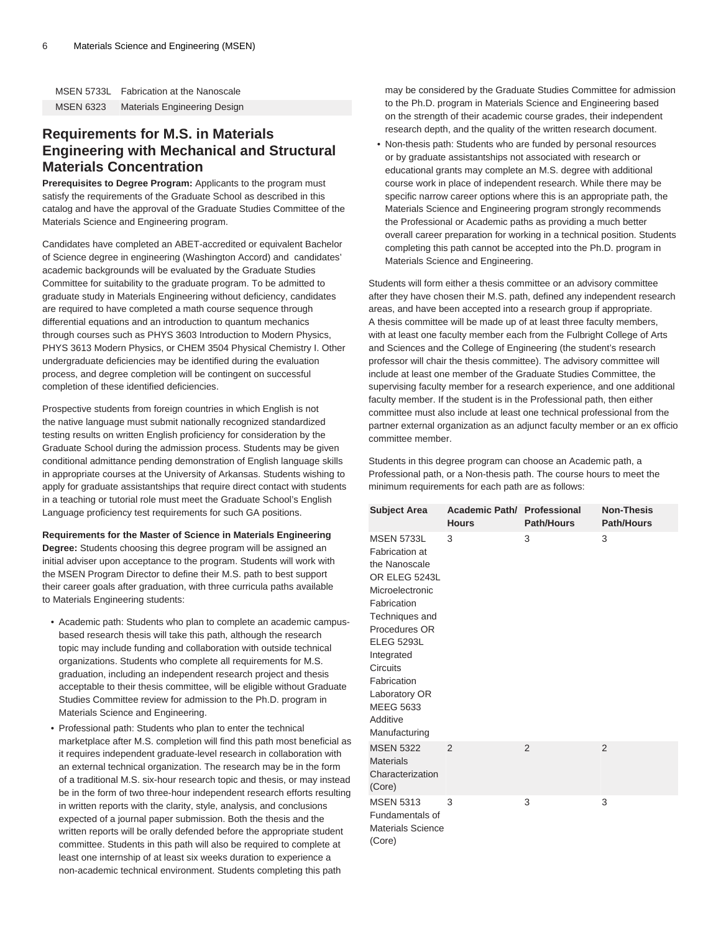| <b>MSEN 5733L</b> | <b>Fabrication at the Nanoscale</b> |
|-------------------|-------------------------------------|
| <b>MSEN 6323</b>  | <b>Materials Engineering Design</b> |

### **Requirements for M.S. in Materials Engineering with Mechanical and Structural Materials Concentration**

**Prerequisites to Degree Program:** Applicants to the program must satisfy the requirements of the Graduate School as described in this catalog and have the approval of the Graduate Studies Committee of the Materials Science and Engineering program.

Candidates have completed an ABET-accredited or equivalent Bachelor of Science degree in engineering (Washington Accord) and candidates' academic backgrounds will be evaluated by the Graduate Studies Committee for suitability to the graduate program. To be admitted to graduate study in Materials Engineering without deficiency, candidates are required to have completed a math course sequence through differential equations and an introduction to quantum mechanics through courses such as PHYS 3603 Introduction to Modern Physics, PHYS 3613 Modern Physics, or CHEM 3504 Physical Chemistry I. Other undergraduate deficiencies may be identified during the evaluation process, and degree completion will be contingent on successful completion of these identified deficiencies.

Prospective students from foreign countries in which English is not the native language must submit nationally recognized standardized testing results on written English proficiency for consideration by the Graduate School during the admission process. Students may be given conditional admittance pending demonstration of English language skills in appropriate courses at the University of Arkansas. Students wishing to apply for graduate assistantships that require direct contact with students in a teaching or tutorial role must meet the Graduate School's English Language proficiency test requirements for such GA positions.

#### **Requirements for the Master of Science in Materials Engineering**

**Degree:** Students choosing this degree program will be assigned an initial adviser upon acceptance to the program. Students will work with the MSEN Program Director to define their M.S. path to best support their career goals after graduation, with three curricula paths available to Materials Engineering students:

- Academic path: Students who plan to complete an academic campusbased research thesis will take this path, although the research topic may include funding and collaboration with outside technical organizations. Students who complete all requirements for M.S. graduation, including an independent research project and thesis acceptable to their thesis committee, will be eligible without Graduate Studies Committee review for admission to the Ph.D. program in Materials Science and Engineering.
- Professional path: Students who plan to enter the technical marketplace after M.S. completion will find this path most beneficial as it requires independent graduate-level research in collaboration with an external technical organization. The research may be in the form of a traditional M.S. six-hour research topic and thesis, or may instead be in the form of two three-hour independent research efforts resulting in written reports with the clarity, style, analysis, and conclusions expected of a journal paper submission. Both the thesis and the written reports will be orally defended before the appropriate student committee. Students in this path will also be required to complete at least one internship of at least six weeks duration to experience a non-academic technical environment. Students completing this path

may be considered by the Graduate Studies Committee for admission to the Ph.D. program in Materials Science and Engineering based on the strength of their academic course grades, their independent research depth, and the quality of the written research document.

• Non-thesis path: Students who are funded by personal resources or by graduate assistantships not associated with research or educational grants may complete an M.S. degree with additional course work in place of independent research. While there may be specific narrow career options where this is an appropriate path, the Materials Science and Engineering program strongly recommends the Professional or Academic paths as providing a much better overall career preparation for working in a technical position. Students completing this path cannot be accepted into the Ph.D. program in Materials Science and Engineering.

Students will form either a thesis committee or an advisory committee after they have chosen their M.S. path, defined any independent research areas, and have been accepted into a research group if appropriate. A thesis committee will be made up of at least three faculty members, with at least one faculty member each from the Fulbright College of Arts and Sciences and the College of Engineering (the student's research professor will chair the thesis committee). The advisory committee will include at least one member of the Graduate Studies Committee, the supervising faculty member for a research experience, and one additional faculty member. If the student is in the Professional path, then either committee must also include at least one technical professional from the partner external organization as an adjunct faculty member or an ex officio committee member.

Students in this degree program can choose an Academic path, a Professional path, or a Non-thesis path. The course hours to meet the minimum requirements for each path are as follows:

| <b>Subject Area</b>                                                                                                                                                                                                                                                               | Academic Path/ Professional<br><b>Hours</b> | <b>Path/Hours</b> | <b>Non-Thesis</b><br><b>Path/Hours</b> |
|-----------------------------------------------------------------------------------------------------------------------------------------------------------------------------------------------------------------------------------------------------------------------------------|---------------------------------------------|-------------------|----------------------------------------|
| <b>MSEN 5733L</b><br>Fabrication at<br>the Nanoscale<br>OR ELEG 5243L<br>Microelectronic<br>Fabrication<br>Techniques and<br>Procedures OR<br><b>ELEG 5293L</b><br>Integrated<br><b>Circuits</b><br>Fabrication<br>Laboratory OR<br><b>MEEG 5633</b><br>Additive<br>Manufacturing | 3                                           | 3                 | 3                                      |
| <b>MSEN 5322</b><br><b>Materials</b><br>Characterization<br>(Core)                                                                                                                                                                                                                | $\mathfrak{p}$                              | $\overline{2}$    | $\overline{2}$                         |
| <b>MSEN 5313</b><br>Fundamentals of<br><b>Materials Science</b><br>(Core)                                                                                                                                                                                                         | 3                                           | 3                 | 3                                      |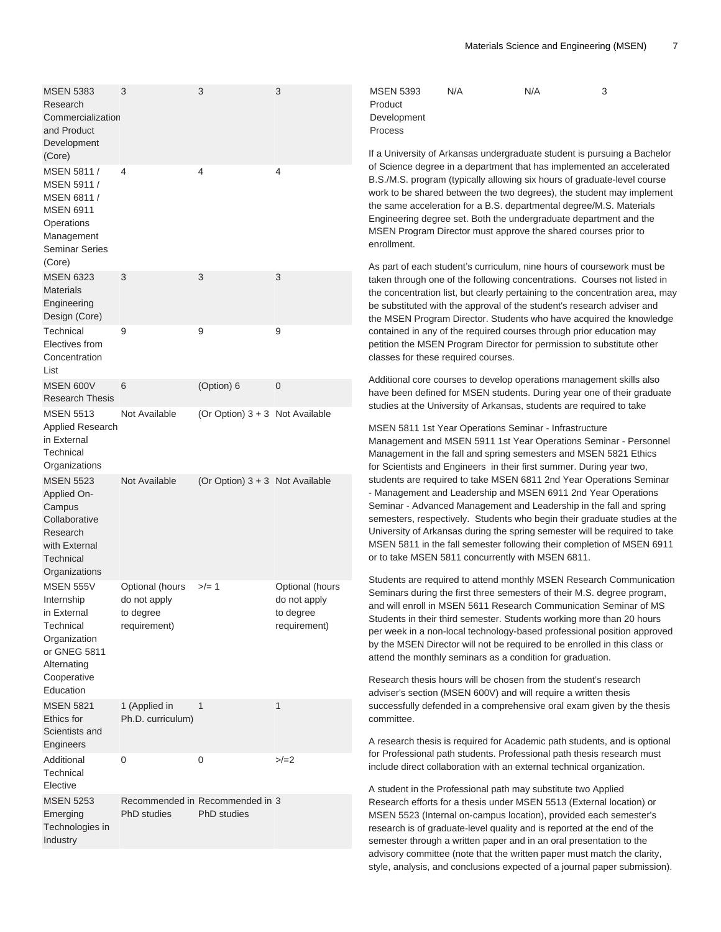| <b>MSEN 5383</b><br>Research<br>Commercialization<br>and Product<br>Development<br>(Core)                                  | 3                                                            | 3                                                     | 3                                                            | <b>MSEN 5393</b><br>N/A<br>Product<br>Development<br>Process<br>If a University of Arkansas und                                                                                                                                                                                                                                                                                                         |
|----------------------------------------------------------------------------------------------------------------------------|--------------------------------------------------------------|-------------------------------------------------------|--------------------------------------------------------------|---------------------------------------------------------------------------------------------------------------------------------------------------------------------------------------------------------------------------------------------------------------------------------------------------------------------------------------------------------------------------------------------------------|
| MSEN 5811 /<br>MSEN 5911 /<br>MSEN 6811 /<br><b>MSEN 6911</b><br>Operations<br>Management<br><b>Seminar Series</b>         | 4                                                            | 4                                                     | 4                                                            | of Science degree in a departn<br>B.S./M.S. program (typically all<br>work to be shared between the<br>the same acceleration for a B.<br>Engineering degree set. Both t<br>MSEN Program Director must<br>enrollment.                                                                                                                                                                                    |
| (Core)<br><b>MSEN 6323</b><br><b>Materials</b><br>Engineering<br>Design (Core)                                             | 3                                                            | 3                                                     | 3                                                            | As part of each student's curric<br>taken through one of the follow<br>the concentration list, but clear<br>be substituted with the approva<br>the MSEN Program Director. S                                                                                                                                                                                                                             |
| Technical<br>Electives from<br>Concentration<br>List                                                                       | 9                                                            | 9                                                     | 9                                                            | contained in any of the require<br>petition the MSEN Program Dir<br>classes for these required cour                                                                                                                                                                                                                                                                                                     |
| <b>MSEN 600V</b><br><b>Research Thesis</b>                                                                                 | 6                                                            | (Option) 6                                            | $\mathbf 0$                                                  | Additional core courses to deve<br>have been defined for MSEN s                                                                                                                                                                                                                                                                                                                                         |
| <b>MSEN 5513</b><br>Applied Research<br>in External<br>Technical<br>Organizations                                          | Not Available                                                | (Or Option) $3 + 3$ Not Available                     |                                                              | studies at the University of Ark<br>MSEN 5811 1st Year Operatio<br>Management and MSEN 5911<br>Management in the fall and spi<br>for Scientists and Engineers in<br>students are required to take M<br>- Management and Leadership<br>Seminar - Advanced Managem<br>semesters, respectively. Stude<br>University of Arkansas during t<br>MSEN 5811 in the fall semeste<br>or to take MSEN 5811 concurre |
| <b>MSEN 5523</b><br>Applied On-<br>Campus<br>Collaborative<br>Research<br>with External<br>Technical                       | Not Available                                                | (Or Option) $3 + 3$ Not Available                     |                                                              |                                                                                                                                                                                                                                                                                                                                                                                                         |
| Organizations<br><b>MSEN 555V</b><br>Internship<br>in External<br>Technical<br>Organization<br>or GNEG 5811<br>Alternating | Optional (hours<br>do not apply<br>to degree<br>requirement) | $>/- 1$                                               | Optional (hours<br>do not apply<br>to degree<br>requirement) | Students are required to attend<br>Seminars during the first three<br>and will enroll in MSEN 5611 R<br>Students in their third semeste<br>per week in a non-local techno<br>by the MSEN Director will not b<br>attend the monthly seminars as                                                                                                                                                          |
| Cooperative<br>Education<br><b>MSEN 5821</b>                                                                               | 1 (Applied in                                                | 1                                                     | 1                                                            | Research thesis hours will be o<br>adviser's section (MSEN 600V)<br>successfully defended in a con                                                                                                                                                                                                                                                                                                      |
| Ethics for<br>Scientists and<br>Engineers                                                                                  | Ph.D. curriculum)                                            |                                                       |                                                              | committee.<br>A research thesis is required fo                                                                                                                                                                                                                                                                                                                                                          |
| Additional<br>Technical                                                                                                    | 0                                                            | 0                                                     | $>/-2$                                                       | for Professional path students.<br>include direct collaboration with                                                                                                                                                                                                                                                                                                                                    |
| Elective<br><b>MSEN 5253</b><br>Emerging<br>Technologies in<br>Industry                                                    | <b>PhD</b> studies                                           | Recommended in Recommended in 3<br><b>PhD</b> studies |                                                              | A student in the Professional p<br>Research efforts for a thesis ur<br>MSEN 5523 (Internal on-camp<br>research is of graduate-level q<br>semester through a written pap                                                                                                                                                                                                                                 |

 $N/A$  3

lergraduate student is pursuing a Bachelor nent that has implemented an accelerated lowing six hours of graduate-level course two degrees), the student may implement S. departmental degree/M.S. Materials he undergraduate department and the approve the shared courses prior to

culum, nine hours of coursework must be ing concentrations. Courses not listed in ty pertaining to the concentration area, may al of the student's research adviser and itudents who have acquired the knowledge d courses through prior education may rector for permission to substitute other ses.

elop operations management skills also students. During year one of their graduate ansas, students are required to take

ns Seminar - Infrastructure 1st Year Operations Seminar - Personnel ring semesters and MSEN 5821 Ethics n their first summer. During year two, **ISEN 6811 2nd Year Operations Seminar** and MSEN 6911 2nd Year Operations nent and Leadership in the fall and spring ents who begin their graduate studies at the the spring semester will be required to take er following their completion of MSEN 6911 ently with MSEN 6811.

d monthly MSEN Research Communication semesters of their M.S. degree program, Research Communication Seminar of MS r. Students working more than 20 hours logy-based professional position approved be required to be enrolled in this class or s a condition for graduation.

chosen from the student's research ) and will require a written thesis nprehensive oral exam given by the thesis

or Academic path students, and is optional Professional path thesis research must h an external technical organization.

ath may substitute two Applied nder MSEN 5513 (External location) or us location), provided each semester's uality and is reported at the end of the ber and in an oral presentation to the advisory committee (note that the written paper must match the clarity, style, analysis, and conclusions expected of a journal paper submission).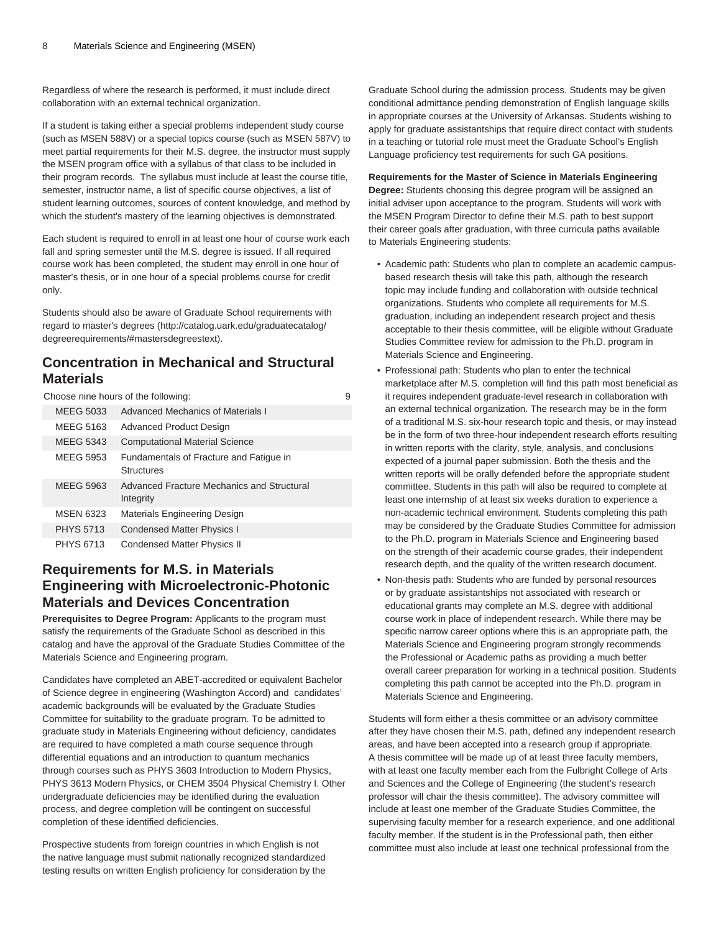Regardless of where the research is performed, it must include direct collaboration with an external technical organization.

If a student is taking either a special problems independent study course (such as MSEN 588V) or a special topics course (such as MSEN 587V) to meet partial requirements for their M.S. degree, the instructor must supply the MSEN program office with a syllabus of that class to be included in their program records. The syllabus must include at least the course title, semester, instructor name, a list of specific course objectives, a list of student learning outcomes, sources of content knowledge, and method by which the student's mastery of the learning objectives is demonstrated.

Each student is required to enroll in at least one hour of course work each fall and spring semester until the M.S. degree is issued. If all required course work has been completed, the student may enroll in one hour of master's thesis, or in one hour of a special problems course for credit only.

Students should also be aware of Graduate School requirements with regard to [master's degrees](http://catalog.uark.edu/graduatecatalog/degreerequirements/#mastersdegreestext) [\(http://catalog.uark.edu/graduatecatalog/](http://catalog.uark.edu/graduatecatalog/degreerequirements/#mastersdegreestext) [degreerequirements/#mastersdegreestext\)](http://catalog.uark.edu/graduatecatalog/degreerequirements/#mastersdegreestext).

### **Concentration in Mechanical and Structural Materials**

Choose nine hours of the following: 9

| MFFG 5033        | Advanced Mechanics of Materials I                       |
|------------------|---------------------------------------------------------|
| <b>MEEG 5163</b> | <b>Advanced Product Design</b>                          |
| MEEG 5343        | <b>Computational Material Science</b>                   |
| <b>MEEG 5953</b> | Fundamentals of Fracture and Fatique in<br>Structures   |
| <b>MEEG 5963</b> | Advanced Fracture Mechanics and Structural<br>Integrity |
| <b>MSEN 6323</b> | Materials Engineering Design                            |
| <b>PHYS 5713</b> | <b>Condensed Matter Physics I</b>                       |
| <b>PHYS 6713</b> | Condensed Matter Physics II                             |

### **Requirements for M.S. in Materials Engineering with Microelectronic-Photonic Materials and Devices Concentration**

**Prerequisites to Degree Program:** Applicants to the program must satisfy the requirements of the Graduate School as described in this catalog and have the approval of the Graduate Studies Committee of the Materials Science and Engineering program.

Candidates have completed an ABET-accredited or equivalent Bachelor of Science degree in engineering (Washington Accord) and candidates' academic backgrounds will be evaluated by the Graduate Studies Committee for suitability to the graduate program. To be admitted to graduate study in Materials Engineering without deficiency, candidates are required to have completed a math course sequence through differential equations and an introduction to quantum mechanics through courses such as PHYS 3603 Introduction to Modern Physics, PHYS 3613 Modern Physics, or CHEM 3504 Physical Chemistry I. Other undergraduate deficiencies may be identified during the evaluation process, and degree completion will be contingent on successful completion of these identified deficiencies.

Prospective students from foreign countries in which English is not the native language must submit nationally recognized standardized testing results on written English proficiency for consideration by the Graduate School during the admission process. Students may be given conditional admittance pending demonstration of English language skills in appropriate courses at the University of Arkansas. Students wishing to apply for graduate assistantships that require direct contact with students in a teaching or tutorial role must meet the Graduate School's English Language proficiency test requirements for such GA positions.

#### **Requirements for the Master of Science in Materials Engineering**

**Degree:** Students choosing this degree program will be assigned an initial adviser upon acceptance to the program. Students will work with the MSEN Program Director to define their M.S. path to best support their career goals after graduation, with three curricula paths available to Materials Engineering students:

- Academic path: Students who plan to complete an academic campusbased research thesis will take this path, although the research topic may include funding and collaboration with outside technical organizations. Students who complete all requirements for M.S. graduation, including an independent research project and thesis acceptable to their thesis committee, will be eligible without Graduate Studies Committee review for admission to the Ph.D. program in Materials Science and Engineering.
- Professional path: Students who plan to enter the technical marketplace after M.S. completion will find this path most beneficial as it requires independent graduate-level research in collaboration with an external technical organization. The research may be in the form of a traditional M.S. six-hour research topic and thesis, or may instead be in the form of two three-hour independent research efforts resulting in written reports with the clarity, style, analysis, and conclusions expected of a journal paper submission. Both the thesis and the written reports will be orally defended before the appropriate student committee. Students in this path will also be required to complete at least one internship of at least six weeks duration to experience a non-academic technical environment. Students completing this path may be considered by the Graduate Studies Committee for admission to the Ph.D. program in Materials Science and Engineering based on the strength of their academic course grades, their independent research depth, and the quality of the written research document.
- Non-thesis path: Students who are funded by personal resources or by graduate assistantships not associated with research or educational grants may complete an M.S. degree with additional course work in place of independent research. While there may be specific narrow career options where this is an appropriate path, the Materials Science and Engineering program strongly recommends the Professional or Academic paths as providing a much better overall career preparation for working in a technical position. Students completing this path cannot be accepted into the Ph.D. program in Materials Science and Engineering.

Students will form either a thesis committee or an advisory committee after they have chosen their M.S. path, defined any independent research areas, and have been accepted into a research group if appropriate. A thesis committee will be made up of at least three faculty members, with at least one faculty member each from the Fulbright College of Arts and Sciences and the College of Engineering (the student's research professor will chair the thesis committee). The advisory committee will include at least one member of the Graduate Studies Committee, the supervising faculty member for a research experience, and one additional faculty member. If the student is in the Professional path, then either committee must also include at least one technical professional from the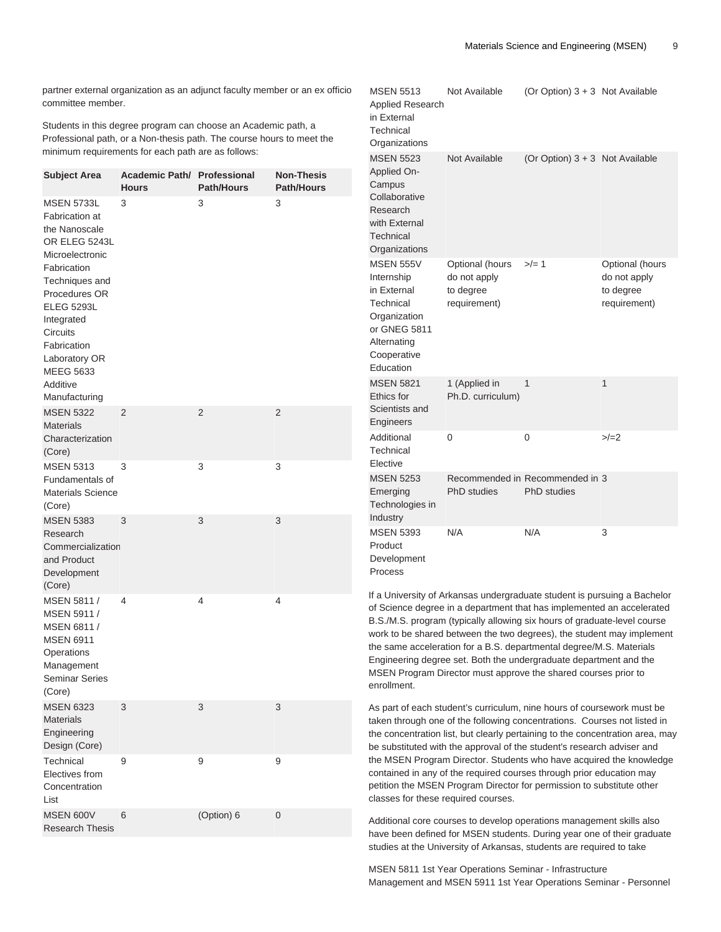partner external organization as an adjunct faculty member or an ex officio committee member.

Students in this degree program can choose an Academic path, a Professional path, or a Non-thesis path. The course hours to meet the minimum requirements for each path are as follows:

| <b>Subject Area</b>                                                                                                                                                                                                                                                        | <b>Academic Path/ Professional</b><br><b>Hours</b> | <b>Path/Hours</b> | <b>Non-Thesis</b><br><b>Path/Hours</b> |
|----------------------------------------------------------------------------------------------------------------------------------------------------------------------------------------------------------------------------------------------------------------------------|----------------------------------------------------|-------------------|----------------------------------------|
| <b>MSEN 5733L</b><br>Fabrication at<br>the Nanoscale<br>OR ELEG 5243L<br>Microelectronic<br>Fabrication<br>Techniques and<br>Procedures OR<br><b>ELEG 5293L</b><br>Integrated<br>Circuits<br>Fabrication<br>Laboratory OR<br><b>MEEG 5633</b><br>Additive<br>Manufacturing | 3                                                  | 3                 | 3                                      |
| <b>MSEN 5322</b><br><b>Materials</b><br>Characterization<br>(Core)                                                                                                                                                                                                         | 2                                                  | 2                 | 2                                      |
| <b>MSEN 5313</b><br>Fundamentals of<br><b>Materials Science</b><br>(Core)                                                                                                                                                                                                  | 3                                                  | 3                 | 3                                      |
| <b>MSEN 5383</b><br>Research<br>Commercialization<br>and Product<br>Development<br>(Core)                                                                                                                                                                                  | 3                                                  | 3                 | 3                                      |
| MSEN 5811 /<br>MSEN 5911 /<br>MSEN 6811 /<br><b>MSEN 6911</b><br>Operations<br>Management<br><b>Seminar Series</b><br>(Core)                                                                                                                                               | 4                                                  | 4                 | 4                                      |
| <b>MSEN 6323</b><br><b>Materials</b><br>Engineering<br>Design (Core)                                                                                                                                                                                                       | 3                                                  | 3                 | 3                                      |
| Technical<br>Electives from<br>Concentration<br>List                                                                                                                                                                                                                       | 9                                                  | 9                 | 9                                      |
| <b>MSEN 600V</b><br><b>Research Thesis</b>                                                                                                                                                                                                                                 | 6                                                  | (Option) 6        | 0                                      |

| <b>MSEN 5513</b><br><b>Applied Research</b><br>in External<br>Technical<br>Organizations                                              | Not Available                                                | (Or Option) $3 + 3$ Not Available              |                                                              |
|---------------------------------------------------------------------------------------------------------------------------------------|--------------------------------------------------------------|------------------------------------------------|--------------------------------------------------------------|
| <b>MSEN 5523</b><br>Applied On-<br>Campus<br>Collaborative<br>Research<br>with External<br>Technical<br>Organizations                 | Not Available                                                | (Or Option) $3 + 3$ Not Available              |                                                              |
| <b>MSEN 555V</b><br>Internship<br>in External<br>Technical<br>Organization<br>or GNEG 5811<br>Alternating<br>Cooperative<br>Education | Optional (hours<br>do not apply<br>to degree<br>requirement) | $>/- 1$                                        | Optional (hours<br>do not apply<br>to degree<br>requirement) |
| <b>MSEN 5821</b><br>Ethics for<br>Scientists and<br>Engineers                                                                         | 1 (Applied in<br>Ph.D. curriculum)                           | 1                                              | 1                                                            |
| Additional<br>Technical<br>Elective                                                                                                   | 0                                                            | 0                                              | $>/-2$                                                       |
| <b>MSEN 5253</b><br>Emerging<br>Technologies in<br>Industry                                                                           | PhD studies                                                  | Recommended in Recommended in 3<br>PhD studies |                                                              |
| <b>MSEN 5393</b><br>Product<br>Development<br>Process                                                                                 | N/A                                                          | N/A                                            | 3                                                            |

If a University of Arkansas undergraduate student is pursuing a Bachelor of Science degree in a department that has implemented an accelerated B.S./M.S. program (typically allowing six hours of graduate-level course work to be shared between the two degrees), the student may implement the same acceleration for a B.S. departmental degree/M.S. Materials Engineering degree set. Both the undergraduate department and the MSEN Program Director must approve the shared courses prior to enrollment.

As part of each student's curriculum, nine hours of coursework must be taken through one of the following concentrations. Courses not listed in the concentration list, but clearly pertaining to the concentration area, may be substituted with the approval of the student's research adviser and the MSEN Program Director. Students who have acquired the knowledge contained in any of the required courses through prior education may petition the MSEN Program Director for permission to substitute other classes for these required courses.

Additional core courses to develop operations management skills also have been defined for MSEN students. During year one of their graduate studies at the University of Arkansas, students are required to take

MSEN 5811 1st Year Operations Seminar - Infrastructure Management and MSEN 5911 1st Year Operations Seminar - Personnel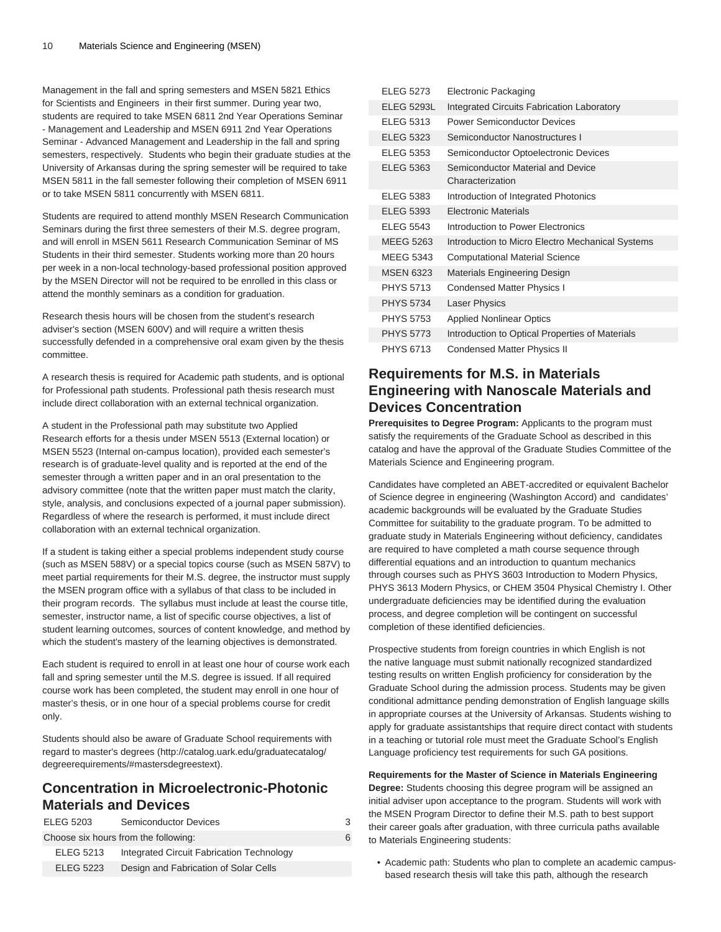Management in the fall and spring semesters and MSEN 5821 Ethics for Scientists and Engineers in their first summer. During year two, students are required to take MSEN 6811 2nd Year Operations Seminar - Management and Leadership and MSEN 6911 2nd Year Operations Seminar - Advanced Management and Leadership in the fall and spring semesters, respectively. Students who begin their graduate studies at the University of Arkansas during the spring semester will be required to take MSEN 5811 in the fall semester following their completion of MSEN 6911 or to take MSEN 5811 concurrently with MSEN 6811.

Students are required to attend monthly MSEN Research Communication Seminars during the first three semesters of their M.S. degree program, and will enroll in MSEN 5611 Research Communication Seminar of MS Students in their third semester. Students working more than 20 hours per week in a non-local technology-based professional position approved by the MSEN Director will not be required to be enrolled in this class or attend the monthly seminars as a condition for graduation.

Research thesis hours will be chosen from the student's research adviser's section (MSEN 600V) and will require a written thesis successfully defended in a comprehensive oral exam given by the thesis committee.

A research thesis is required for Academic path students, and is optional for Professional path students. Professional path thesis research must include direct collaboration with an external technical organization.

A student in the Professional path may substitute two Applied Research efforts for a thesis under MSEN 5513 (External location) or MSEN 5523 (Internal on-campus location), provided each semester's research is of graduate-level quality and is reported at the end of the semester through a written paper and in an oral presentation to the advisory committee (note that the written paper must match the clarity, style, analysis, and conclusions expected of a journal paper submission). Regardless of where the research is performed, it must include direct collaboration with an external technical organization.

If a student is taking either a special problems independent study course (such as MSEN 588V) or a special topics course (such as MSEN 587V) to meet partial requirements for their M.S. degree, the instructor must supply the MSEN program office with a syllabus of that class to be included in their program records. The syllabus must include at least the course title, semester, instructor name, a list of specific course objectives, a list of student learning outcomes, sources of content knowledge, and method by which the student's mastery of the learning objectives is demonstrated.

Each student is required to enroll in at least one hour of course work each fall and spring semester until the M.S. degree is issued. If all required course work has been completed, the student may enroll in one hour of master's thesis, or in one hour of a special problems course for credit only.

Students should also be aware of Graduate School requirements with regard to [master's degrees](http://catalog.uark.edu/graduatecatalog/degreerequirements/#mastersdegreestext) [\(http://catalog.uark.edu/graduatecatalog/](http://catalog.uark.edu/graduatecatalog/degreerequirements/#mastersdegreestext) [degreerequirements/#mastersdegreestext\)](http://catalog.uark.edu/graduatecatalog/degreerequirements/#mastersdegreestext).

### **Concentration in Microelectronic-Photonic Materials and Devices**

| <b>ELEG 5203</b> | <b>Semiconductor Devices</b>              |  |
|------------------|-------------------------------------------|--|
|                  | Choose six hours from the following:      |  |
| <b>ELEG 5213</b> | Integrated Circuit Fabrication Technology |  |
| <b>ELEG 5223</b> | Design and Fabrication of Solar Cells     |  |

| <b>ELEG 5273</b>  | Electronic Packaging                                  |
|-------------------|-------------------------------------------------------|
| <b>ELEG 5293L</b> | Integrated Circuits Fabrication Laboratory            |
| <b>ELEG 5313</b>  | <b>Power Semiconductor Devices</b>                    |
| <b>ELEG 5323</b>  | Semiconductor Nanostructures I                        |
| <b>ELEG 5353</b>  | Semiconductor Optoelectronic Devices                  |
| <b>ELEG 5363</b>  | Semiconductor Material and Device<br>Characterization |
| <b>ELEG 5383</b>  | Introduction of Integrated Photonics                  |
| <b>ELEG 5393</b>  | <b>Electronic Materials</b>                           |
| <b>ELEG 5543</b>  | Introduction to Power Electronics                     |
| <b>MEEG 5263</b>  | Introduction to Micro Electro Mechanical Systems      |
| MEEG 5343         | <b>Computational Material Science</b>                 |
| <b>MSEN 6323</b>  | <b>Materials Engineering Design</b>                   |
| <b>PHYS 5713</b>  | <b>Condensed Matter Physics I</b>                     |
| <b>PHYS 5734</b>  | <b>Laser Physics</b>                                  |
| <b>PHYS 5753</b>  | <b>Applied Nonlinear Optics</b>                       |
| <b>PHYS 5773</b>  | Introduction to Optical Properties of Materials       |
| <b>PHYS 6713</b>  | <b>Condensed Matter Physics II</b>                    |

# **Requirements for M.S. in Materials Engineering with Nanoscale Materials and Devices Concentration**

**Prerequisites to Degree Program:** Applicants to the program must satisfy the requirements of the Graduate School as described in this catalog and have the approval of the Graduate Studies Committee of the Materials Science and Engineering program.

Candidates have completed an ABET-accredited or equivalent Bachelor of Science degree in engineering (Washington Accord) and candidates' academic backgrounds will be evaluated by the Graduate Studies Committee for suitability to the graduate program. To be admitted to graduate study in Materials Engineering without deficiency, candidates are required to have completed a math course sequence through differential equations and an introduction to quantum mechanics through courses such as PHYS 3603 Introduction to Modern Physics, PHYS 3613 Modern Physics, or CHEM 3504 Physical Chemistry I. Other undergraduate deficiencies may be identified during the evaluation process, and degree completion will be contingent on successful completion of these identified deficiencies.

Prospective students from foreign countries in which English is not the native language must submit nationally recognized standardized testing results on written English proficiency for consideration by the Graduate School during the admission process. Students may be given conditional admittance pending demonstration of English language skills in appropriate courses at the University of Arkansas. Students wishing to apply for graduate assistantships that require direct contact with students in a teaching or tutorial role must meet the Graduate School's English Language proficiency test requirements for such GA positions.

**Requirements for the Master of Science in Materials Engineering Degree:** Students choosing this degree program will be assigned an initial adviser upon acceptance to the program. Students will work with the MSEN Program Director to define their M.S. path to best support their career goals after graduation, with three curricula paths available to Materials Engineering students:

• Academic path: Students who plan to complete an academic campusbased research thesis will take this path, although the research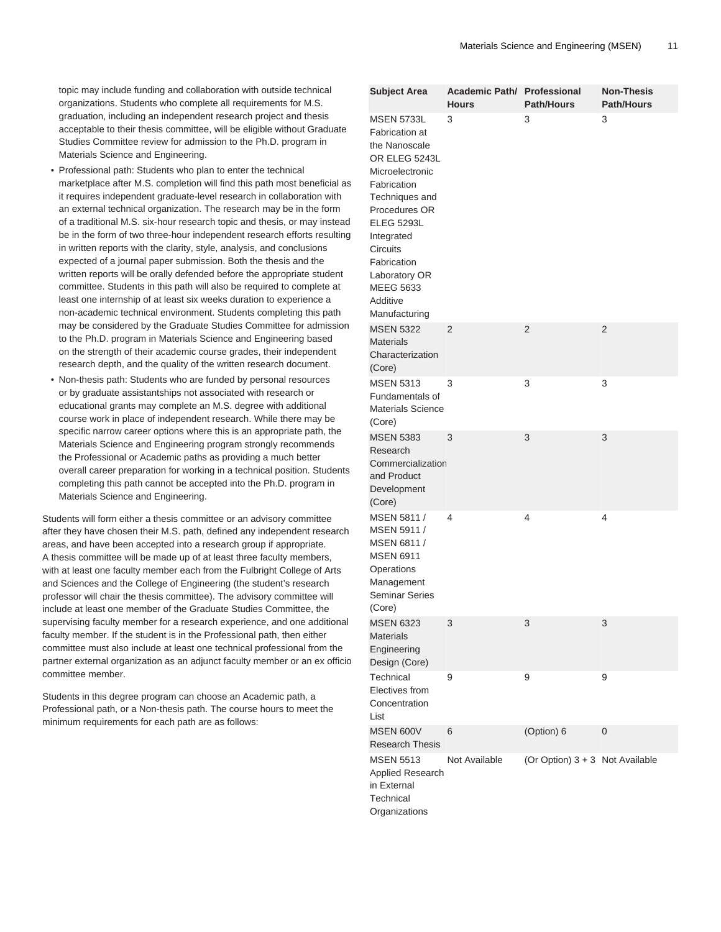topic may include funding and collaboration with outside technical organizations. Students who complete all requirements for M.S. graduation, including an independent research project and thesis acceptable to their thesis committee, will be eligible without Graduate Studies Committee review for admission to the Ph.D. program in Materials Science and Engineering.

- Professional path: Students who plan to enter the technical marketplace after M.S. completion will find this path most beneficial as it requires independent graduate-level research in collaboration with an external technical organization. The research may be in the form of a traditional M.S. six-hour research topic and thesis, or may instead be in the form of two three-hour independent research efforts resulting in written reports with the clarity, style, analysis, and conclusions expected of a journal paper submission. Both the thesis and the written reports will be orally defended before the appropriate student committee. Students in this path will also be required to complete at least one internship of at least six weeks duration to experience a non-academic technical environment. Students completing this path may be considered by the Graduate Studies Committee for admission to the Ph.D. program in Materials Science and Engineering based on the strength of their academic course grades, their independent research depth, and the quality of the written research document.
- Non-thesis path: Students who are funded by personal resources or by graduate assistantships not associated with research or educational grants may complete an M.S. degree with additional course work in place of independent research. While there may be specific narrow career options where this is an appropriate path, the Materials Science and Engineering program strongly recommends the Professional or Academic paths as providing a much better overall career preparation for working in a technical position. Students completing this path cannot be accepted into the Ph.D. program in Materials Science and Engineering.

Students will form either a thesis committee or an advisory committee after they have chosen their M.S. path, defined any independent research areas, and have been accepted into a research group if appropriate. A thesis committee will be made up of at least three faculty members, with at least one faculty member each from the Fulbright College of Arts and Sciences and the College of Engineering (the student's research professor will chair the thesis committee). The advisory committee will include at least one member of the Graduate Studies Committee, the supervising faculty member for a research experience, and one additional faculty member. If the student is in the Professional path, then either committee must also include at least one technical professional from the partner external organization as an adjunct faculty member or an ex officio committee member.

Students in this degree program can choose an Academic path, a Professional path, or a Non-thesis path. The course hours to meet the minimum requirements for each path are as follows:

| <b>Subject Area</b>                                                                                                                                                                                                                                                        | Academic Path/ Professional<br><b>Hours</b> | <b>Path/Hours</b>               | <b>Non-Thesis</b><br><b>Path/Hours</b> |
|----------------------------------------------------------------------------------------------------------------------------------------------------------------------------------------------------------------------------------------------------------------------------|---------------------------------------------|---------------------------------|----------------------------------------|
| <b>MSEN 5733L</b><br>Fabrication at<br>the Nanoscale<br>OR ELEG 5243L<br>Microelectronic<br>Fabrication<br>Techniques and<br>Procedures OR<br><b>ELEG 5293L</b><br>Integrated<br>Circuits<br>Fabrication<br>Laboratory OR<br><b>MEEG 5633</b><br>Additive<br>Manufacturing | 3                                           | 3                               | 3                                      |
| <b>MSEN 5322</b><br><b>Materials</b><br>Characterization<br>(Core)                                                                                                                                                                                                         | 2                                           | 2                               | 2                                      |
| <b>MSEN 5313</b><br>Fundamentals of<br><b>Materials Science</b><br>(Core)                                                                                                                                                                                                  | 3                                           | 3                               | 3                                      |
| <b>MSEN 5383</b><br>Research<br>Commercialization<br>and Product<br>Development<br>(Core)                                                                                                                                                                                  | 3                                           | 3                               | 3                                      |
| MSEN 5811 /<br>MSEN 5911 /<br>MSEN 6811 /<br><b>MSEN 6911</b><br>Operations<br>Management<br><b>Seminar Series</b><br>(Core)                                                                                                                                               | 4                                           | 4                               | 4                                      |
| <b>MSEN 6323</b><br><b>Materials</b><br>Engineering<br>Design (Core)                                                                                                                                                                                                       | 3                                           | 3                               | 3                                      |
| Technical<br>Electives from<br>Concentration<br>List                                                                                                                                                                                                                       | 9                                           | 9                               | 9                                      |
| <b>MSEN 600V</b><br><b>Research Thesis</b>                                                                                                                                                                                                                                 | 6                                           | (Option) 6                      | 0                                      |
| <b>MSEN 5513</b><br>Applied Research<br>in External<br>Technical<br>Organizations                                                                                                                                                                                          | Not Available                               | (Or Option) 3 + 3 Not Available |                                        |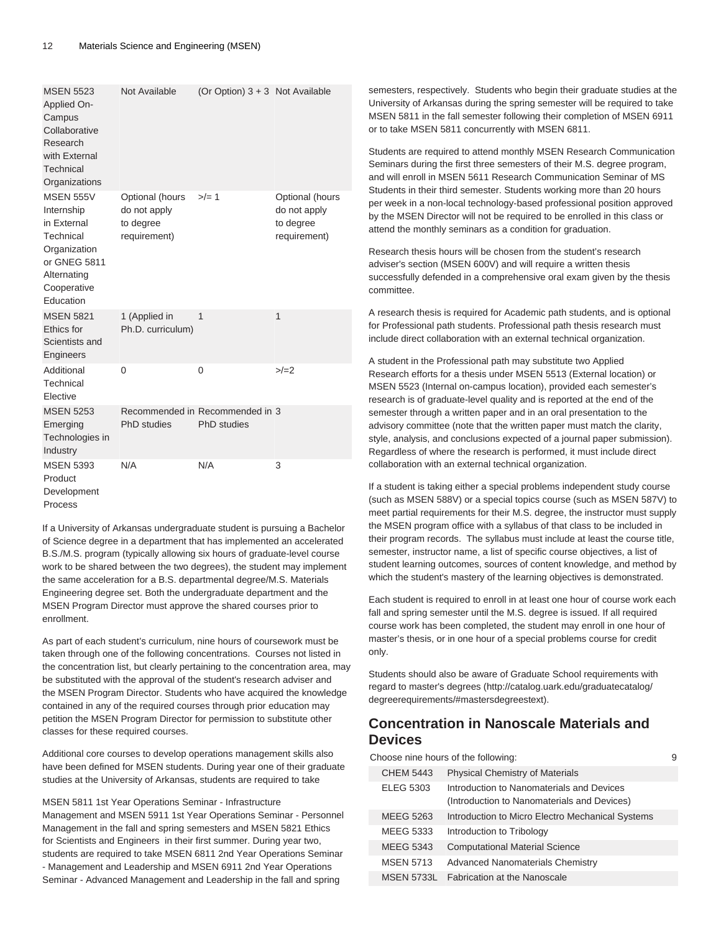| <b>MSEN 5523</b><br>Applied On-<br>Campus<br>Collaborative<br>Research<br>with External<br>Technical<br>Organizations                 | Not Available                                                | (Or Option) $3 + 3$ Not Available                     |                                                              |
|---------------------------------------------------------------------------------------------------------------------------------------|--------------------------------------------------------------|-------------------------------------------------------|--------------------------------------------------------------|
| <b>MSEN 555V</b><br>Internship<br>in External<br>Technical<br>Organization<br>or GNEG 5811<br>Alternating<br>Cooperative<br>Education | Optional (hours<br>do not apply<br>to degree<br>requirement) | $>/- 1$                                               | Optional (hours<br>do not apply<br>to degree<br>requirement) |
| <b>MSEN 5821</b><br>Ethics for<br>Scientists and<br>Engineers                                                                         | 1 (Applied in<br>Ph.D. curriculum)                           | 1                                                     | 1                                                            |
| Additional<br>Technical<br>Elective                                                                                                   | $\Omega$                                                     | 0                                                     | $>/-2$                                                       |
| <b>MSEN 5253</b><br>Emerging<br>Technologies in<br>Industry                                                                           | PhD studies                                                  | Recommended in Recommended in 3<br><b>PhD</b> studies |                                                              |
| <b>MSEN 5393</b><br>Product<br>Development<br>Process                                                                                 | N/A                                                          | N/A                                                   | 3                                                            |

If a University of Arkansas undergraduate student is pursuing a Bachelor of Science degree in a department that has implemented an accelerated B.S./M.S. program (typically allowing six hours of graduate-level course work to be shared between the two degrees), the student may implement the same acceleration for a B.S. departmental degree/M.S. Materials Engineering degree set. Both the undergraduate department and the MSEN Program Director must approve the shared courses prior to enrollment.

As part of each student's curriculum, nine hours of coursework must be taken through one of the following concentrations. Courses not listed in the concentration list, but clearly pertaining to the concentration area, may be substituted with the approval of the student's research adviser and the MSEN Program Director. Students who have acquired the knowledge contained in any of the required courses through prior education may petition the MSEN Program Director for permission to substitute other classes for these required courses.

Additional core courses to develop operations management skills also have been defined for MSEN students. During year one of their graduate studies at the University of Arkansas, students are required to take

MSEN 5811 1st Year Operations Seminar - Infrastructure Management and MSEN 5911 1st Year Operations Seminar - Personnel Management in the fall and spring semesters and MSEN 5821 Ethics for Scientists and Engineers in their first summer. During year two, students are required to take MSEN 6811 2nd Year Operations Seminar - Management and Leadership and MSEN 6911 2nd Year Operations Seminar - Advanced Management and Leadership in the fall and spring

semesters, respectively. Students who begin their graduate studies at the University of Arkansas during the spring semester will be required to take MSEN 5811 in the fall semester following their completion of MSEN 6911 or to take MSEN 5811 concurrently with MSEN 6811.

Students are required to attend monthly MSEN Research Communication Seminars during the first three semesters of their M.S. degree program, and will enroll in MSEN 5611 Research Communication Seminar of MS Students in their third semester. Students working more than 20 hours per week in a non-local technology-based professional position approved by the MSEN Director will not be required to be enrolled in this class or attend the monthly seminars as a condition for graduation.

Research thesis hours will be chosen from the student's research adviser's section (MSEN 600V) and will require a written thesis successfully defended in a comprehensive oral exam given by the thesis committee.

A research thesis is required for Academic path students, and is optional for Professional path students. Professional path thesis research must include direct collaboration with an external technical organization.

A student in the Professional path may substitute two Applied Research efforts for a thesis under MSEN 5513 (External location) or MSEN 5523 (Internal on-campus location), provided each semester's research is of graduate-level quality and is reported at the end of the semester through a written paper and in an oral presentation to the advisory committee (note that the written paper must match the clarity, style, analysis, and conclusions expected of a journal paper submission). Regardless of where the research is performed, it must include direct collaboration with an external technical organization.

If a student is taking either a special problems independent study course (such as MSEN 588V) or a special topics course (such as MSEN 587V) to meet partial requirements for their M.S. degree, the instructor must supply the MSEN program office with a syllabus of that class to be included in their program records. The syllabus must include at least the course title, semester, instructor name, a list of specific course objectives, a list of student learning outcomes, sources of content knowledge, and method by which the student's mastery of the learning objectives is demonstrated.

Each student is required to enroll in at least one hour of course work each fall and spring semester until the M.S. degree is issued. If all required course work has been completed, the student may enroll in one hour of master's thesis, or in one hour of a special problems course for credit only.

Students should also be aware of Graduate School requirements with regard to [master's degrees \(http://catalog.uark.edu/graduatecatalog/](http://catalog.uark.edu/graduatecatalog/degreerequirements/#mastersdegreestext) [degreerequirements/#mastersdegreestext\)](http://catalog.uark.edu/graduatecatalog/degreerequirements/#mastersdegreestext).

# **Concentration in Nanoscale Materials and Devices**

Choose nine hours of the following: 9 CHEM 5443 Physical Chemistry of Materials ELEG 5303 Introduction to Nanomaterials and Devices (Introduction to Nanomaterials and Devices) MEEG 5263 Introduction to Micro Electro Mechanical Systems MEEG 5333 Introduction to Tribology MEEG 5343 Computational Material Science MSEN 5713 Advanced Nanomaterials Chemistry MSEN 5733L Fabrication at the Nanoscale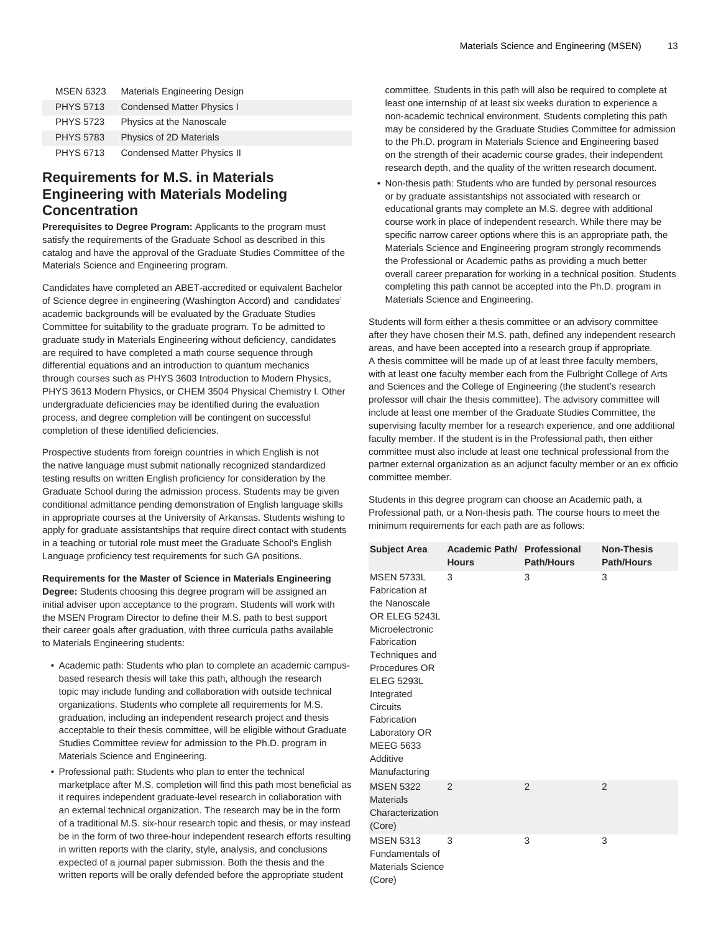| <b>MSEN 6323</b> | Materials Engineering Design       |
|------------------|------------------------------------|
| <b>PHYS 5713</b> | <b>Condensed Matter Physics I</b>  |
| <b>PHYS 5723</b> | Physics at the Nanoscale           |
| <b>PHYS 5783</b> | Physics of 2D Materials            |
| <b>PHYS 6713</b> | <b>Condensed Matter Physics II</b> |

### **Requirements for M.S. in Materials Engineering with Materials Modeling Concentration**

**Prerequisites to Degree Program:** Applicants to the program must satisfy the requirements of the Graduate School as described in this catalog and have the approval of the Graduate Studies Committee of the Materials Science and Engineering program.

Candidates have completed an ABET-accredited or equivalent Bachelor of Science degree in engineering (Washington Accord) and candidates' academic backgrounds will be evaluated by the Graduate Studies Committee for suitability to the graduate program. To be admitted to graduate study in Materials Engineering without deficiency, candidates are required to have completed a math course sequence through differential equations and an introduction to quantum mechanics through courses such as PHYS 3603 Introduction to Modern Physics, PHYS 3613 Modern Physics, or CHEM 3504 Physical Chemistry I. Other undergraduate deficiencies may be identified during the evaluation process, and degree completion will be contingent on successful completion of these identified deficiencies.

Prospective students from foreign countries in which English is not the native language must submit nationally recognized standardized testing results on written English proficiency for consideration by the Graduate School during the admission process. Students may be given conditional admittance pending demonstration of English language skills in appropriate courses at the University of Arkansas. Students wishing to apply for graduate assistantships that require direct contact with students in a teaching or tutorial role must meet the Graduate School's English Language proficiency test requirements for such GA positions.

**Requirements for the Master of Science in Materials Engineering**

**Degree:** Students choosing this degree program will be assigned an initial adviser upon acceptance to the program. Students will work with the MSEN Program Director to define their M.S. path to best support their career goals after graduation, with three curricula paths available to Materials Engineering students:

- Academic path: Students who plan to complete an academic campusbased research thesis will take this path, although the research topic may include funding and collaboration with outside technical organizations. Students who complete all requirements for M.S. graduation, including an independent research project and thesis acceptable to their thesis committee, will be eligible without Graduate Studies Committee review for admission to the Ph.D. program in Materials Science and Engineering.
- Professional path: Students who plan to enter the technical marketplace after M.S. completion will find this path most beneficial as it requires independent graduate-level research in collaboration with an external technical organization. The research may be in the form of a traditional M.S. six-hour research topic and thesis, or may instead be in the form of two three-hour independent research efforts resulting in written reports with the clarity, style, analysis, and conclusions expected of a journal paper submission. Both the thesis and the written reports will be orally defended before the appropriate student

committee. Students in this path will also be required to complete at least one internship of at least six weeks duration to experience a non-academic technical environment. Students completing this path may be considered by the Graduate Studies Committee for admission to the Ph.D. program in Materials Science and Engineering based on the strength of their academic course grades, their independent research depth, and the quality of the written research document.

• Non-thesis path: Students who are funded by personal resources or by graduate assistantships not associated with research or educational grants may complete an M.S. degree with additional course work in place of independent research. While there may be specific narrow career options where this is an appropriate path, the Materials Science and Engineering program strongly recommends the Professional or Academic paths as providing a much better overall career preparation for working in a technical position. Students completing this path cannot be accepted into the Ph.D. program in Materials Science and Engineering.

Students will form either a thesis committee or an advisory committee after they have chosen their M.S. path, defined any independent research areas, and have been accepted into a research group if appropriate. A thesis committee will be made up of at least three faculty members, with at least one faculty member each from the Fulbright College of Arts and Sciences and the College of Engineering (the student's research professor will chair the thesis committee). The advisory committee will include at least one member of the Graduate Studies Committee, the supervising faculty member for a research experience, and one additional faculty member. If the student is in the Professional path, then either committee must also include at least one technical professional from the partner external organization as an adjunct faculty member or an ex officio committee member.

Students in this degree program can choose an Academic path, a Professional path, or a Non-thesis path. The course hours to meet the minimum requirements for each path are as follows:

| <b>Subject Area</b>                                                                                                                                                                                                                                                               | Academic Path/ Professional<br><b>Hours</b> | <b>Path/Hours</b> | <b>Non-Thesis</b><br><b>Path/Hours</b> |
|-----------------------------------------------------------------------------------------------------------------------------------------------------------------------------------------------------------------------------------------------------------------------------------|---------------------------------------------|-------------------|----------------------------------------|
| <b>MSEN 5733L</b><br>Fabrication at<br>the Nanoscale<br>OR ELEG 5243L<br>Microelectronic<br>Fabrication<br>Techniques and<br>Procedures OR<br><b>ELEG 5293L</b><br>Integrated<br><b>Circuits</b><br>Fabrication<br>Laboratory OR<br><b>MEEG 5633</b><br>Additive<br>Manufacturing | 3                                           | 3                 | 3                                      |
| <b>MSEN 5322</b><br><b>Materials</b><br>Characterization<br>(Core)                                                                                                                                                                                                                | $\overline{2}$                              | 2                 | $\overline{2}$                         |
| <b>MSEN 5313</b><br>Fundamentals of<br><b>Materials Science</b><br>(Core)                                                                                                                                                                                                         | 3                                           | 3                 | 3                                      |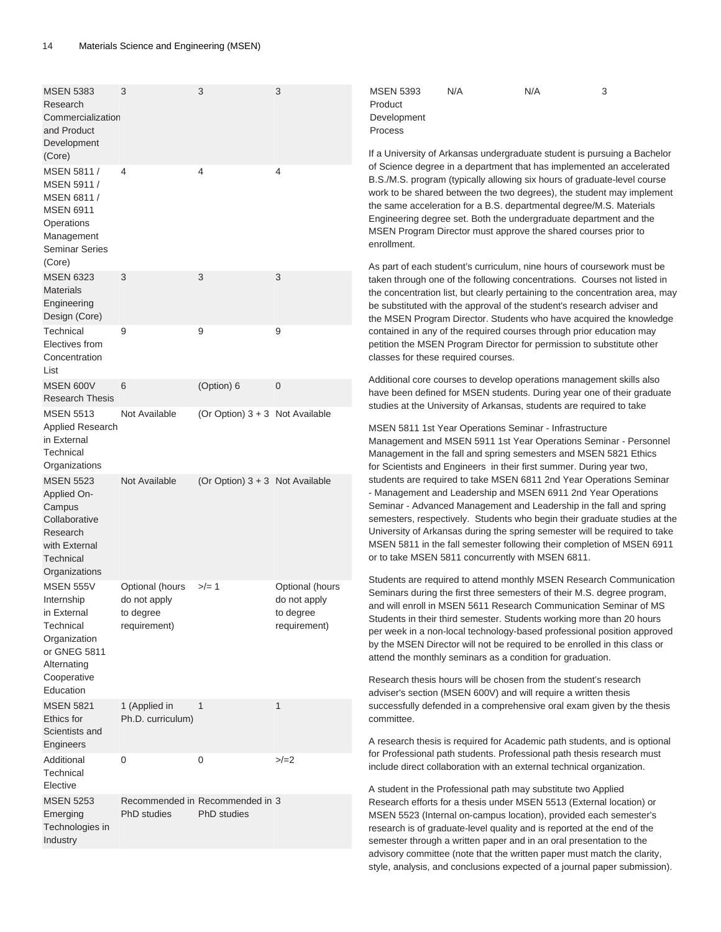| <b>MSEN 5383</b><br>Research<br>Commercialization<br>and Product<br>Development<br>(Core)                                             | 3                                                            | 3                                                     | 3                                                            | <b>MSEN 5393</b><br>Product<br>Development<br>Process                                                                                                                                                                                                                                                                                                                                                                                                                                                                                                                                                                                                                                                                                                                                                                                                                                                                                                                                                                                                                                                                                                                                                                                      | N/A | N/A                                                                                                                                                                                                                                                                                                                                                          | 3<br>If a University of Arkansas undergraduate student is pursuing a Bachelor                                                                                                                                                                                                                              |
|---------------------------------------------------------------------------------------------------------------------------------------|--------------------------------------------------------------|-------------------------------------------------------|--------------------------------------------------------------|--------------------------------------------------------------------------------------------------------------------------------------------------------------------------------------------------------------------------------------------------------------------------------------------------------------------------------------------------------------------------------------------------------------------------------------------------------------------------------------------------------------------------------------------------------------------------------------------------------------------------------------------------------------------------------------------------------------------------------------------------------------------------------------------------------------------------------------------------------------------------------------------------------------------------------------------------------------------------------------------------------------------------------------------------------------------------------------------------------------------------------------------------------------------------------------------------------------------------------------------|-----|--------------------------------------------------------------------------------------------------------------------------------------------------------------------------------------------------------------------------------------------------------------------------------------------------------------------------------------------------------------|------------------------------------------------------------------------------------------------------------------------------------------------------------------------------------------------------------------------------------------------------------------------------------------------------------|
| MSEN 5811 /<br>MSEN 5911 /<br>MSEN 6811 /<br><b>MSEN 6911</b><br>Operations<br>Management<br><b>Seminar Series</b>                    | 4                                                            | 4                                                     | 4                                                            | enrollment.                                                                                                                                                                                                                                                                                                                                                                                                                                                                                                                                                                                                                                                                                                                                                                                                                                                                                                                                                                                                                                                                                                                                                                                                                                |     | the same acceleration for a B.S. departmental degree/M.S. Materials<br>Engineering degree set. Both the undergraduate department and the<br>MSEN Program Director must approve the shared courses prior to                                                                                                                                                   | of Science degree in a department that has implemented an accelerated<br>B.S./M.S. program (typically allowing six hours of graduate-level course<br>work to be shared between the two degrees), the student may implement                                                                                 |
| (Core)<br><b>MSEN 6323</b><br><b>Materials</b><br>Engineering<br>Design (Core)                                                        | 3                                                            | 3                                                     | 3                                                            |                                                                                                                                                                                                                                                                                                                                                                                                                                                                                                                                                                                                                                                                                                                                                                                                                                                                                                                                                                                                                                                                                                                                                                                                                                            |     | be substituted with the approval of the student's research adviser and                                                                                                                                                                                                                                                                                       | As part of each student's curriculum, nine hours of coursework must be<br>taken through one of the following concentrations. Courses not listed in<br>the concentration list, but clearly pertaining to the concentration area, may<br>the MSEN Program Director. Students who have acquired the knowledge |
| Technical<br>Electives from<br>Concentration                                                                                          | 9                                                            | 9                                                     | 9                                                            | classes for these required courses.                                                                                                                                                                                                                                                                                                                                                                                                                                                                                                                                                                                                                                                                                                                                                                                                                                                                                                                                                                                                                                                                                                                                                                                                        |     | contained in any of the required courses through prior education may<br>petition the MSEN Program Director for permission to substitute other                                                                                                                                                                                                                |                                                                                                                                                                                                                                                                                                            |
| List<br>MSEN 600V<br><b>Research Thesis</b>                                                                                           | 6                                                            | (Option) 6                                            | $\boldsymbol{0}$                                             |                                                                                                                                                                                                                                                                                                                                                                                                                                                                                                                                                                                                                                                                                                                                                                                                                                                                                                                                                                                                                                                                                                                                                                                                                                            |     |                                                                                                                                                                                                                                                                                                                                                              | Additional core courses to develop operations management skills also<br>have been defined for MSEN students. During year one of their graduate                                                                                                                                                             |
| <b>MSEN 5513</b><br>Applied Research<br>in External<br>Technical<br>Organizations                                                     | Not Available                                                | (Or Option) $3 + 3$ Not Available                     |                                                              |                                                                                                                                                                                                                                                                                                                                                                                                                                                                                                                                                                                                                                                                                                                                                                                                                                                                                                                                                                                                                                                                                                                                                                                                                                            |     | studies at the University of Arkansas, students are required to take<br>MSEN 5811 1st Year Operations Seminar - Infrastructure<br>Management in the fall and spring semesters and MSEN 5821 Ethics                                                                                                                                                           | Management and MSEN 5911 1st Year Operations Seminar - Personnel                                                                                                                                                                                                                                           |
| <b>MSEN 5523</b><br>Applied On-<br>Campus<br>Collaborative<br>Research<br>with External<br>Technical<br>Organizations                 | Not Available                                                | (Or Option) 3 + 3 Not Available                       |                                                              | for Scientists and Engineers in their first summer. During year two,<br>students are required to take MSEN 6811 2nd Year Operations Seminar<br>- Management and Leadership and MSEN 6911 2nd Year Operations<br>Seminar - Advanced Management and Leadership in the fall and spring<br>semesters, respectively. Students who begin their graduate studies at the<br>University of Arkansas during the spring semester will be required to take<br>MSEN 5811 in the fall semester following their completion of MSEN 6911<br>or to take MSEN 5811 concurrently with MSEN 6811.<br>Students are required to attend monthly MSEN Research Communication<br>Seminars during the first three semesters of their M.S. degree program,<br>and will enroll in MSEN 5611 Research Communication Seminar of MS<br>Students in their third semester. Students working more than 20 hours<br>per week in a non-local technology-based professional position approved<br>by the MSEN Director will not be required to be enrolled in this class or<br>attend the monthly seminars as a condition for graduation.<br>Research thesis hours will be chosen from the student's research<br>adviser's section (MSEN 600V) and will require a written thesis |     |                                                                                                                                                                                                                                                                                                                                                              |                                                                                                                                                                                                                                                                                                            |
| <b>MSEN 555V</b><br>Internship<br>in External<br>Technical<br>Organization<br>or GNEG 5811<br>Alternating<br>Cooperative<br>Education | Optional (hours<br>do not apply<br>to degree<br>requirement) | $>/- 1$                                               | Optional (hours<br>do not apply<br>to degree<br>requirement) |                                                                                                                                                                                                                                                                                                                                                                                                                                                                                                                                                                                                                                                                                                                                                                                                                                                                                                                                                                                                                                                                                                                                                                                                                                            |     |                                                                                                                                                                                                                                                                                                                                                              |                                                                                                                                                                                                                                                                                                            |
| <b>MSEN 5821</b><br>Ethics for<br>Scientists and                                                                                      | 1 (Applied in<br>Ph.D. curriculum)                           | $\mathbf{1}$                                          | 1                                                            | committee.                                                                                                                                                                                                                                                                                                                                                                                                                                                                                                                                                                                                                                                                                                                                                                                                                                                                                                                                                                                                                                                                                                                                                                                                                                 |     |                                                                                                                                                                                                                                                                                                                                                              | successfully defended in a comprehensive oral exam given by the thesis                                                                                                                                                                                                                                     |
| Engineers<br>Additional<br>Technical<br>Elective                                                                                      | 0                                                            | 0                                                     | $>/-2$                                                       |                                                                                                                                                                                                                                                                                                                                                                                                                                                                                                                                                                                                                                                                                                                                                                                                                                                                                                                                                                                                                                                                                                                                                                                                                                            |     | include direct collaboration with an external technical organization.                                                                                                                                                                                                                                                                                        | A research thesis is required for Academic path students, and is optional<br>for Professional path students. Professional path thesis research must                                                                                                                                                        |
| <b>MSEN 5253</b><br>Emerging<br>Technologies in<br>Industry                                                                           | <b>PhD</b> studies                                           | Recommended in Recommended in 3<br><b>PhD</b> studies |                                                              |                                                                                                                                                                                                                                                                                                                                                                                                                                                                                                                                                                                                                                                                                                                                                                                                                                                                                                                                                                                                                                                                                                                                                                                                                                            |     | A student in the Professional path may substitute two Applied<br>Research efforts for a thesis under MSEN 5513 (External location) or<br>MSEN 5523 (Internal on-campus location), provided each semester's<br>research is of graduate-level quality and is reported at the end of the<br>semester through a written paper and in an oral presentation to the |                                                                                                                                                                                                                                                                                                            |

advisory committee (note that the written paper must match the clarity, style, analysis, and conclusions expected of a journal paper submission).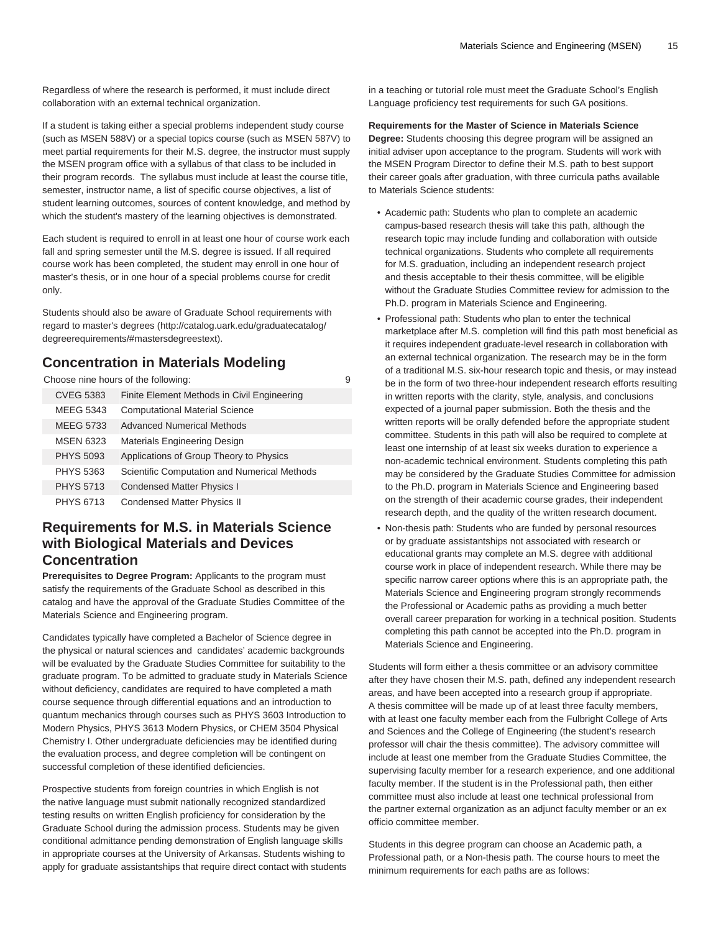Regardless of where the research is performed, it must include direct collaboration with an external technical organization.

If a student is taking either a special problems independent study course (such as MSEN 588V) or a special topics course (such as MSEN 587V) to meet partial requirements for their M.S. degree, the instructor must supply the MSEN program office with a syllabus of that class to be included in their program records. The syllabus must include at least the course title, semester, instructor name, a list of specific course objectives, a list of student learning outcomes, sources of content knowledge, and method by which the student's mastery of the learning objectives is demonstrated.

Each student is required to enroll in at least one hour of course work each fall and spring semester until the M.S. degree is issued. If all required course work has been completed, the student may enroll in one hour of master's thesis, or in one hour of a special problems course for credit only.

Students should also be aware of Graduate School requirements with regard to [master's degrees](http://catalog.uark.edu/graduatecatalog/degreerequirements/#mastersdegreestext) [\(http://catalog.uark.edu/graduatecatalog/](http://catalog.uark.edu/graduatecatalog/degreerequirements/#mastersdegreestext) [degreerequirements/#mastersdegreestext\)](http://catalog.uark.edu/graduatecatalog/degreerequirements/#mastersdegreestext).

# **Concentration in Materials Modeling**

Choose nine hours of the following: example of the solution of the solution of the solution of the solution of the solution of the solution of the solution of the solution of the solution of the solution of the solution of

| <b>CVEG 5383</b> | Finite Element Methods in Civil Engineering  |
|------------------|----------------------------------------------|
| <b>MEEG 5343</b> | <b>Computational Material Science</b>        |
| <b>MEEG 5733</b> | Advanced Numerical Methods                   |
| <b>MSEN 6323</b> | Materials Engineering Design                 |
| <b>PHYS 5093</b> | Applications of Group Theory to Physics      |
| <b>PHYS 5363</b> | Scientific Computation and Numerical Methods |
| <b>PHYS 5713</b> | <b>Condensed Matter Physics I</b>            |
| <b>PHYS 6713</b> | <b>Condensed Matter Physics II</b>           |

### **Requirements for M.S. in Materials Science with Biological Materials and Devices Concentration**

**Prerequisites to Degree Program:** Applicants to the program must satisfy the requirements of the Graduate School as described in this catalog and have the approval of the Graduate Studies Committee of the Materials Science and Engineering program.

Candidates typically have completed a Bachelor of Science degree in the physical or natural sciences and candidates' academic backgrounds will be evaluated by the Graduate Studies Committee for suitability to the graduate program. To be admitted to graduate study in Materials Science without deficiency, candidates are required to have completed a math course sequence through differential equations and an introduction to quantum mechanics through courses such as PHYS 3603 Introduction to Modern Physics, PHYS 3613 Modern Physics, or CHEM 3504 Physical Chemistry I. Other undergraduate deficiencies may be identified during the evaluation process, and degree completion will be contingent on successful completion of these identified deficiencies.

Prospective students from foreign countries in which English is not the native language must submit nationally recognized standardized testing results on written English proficiency for consideration by the Graduate School during the admission process. Students may be given conditional admittance pending demonstration of English language skills in appropriate courses at the University of Arkansas. Students wishing to apply for graduate assistantships that require direct contact with students in a teaching or tutorial role must meet the Graduate School's English Language proficiency test requirements for such GA positions.

### **Requirements for the Master of Science in Materials Science**

**Degree:** Students choosing this degree program will be assigned an initial adviser upon acceptance to the program. Students will work with the MSEN Program Director to define their M.S. path to best support their career goals after graduation, with three curricula paths available to Materials Science students:

- Academic path: Students who plan to complete an academic campus-based research thesis will take this path, although the research topic may include funding and collaboration with outside technical organizations. Students who complete all requirements for M.S. graduation, including an independent research project and thesis acceptable to their thesis committee, will be eligible without the Graduate Studies Committee review for admission to the Ph.D. program in Materials Science and Engineering.
- Professional path: Students who plan to enter the technical marketplace after M.S. completion will find this path most beneficial as it requires independent graduate-level research in collaboration with an external technical organization. The research may be in the form of a traditional M.S. six-hour research topic and thesis, or may instead be in the form of two three-hour independent research efforts resulting in written reports with the clarity, style, analysis, and conclusions expected of a journal paper submission. Both the thesis and the written reports will be orally defended before the appropriate student committee. Students in this path will also be required to complete at least one internship of at least six weeks duration to experience a non-academic technical environment. Students completing this path may be considered by the Graduate Studies Committee for admission to the Ph.D. program in Materials Science and Engineering based on the strength of their academic course grades, their independent research depth, and the quality of the written research document.
- Non-thesis path: Students who are funded by personal resources or by graduate assistantships not associated with research or educational grants may complete an M.S. degree with additional course work in place of independent research. While there may be specific narrow career options where this is an appropriate path, the Materials Science and Engineering program strongly recommends the Professional or Academic paths as providing a much better overall career preparation for working in a technical position. Students completing this path cannot be accepted into the Ph.D. program in Materials Science and Engineering.

Students will form either a thesis committee or an advisory committee after they have chosen their M.S. path, defined any independent research areas, and have been accepted into a research group if appropriate. A thesis committee will be made up of at least three faculty members, with at least one faculty member each from the Fulbright College of Arts and Sciences and the College of Engineering (the student's research professor will chair the thesis committee). The advisory committee will include at least one member from the Graduate Studies Committee, the supervising faculty member for a research experience, and one additional faculty member. If the student is in the Professional path, then either committee must also include at least one technical professional from the partner external organization as an adjunct faculty member or an ex officio committee member.

Students in this degree program can choose an Academic path, a Professional path, or a Non-thesis path. The course hours to meet the minimum requirements for each paths are as follows: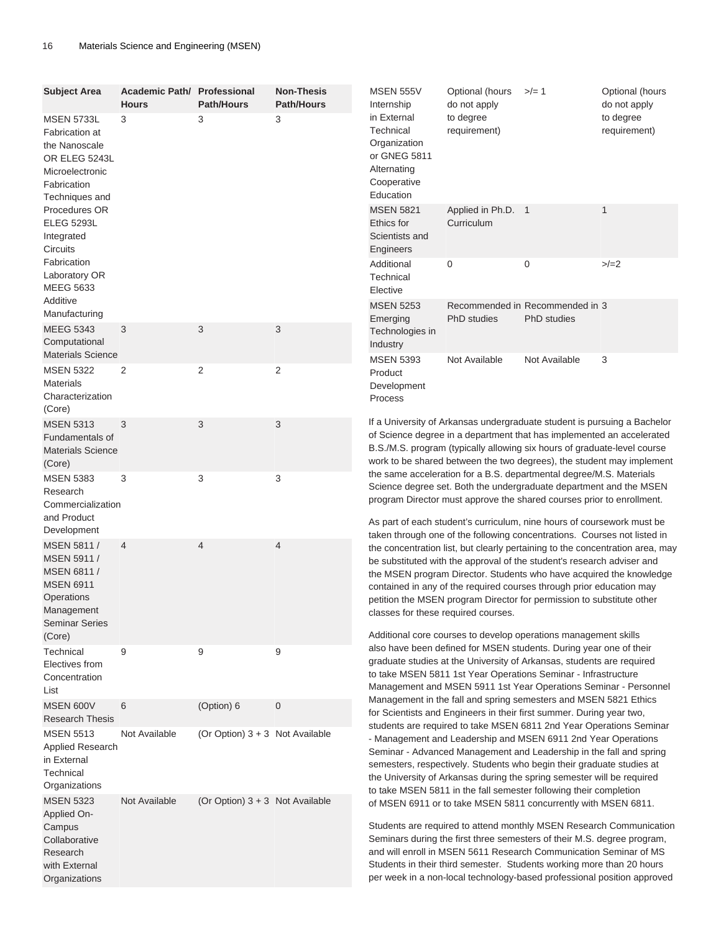| <b>Subject Area</b>                                                                                                              | Academic Path/ Professional<br><b>Hours</b> | <b>Path/Hours</b>                 | <b>Non-Thesis</b><br><b>Path/Hours</b> | <b>MSEN 555V</b><br>Internship                                                                                                                                                                                                                                                                                                                                                                                                                                                                                                                                                                                                                                                                                                                                                                                                                                                                                                                                                                                                                                                                                                                                                                                                                                                                                                                                                                                                                                       | Optional (hours<br>do not apply                                                                                                                                                                                                                                                                                                                                                                                                           | $>/- 1$                                               | Optional (hours<br>do not apply |
|----------------------------------------------------------------------------------------------------------------------------------|---------------------------------------------|-----------------------------------|----------------------------------------|----------------------------------------------------------------------------------------------------------------------------------------------------------------------------------------------------------------------------------------------------------------------------------------------------------------------------------------------------------------------------------------------------------------------------------------------------------------------------------------------------------------------------------------------------------------------------------------------------------------------------------------------------------------------------------------------------------------------------------------------------------------------------------------------------------------------------------------------------------------------------------------------------------------------------------------------------------------------------------------------------------------------------------------------------------------------------------------------------------------------------------------------------------------------------------------------------------------------------------------------------------------------------------------------------------------------------------------------------------------------------------------------------------------------------------------------------------------------|-------------------------------------------------------------------------------------------------------------------------------------------------------------------------------------------------------------------------------------------------------------------------------------------------------------------------------------------------------------------------------------------------------------------------------------------|-------------------------------------------------------|---------------------------------|
| <b>MSEN 5733L</b><br><b>Fabrication at</b><br>the Nanoscale<br>OR ELEG 5243L<br>Microelectronic<br>Fabrication<br>Techniques and | 3                                           | 3                                 | 3                                      | in External<br>Technical<br>Organization<br>or GNEG 5811<br>Alternating<br>Cooperative<br>Education                                                                                                                                                                                                                                                                                                                                                                                                                                                                                                                                                                                                                                                                                                                                                                                                                                                                                                                                                                                                                                                                                                                                                                                                                                                                                                                                                                  | to degree<br>requirement)                                                                                                                                                                                                                                                                                                                                                                                                                 |                                                       | to degree<br>requirement)       |
| Procedures OR<br><b>ELEG 5293L</b><br>Integrated<br>Circuits                                                                     |                                             |                                   |                                        | <b>MSEN 5821</b><br>Ethics for<br>Scientists and<br>Engineers                                                                                                                                                                                                                                                                                                                                                                                                                                                                                                                                                                                                                                                                                                                                                                                                                                                                                                                                                                                                                                                                                                                                                                                                                                                                                                                                                                                                        | Applied in Ph.D. 1<br>Curriculum                                                                                                                                                                                                                                                                                                                                                                                                          |                                                       | 1                               |
| Fabrication<br>Laboratory OR<br><b>MEEG 5633</b><br>Additive                                                                     |                                             |                                   |                                        | Additional<br>Technical<br>Elective                                                                                                                                                                                                                                                                                                                                                                                                                                                                                                                                                                                                                                                                                                                                                                                                                                                                                                                                                                                                                                                                                                                                                                                                                                                                                                                                                                                                                                  | 0                                                                                                                                                                                                                                                                                                                                                                                                                                         | 0                                                     | $>/-2$                          |
| Manufacturing<br><b>MEEG 5343</b><br>Computational                                                                               | 3                                           | 3                                 | 3                                      | <b>MSEN 5253</b><br>Emerging<br>Technologies in<br>Industry                                                                                                                                                                                                                                                                                                                                                                                                                                                                                                                                                                                                                                                                                                                                                                                                                                                                                                                                                                                                                                                                                                                                                                                                                                                                                                                                                                                                          | PhD studies                                                                                                                                                                                                                                                                                                                                                                                                                               | Recommended in Recommended in 3<br><b>PhD</b> studies |                                 |
| <b>Materials Science</b><br><b>MSEN 5322</b><br><b>Materials</b><br>Characterization<br>(Core)                                   | 2                                           | $\overline{2}$                    | 2                                      | <b>MSEN 5393</b><br>Product<br>Development<br>Process                                                                                                                                                                                                                                                                                                                                                                                                                                                                                                                                                                                                                                                                                                                                                                                                                                                                                                                                                                                                                                                                                                                                                                                                                                                                                                                                                                                                                | Not Available                                                                                                                                                                                                                                                                                                                                                                                                                             | Not Available                                         | 3                               |
| <b>MSEN 5313</b><br>Fundamentals of<br><b>Materials Science</b><br>(Core)                                                        | 3                                           | 3                                 | 3                                      | If a University of Arkansas undergraduate student is pursuing a Bachelor<br>of Science degree in a department that has implemented an accelerated<br>B.S./M.S. program (typically allowing six hours of graduate-level course<br>work to be shared between the two degrees), the student may implement<br>the same acceleration for a B.S. departmental degree/M.S. Materials<br>Science degree set. Both the undergraduate department and the MSEN<br>program Director must approve the shared courses prior to enrollment.<br>As part of each student's curriculum, nine hours of coursework must be<br>taken through one of the following concentrations. Courses not listed in<br>the concentration list, but clearly pertaining to the concentration area, may<br>be substituted with the approval of the student's research adviser and<br>the MSEN program Director. Students who have acquired the knowledge<br>contained in any of the required courses through prior education may<br>petition the MSEN program Director for permission to substitute other<br>classes for these required courses.<br>Additional core courses to develop operations management skills<br>also have been defined for MSEN students. During year one of their<br>graduate studies at the University of Arkansas, students are required<br>to take MSEN 5811 1st Year Operations Seminar - Infrastructure<br>Management and MSEN 5911 1st Year Operations Seminar - Personnel |                                                                                                                                                                                                                                                                                                                                                                                                                                           |                                                       |                                 |
| <b>MSEN 5383</b><br>Research<br>Commercialization<br>and Product<br>Development                                                  | 3                                           | 3                                 | 3                                      |                                                                                                                                                                                                                                                                                                                                                                                                                                                                                                                                                                                                                                                                                                                                                                                                                                                                                                                                                                                                                                                                                                                                                                                                                                                                                                                                                                                                                                                                      |                                                                                                                                                                                                                                                                                                                                                                                                                                           |                                                       |                                 |
| MSEN 5811 /<br><b>MSEN 5911/</b><br>MSEN 6811 /<br><b>MSEN 6911</b><br>Operations<br>Management<br><b>Seminar Series</b>         | $\overline{4}$                              | $\overline{4}$                    | 4                                      |                                                                                                                                                                                                                                                                                                                                                                                                                                                                                                                                                                                                                                                                                                                                                                                                                                                                                                                                                                                                                                                                                                                                                                                                                                                                                                                                                                                                                                                                      |                                                                                                                                                                                                                                                                                                                                                                                                                                           |                                                       |                                 |
| (Core)<br>Technical<br>Electives from<br>Concentration<br>List                                                                   | 9                                           | 9                                 | 9                                      |                                                                                                                                                                                                                                                                                                                                                                                                                                                                                                                                                                                                                                                                                                                                                                                                                                                                                                                                                                                                                                                                                                                                                                                                                                                                                                                                                                                                                                                                      |                                                                                                                                                                                                                                                                                                                                                                                                                                           |                                                       |                                 |
| MSEN 600V<br><b>Research Thesis</b>                                                                                              | 6                                           | (Option) 6                        | 0                                      |                                                                                                                                                                                                                                                                                                                                                                                                                                                                                                                                                                                                                                                                                                                                                                                                                                                                                                                                                                                                                                                                                                                                                                                                                                                                                                                                                                                                                                                                      | Management in the fall and spring semesters and MSEN 5821 Ethics<br>for Scientists and Engineers in their first summer. During year two,                                                                                                                                                                                                                                                                                                  |                                                       |                                 |
| <b>MSEN 5513</b><br>Applied Research<br>in External<br>Technical<br>Organizations                                                | Not Available                               | (Or Option) $3 + 3$ Not Available |                                        | students are required to take MSEN 6811 2nd Year Operations Seminar<br>- Management and Leadership and MSEN 6911 2nd Year Operations<br>Seminar - Advanced Management and Leadership in the fall and spring<br>semesters, respectively. Students who begin their graduate studies at<br>the University of Arkansas during the spring semester will be required<br>to take MSEN 5811 in the fall semester following their completion                                                                                                                                                                                                                                                                                                                                                                                                                                                                                                                                                                                                                                                                                                                                                                                                                                                                                                                                                                                                                                  |                                                                                                                                                                                                                                                                                                                                                                                                                                           |                                                       |                                 |
| <b>MSEN 5323</b><br><b>Applied On-</b><br>Campus<br>Collaborative<br>Research<br>with External<br>Organizations                  | Not Available                               | (Or Option) $3 + 3$ Not Available |                                        |                                                                                                                                                                                                                                                                                                                                                                                                                                                                                                                                                                                                                                                                                                                                                                                                                                                                                                                                                                                                                                                                                                                                                                                                                                                                                                                                                                                                                                                                      | of MSEN 6911 or to take MSEN 5811 concurrently with MSEN 6811.<br>Students are required to attend monthly MSEN Research Communication<br>Seminars during the first three semesters of their M.S. degree program,<br>and will enroll in MSEN 5611 Research Communication Seminar of MS<br>Students in their third semester. Students working more than 20 hours<br>per week in a non-local technology-based professional position approved |                                                       |                                 |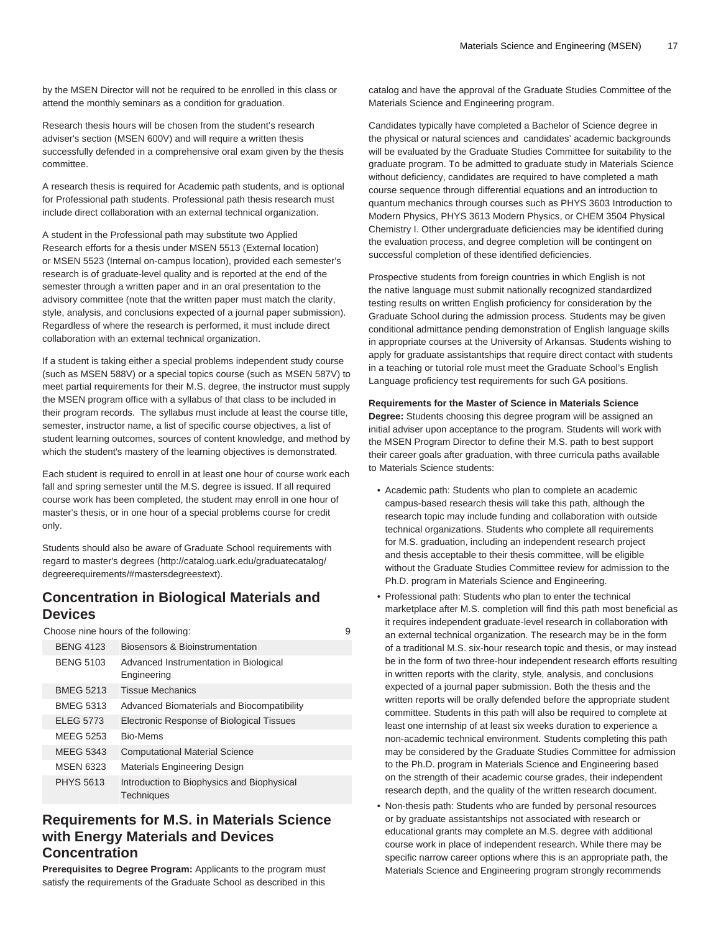by the MSEN Director will not be required to be enrolled in this class or attend the monthly seminars as a condition for graduation.

Research thesis hours will be chosen from the student's research adviser's section (MSEN 600V) and will require a written thesis successfully defended in a comprehensive oral exam given by the thesis committee.

A research thesis is required for Academic path students, and is optional for Professional path students. Professional path thesis research must include direct collaboration with an external technical organization.

A student in the Professional path may substitute two Applied Research efforts for a thesis under MSEN 5513 (External location) or MSEN 5523 (Internal on-campus location), provided each semester's research is of graduate-level quality and is reported at the end of the semester through a written paper and in an oral presentation to the advisory committee (note that the written paper must match the clarity, style, analysis, and conclusions expected of a journal paper submission). Regardless of where the research is performed, it must include direct collaboration with an external technical organization.

If a student is taking either a special problems independent study course (such as MSEN 588V) or a special topics course (such as MSEN 587V) to meet partial requirements for their M.S. degree, the instructor must supply the MSEN program office with a syllabus of that class to be included in their program records. The syllabus must include at least the course title, semester, instructor name, a list of specific course objectives, a list of student learning outcomes, sources of content knowledge, and method by which the student's mastery of the learning objectives is demonstrated.

Each student is required to enroll in at least one hour of course work each fall and spring semester until the M.S. degree is issued. If all required course work has been completed, the student may enroll in one hour of master's thesis, or in one hour of a special problems course for credit only.

Students should also be aware of Graduate School requirements with regard to [master's degrees](http://catalog.uark.edu/graduatecatalog/degreerequirements/#mastersdegreestext) [\(http://catalog.uark.edu/graduatecatalog/](http://catalog.uark.edu/graduatecatalog/degreerequirements/#mastersdegreestext) [degreerequirements/#mastersdegreestext\)](http://catalog.uark.edu/graduatecatalog/degreerequirements/#mastersdegreestext).

### **Concentration in Biological Materials and Devices**

Choose nine hours of the following: 9

| <b>BENG 4123</b> | Biosensors & Bioinstrumentation                                 |
|------------------|-----------------------------------------------------------------|
| <b>BENG 5103</b> | Advanced Instrumentation in Biological<br>Engineering           |
| <b>BMEG 5213</b> | <b>Tissue Mechanics</b>                                         |
| <b>BMEG 5313</b> | Advanced Biomaterials and Biocompatibility                      |
| <b>ELEG 5773</b> | Electronic Response of Biological Tissues                       |
| <b>MEEG 5253</b> | Bio-Mems                                                        |
| <b>MEEG 5343</b> | <b>Computational Material Science</b>                           |
| <b>MSEN 6323</b> | Materials Engineering Design                                    |
| <b>PHYS 5613</b> | Introduction to Biophysics and Biophysical<br><b>Techniques</b> |

# **Requirements for M.S. in Materials Science with Energy Materials and Devices Concentration**

**Prerequisites to Degree Program:** Applicants to the program must satisfy the requirements of the Graduate School as described in this

catalog and have the approval of the Graduate Studies Committee of the Materials Science and Engineering program.

Candidates typically have completed a Bachelor of Science degree in the physical or natural sciences and candidates' academic backgrounds will be evaluated by the Graduate Studies Committee for suitability to the graduate program. To be admitted to graduate study in Materials Science without deficiency, candidates are required to have completed a math course sequence through differential equations and an introduction to quantum mechanics through courses such as PHYS 3603 Introduction to Modern Physics, PHYS 3613 Modern Physics, or CHEM 3504 Physical Chemistry I. Other undergraduate deficiencies may be identified during the evaluation process, and degree completion will be contingent on successful completion of these identified deficiencies.

Prospective students from foreign countries in which English is not the native language must submit nationally recognized standardized testing results on written English proficiency for consideration by the Graduate School during the admission process. Students may be given conditional admittance pending demonstration of English language skills in appropriate courses at the University of Arkansas. Students wishing to apply for graduate assistantships that require direct contact with students in a teaching or tutorial role must meet the Graduate School's English Language proficiency test requirements for such GA positions.

#### **Requirements for the Master of Science in Materials Science**

**Degree:** Students choosing this degree program will be assigned an initial adviser upon acceptance to the program. Students will work with the MSEN Program Director to define their M.S. path to best support their career goals after graduation, with three curricula paths available to Materials Science students:

- Academic path: Students who plan to complete an academic campus-based research thesis will take this path, although the research topic may include funding and collaboration with outside technical organizations. Students who complete all requirements for M.S. graduation, including an independent research project and thesis acceptable to their thesis committee, will be eligible without the Graduate Studies Committee review for admission to the Ph.D. program in Materials Science and Engineering.
- Professional path: Students who plan to enter the technical marketplace after M.S. completion will find this path most beneficial as it requires independent graduate-level research in collaboration with an external technical organization. The research may be in the form of a traditional M.S. six-hour research topic and thesis, or may instead be in the form of two three-hour independent research efforts resulting in written reports with the clarity, style, analysis, and conclusions expected of a journal paper submission. Both the thesis and the written reports will be orally defended before the appropriate student committee. Students in this path will also be required to complete at least one internship of at least six weeks duration to experience a non-academic technical environment. Students completing this path may be considered by the Graduate Studies Committee for admission to the Ph.D. program in Materials Science and Engineering based on the strength of their academic course grades, their independent research depth, and the quality of the written research document.
- Non-thesis path: Students who are funded by personal resources or by graduate assistantships not associated with research or educational grants may complete an M.S. degree with additional course work in place of independent research. While there may be specific narrow career options where this is an appropriate path, the Materials Science and Engineering program strongly recommends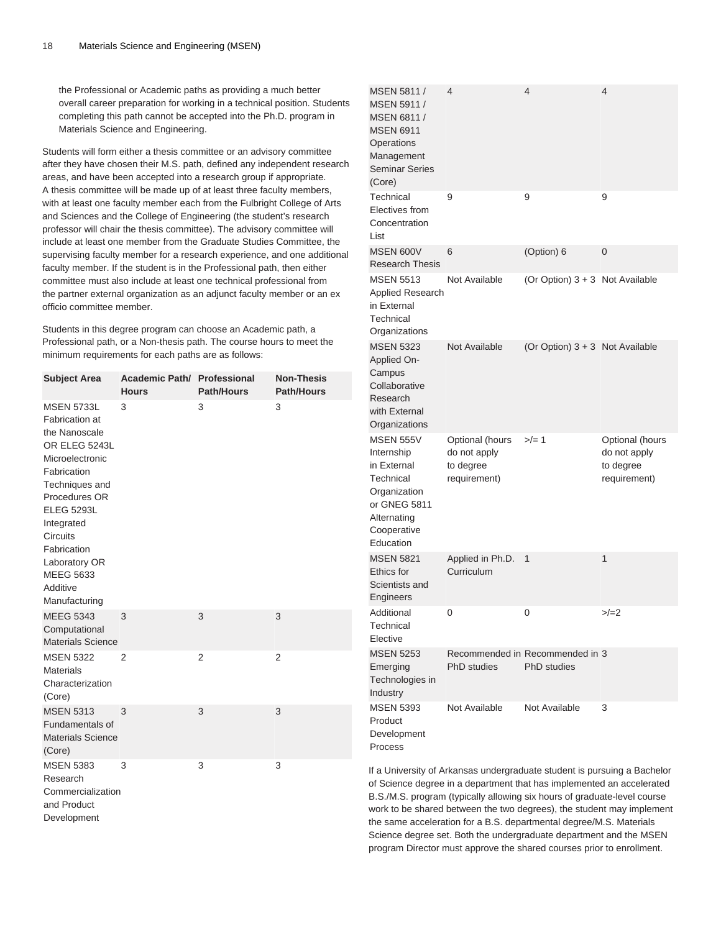the Professional or Academic paths as providing a much better overall career preparation for working in a technical position. Students completing this path cannot be accepted into the Ph.D. program in Materials Science and Engineering.

Students will form either a thesis committee or an advisory committee after they have chosen their M.S. path, defined any independent research areas, and have been accepted into a research group if appropriate. A thesis committee will be made up of at least three faculty members, with at least one faculty member each from the Fulbright College of Arts and Sciences and the College of Engineering (the student's research professor will chair the thesis committee). The advisory committee will include at least one member from the Graduate Studies Committee, the supervising faculty member for a research experience, and one additional faculty member. If the student is in the Professional path, then either committee must also include at least one technical professional from the partner external organization as an adjunct faculty member or an ex officio committee member.

Students in this degree program can choose an Academic path, a Professional path, or a Non-thesis path. The course hours to meet the minimum requirements for each paths are as follows:

| <b>Subject Area</b>                                                                                                                                                                                                                                                                      | <b>Academic Path/ Professional</b><br><b>Hours</b> | <b>Path/Hours</b> | <b>Non-Thesis</b><br><b>Path/Hours</b> |
|------------------------------------------------------------------------------------------------------------------------------------------------------------------------------------------------------------------------------------------------------------------------------------------|----------------------------------------------------|-------------------|----------------------------------------|
| <b>MSEN 5733L</b><br><b>Fabrication</b> at<br>the Nanoscale<br>OR ELEG 5243L<br>Microelectronic<br>Fabrication<br>Techniques and<br>Procedures OR<br><b>ELEG 5293L</b><br>Integrated<br><b>Circuits</b><br>Fabrication<br>Laboratory OR<br><b>MEEG 5633</b><br>Additive<br>Manufacturing | 3                                                  | 3                 | 3                                      |
| <b>MEEG 5343</b><br>Computational<br><b>Materials Science</b>                                                                                                                                                                                                                            | 3                                                  | 3                 | 3                                      |
| <b>MSEN 5322</b><br><b>Materials</b><br>Characterization<br>(Core)                                                                                                                                                                                                                       | $\overline{2}$                                     | 2                 | 2                                      |
| <b>MSEN 5313</b><br>Fundamentals of<br><b>Materials Science</b><br>(Core)                                                                                                                                                                                                                | 3                                                  | 3                 | 3                                      |
| <b>MSEN 5383</b><br>Research<br>Commercialization<br>and Product<br>Development                                                                                                                                                                                                          | 3                                                  | 3                 | 3                                      |

| MSEN 5811 /<br>MSEN 5911 /<br>MSEN 6811 /<br><b>MSEN 6911</b><br>Operations<br>Management<br><b>Seminar Series</b><br>(Core)          | 4                                                            | 4                                                     | 4                                                            |
|---------------------------------------------------------------------------------------------------------------------------------------|--------------------------------------------------------------|-------------------------------------------------------|--------------------------------------------------------------|
| Technical<br>Electives from<br>Concentration<br>List                                                                                  | 9                                                            | 9                                                     | 9                                                            |
| <b>MSEN 600V</b><br><b>Research Thesis</b>                                                                                            | 6                                                            | (Option) 6                                            | 0                                                            |
| <b>MSEN 5513</b><br>Applied Research<br>in External<br>Technical<br>Organizations                                                     | Not Available                                                | (Or Option) $3 + 3$ Not Available                     |                                                              |
| <b>MSEN 5323</b><br>Applied On-<br>Campus<br>Collaborative<br>Research<br>with External<br>Organizations                              | Not Available                                                | (Or Option) $3 + 3$ Not Available                     |                                                              |
| <b>MSEN 555V</b><br>Internship<br>in External<br>Technical<br>Organization<br>or GNEG 5811<br>Alternating<br>Cooperative<br>Education | Optional (hours<br>do not apply<br>to degree<br>requirement) | $>/- 1$                                               | Optional (hours<br>do not apply<br>to degree<br>requirement) |
| <b>MSEN 5821</b><br>Ethics for<br>Scientists and<br>Engineers                                                                         | Applied in Ph.D.<br>Curriculum                               | 1                                                     | 1                                                            |
| Additional<br>Technical<br>Elective                                                                                                   | 0                                                            | 0                                                     | >/=2                                                         |
| <b>MSEN 5253</b><br>Emerging<br>Technologies in<br>Industry                                                                           | PhD studies                                                  | Recommended in Recommended in 3<br><b>PhD</b> studies |                                                              |
| <b>MSEN 5393</b><br>Product<br>Development<br>Process                                                                                 | Not Available                                                | Not Available                                         | 3                                                            |

If a University of Arkansas undergraduate student is pursuing a Bachelor of Science degree in a department that has implemented an accelerated B.S./M.S. program (typically allowing six hours of graduate-level course work to be shared between the two degrees), the student may implement the same acceleration for a B.S. departmental degree/M.S. Materials Science degree set. Both the undergraduate department and the MSEN program Director must approve the shared courses prior to enrollment.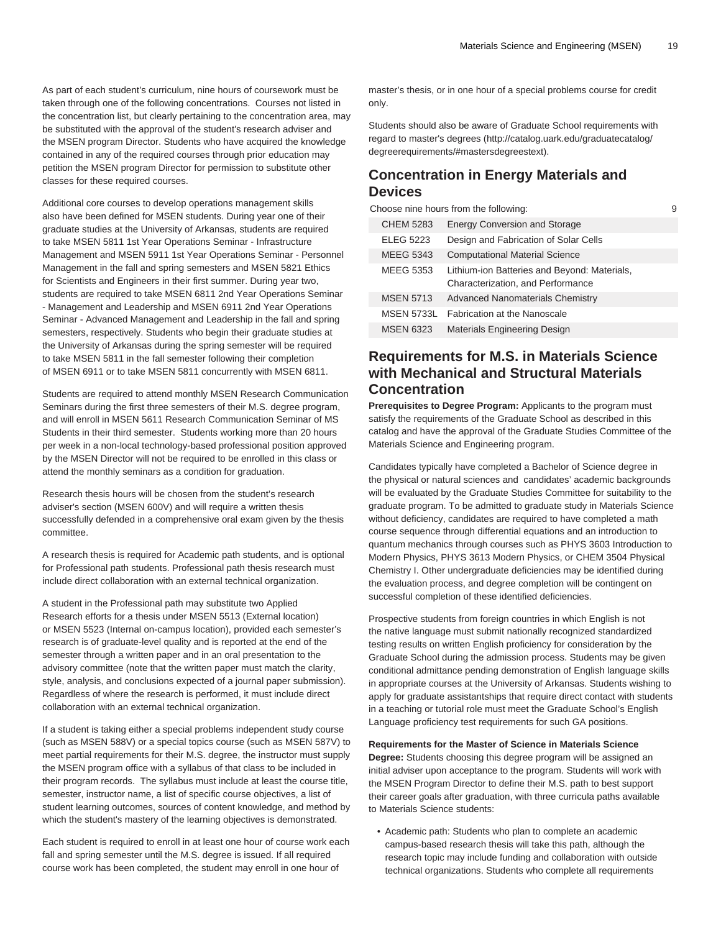As part of each student's curriculum, nine hours of coursework must be taken through one of the following concentrations. Courses not listed in the concentration list, but clearly pertaining to the concentration area, may be substituted with the approval of the student's research adviser and the MSEN program Director. Students who have acquired the knowledge contained in any of the required courses through prior education may petition the MSEN program Director for permission to substitute other classes for these required courses.

Additional core courses to develop operations management skills also have been defined for MSEN students. During year one of their graduate studies at the University of Arkansas, students are required to take MSEN 5811 1st Year Operations Seminar - Infrastructure Management and MSEN 5911 1st Year Operations Seminar - Personnel Management in the fall and spring semesters and MSEN 5821 Ethics for Scientists and Engineers in their first summer. During year two, students are required to take MSEN 6811 2nd Year Operations Seminar - Management and Leadership and MSEN 6911 2nd Year Operations Seminar - Advanced Management and Leadership in the fall and spring semesters, respectively. Students who begin their graduate studies at the University of Arkansas during the spring semester will be required to take MSEN 5811 in the fall semester following their completion of MSEN 6911 or to take MSEN 5811 concurrently with MSEN 6811.

Students are required to attend monthly MSEN Research Communication Seminars during the first three semesters of their M.S. degree program, and will enroll in MSEN 5611 Research Communication Seminar of MS Students in their third semester. Students working more than 20 hours per week in a non-local technology-based professional position approved by the MSEN Director will not be required to be enrolled in this class or attend the monthly seminars as a condition for graduation.

Research thesis hours will be chosen from the student's research adviser's section (MSEN 600V) and will require a written thesis successfully defended in a comprehensive oral exam given by the thesis committee.

A research thesis is required for Academic path students, and is optional for Professional path students. Professional path thesis research must include direct collaboration with an external technical organization.

A student in the Professional path may substitute two Applied Research efforts for a thesis under MSEN 5513 (External location) or MSEN 5523 (Internal on-campus location), provided each semester's research is of graduate-level quality and is reported at the end of the semester through a written paper and in an oral presentation to the advisory committee (note that the written paper must match the clarity, style, analysis, and conclusions expected of a journal paper submission). Regardless of where the research is performed, it must include direct collaboration with an external technical organization.

If a student is taking either a special problems independent study course (such as MSEN 588V) or a special topics course (such as MSEN 587V) to meet partial requirements for their M.S. degree, the instructor must supply the MSEN program office with a syllabus of that class to be included in their program records. The syllabus must include at least the course title, semester, instructor name, a list of specific course objectives, a list of student learning outcomes, sources of content knowledge, and method by which the student's mastery of the learning objectives is demonstrated.

Each student is required to enroll in at least one hour of course work each fall and spring semester until the M.S. degree is issued. If all required course work has been completed, the student may enroll in one hour of

master's thesis, or in one hour of a special problems course for credit only.

Students should also be aware of Graduate School requirements with regard to [master's degrees \(http://catalog.uark.edu/graduatecatalog/](http://catalog.uark.edu/graduatecatalog/degreerequirements/#mastersdegreestext) [degreerequirements/#mastersdegreestext\)](http://catalog.uark.edu/graduatecatalog/degreerequirements/#mastersdegreestext).

### **Concentration in Energy Materials and Devices**

| Choose nine hours from the following:<br>9 |                                                                                   |  |
|--------------------------------------------|-----------------------------------------------------------------------------------|--|
| <b>CHEM 5283</b>                           | <b>Energy Conversion and Storage</b>                                              |  |
| <b>ELEG 5223</b>                           | Design and Fabrication of Solar Cells                                             |  |
| <b>MEEG 5343</b>                           | <b>Computational Material Science</b>                                             |  |
| <b>MEEG 5353</b>                           | Lithium-ion Batteries and Beyond: Materials,<br>Characterization, and Performance |  |
| <b>MSEN 5713</b>                           | <b>Advanced Nanomaterials Chemistry</b>                                           |  |
| <b>MSEN 5733L</b>                          | <b>Fabrication at the Nanoscale</b>                                               |  |
| <b>MSEN 6323</b>                           | <b>Materials Engineering Design</b>                                               |  |

# **Requirements for M.S. in Materials Science with Mechanical and Structural Materials Concentration**

**Prerequisites to Degree Program:** Applicants to the program must satisfy the requirements of the Graduate School as described in this catalog and have the approval of the Graduate Studies Committee of the Materials Science and Engineering program.

Candidates typically have completed a Bachelor of Science degree in the physical or natural sciences and candidates' academic backgrounds will be evaluated by the Graduate Studies Committee for suitability to the graduate program. To be admitted to graduate study in Materials Science without deficiency, candidates are required to have completed a math course sequence through differential equations and an introduction to quantum mechanics through courses such as PHYS 3603 Introduction to Modern Physics, PHYS 3613 Modern Physics, or CHEM 3504 Physical Chemistry I. Other undergraduate deficiencies may be identified during the evaluation process, and degree completion will be contingent on successful completion of these identified deficiencies.

Prospective students from foreign countries in which English is not the native language must submit nationally recognized standardized testing results on written English proficiency for consideration by the Graduate School during the admission process. Students may be given conditional admittance pending demonstration of English language skills in appropriate courses at the University of Arkansas. Students wishing to apply for graduate assistantships that require direct contact with students in a teaching or tutorial role must meet the Graduate School's English Language proficiency test requirements for such GA positions.

**Requirements for the Master of Science in Materials Science**

**Degree:** Students choosing this degree program will be assigned an initial adviser upon acceptance to the program. Students will work with the MSEN Program Director to define their M.S. path to best support their career goals after graduation, with three curricula paths available to Materials Science students:

• Academic path: Students who plan to complete an academic campus-based research thesis will take this path, although the research topic may include funding and collaboration with outside technical organizations. Students who complete all requirements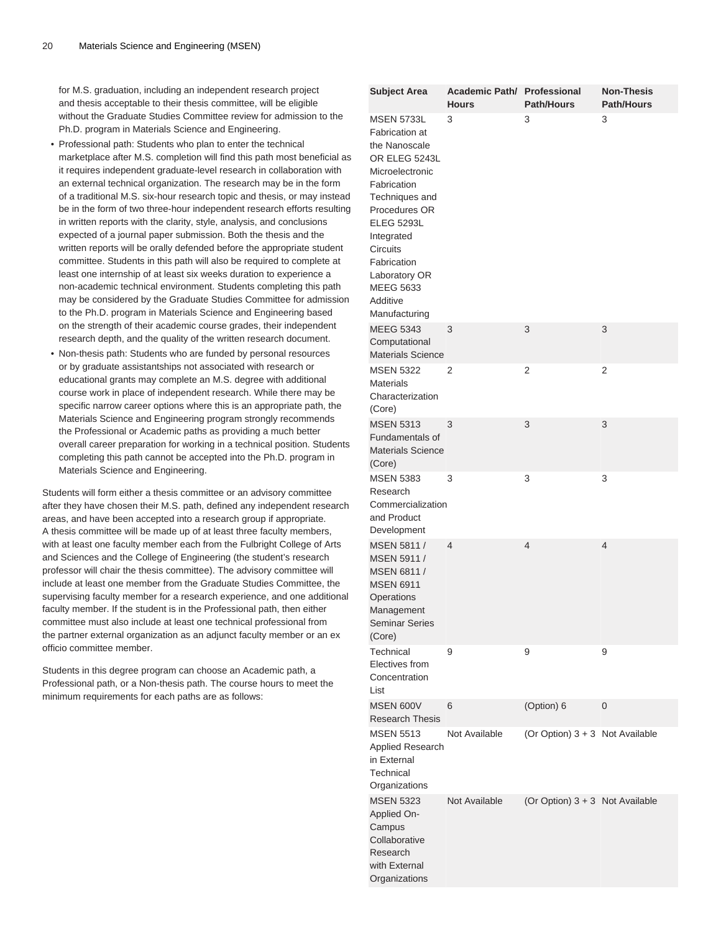for M.S. graduation, including an independent research project and thesis acceptable to their thesis committee, will be eligible without the Graduate Studies Committee review for admission to the Ph.D. program in Materials Science and Engineering.

- Professional path: Students who plan to enter the technical marketplace after M.S. completion will find this path most beneficial as it requires independent graduate-level research in collaboration with an external technical organization. The research may be in the form of a traditional M.S. six-hour research topic and thesis, or may instead be in the form of two three-hour independent research efforts resulting in written reports with the clarity, style, analysis, and conclusions expected of a journal paper submission. Both the thesis and the written reports will be orally defended before the appropriate student committee. Students in this path will also be required to complete at least one internship of at least six weeks duration to experience a non-academic technical environment. Students completing this path may be considered by the Graduate Studies Committee for admission to the Ph.D. program in Materials Science and Engineering based on the strength of their academic course grades, their independent research depth, and the quality of the written research document.
- Non-thesis path: Students who are funded by personal resources or by graduate assistantships not associated with research or educational grants may complete an M.S. degree with additional course work in place of independent research. While there may be specific narrow career options where this is an appropriate path, the Materials Science and Engineering program strongly recommends the Professional or Academic paths as providing a much better overall career preparation for working in a technical position. Students completing this path cannot be accepted into the Ph.D. program in Materials Science and Engineering.

Students will form either a thesis committee or an advisory committee after they have chosen their M.S. path, defined any independent research areas, and have been accepted into a research group if appropriate. A thesis committee will be made up of at least three faculty members, with at least one faculty member each from the Fulbright College of Arts and Sciences and the College of Engineering (the student's research professor will chair the thesis committee). The advisory committee will include at least one member from the Graduate Studies Committee, the supervising faculty member for a research experience, and one additional faculty member. If the student is in the Professional path, then either committee must also include at least one technical professional from the partner external organization as an adjunct faculty member or an ex officio committee member.

Students in this degree program can choose an Academic path, a Professional path, or a Non-thesis path. The course hours to meet the minimum requirements for each paths are as follows:

| <b>Subject Area</b>                                                                                                                                                                                                                                                        | Academic Path/ Professional<br><b>Hours</b> | <b>Path/Hours</b>               | <b>Non-Thesis</b><br><b>Path/Hours</b> |
|----------------------------------------------------------------------------------------------------------------------------------------------------------------------------------------------------------------------------------------------------------------------------|---------------------------------------------|---------------------------------|----------------------------------------|
| <b>MSEN 5733L</b><br>Fabrication at<br>the Nanoscale<br>OR ELEG 5243L<br>Microelectronic<br>Fabrication<br>Techniques and<br>Procedures OR<br><b>ELEG 5293L</b><br>Integrated<br>Circuits<br>Fabrication<br>Laboratory OR<br><b>MEEG 5633</b><br>Additive<br>Manufacturing | 3                                           | 3                               | 3                                      |
| <b>MEEG 5343</b><br>Computational<br><b>Materials Science</b>                                                                                                                                                                                                              | 3                                           | 3                               | 3                                      |
| <b>MSEN 5322</b><br><b>Materials</b><br>Characterization<br>(Core)                                                                                                                                                                                                         | 2                                           | 2                               | 2                                      |
| <b>MSEN 5313</b><br><b>Fundamentals of</b><br><b>Materials Science</b><br>(Core)                                                                                                                                                                                           | 3                                           | 3                               | 3                                      |
| <b>MSEN 5383</b><br>Research<br>Commercialization<br>and Product<br>Development                                                                                                                                                                                            | 3                                           | 3                               | 3                                      |
| MSEN 5811 /<br>MSEN 5911 /<br>MSEN 6811 /<br><b>MSEN 6911</b><br>Operations<br>Management<br><b>Seminar Series</b><br>(Core)                                                                                                                                               | $\overline{4}$                              | 4                               | 4                                      |
| Technical<br>Electives from<br>Concentration<br>List                                                                                                                                                                                                                       | 9                                           | 9                               | 9                                      |
| MSEN 600V<br><b>Research Thesis</b>                                                                                                                                                                                                                                        | 6                                           | (Option) 6                      | 0                                      |
| <b>MSEN 5513</b><br>Applied Research<br>in External<br>Technical<br>Organizations                                                                                                                                                                                          | Not Available                               | (Or Option) 3 + 3 Not Available |                                        |
| <b>MSEN 5323</b><br>Applied On-<br>Campus<br>Collaborative<br>Research<br>with External<br>Organizations                                                                                                                                                                   | Not Available                               | (Or Option) 3 + 3 Not Available |                                        |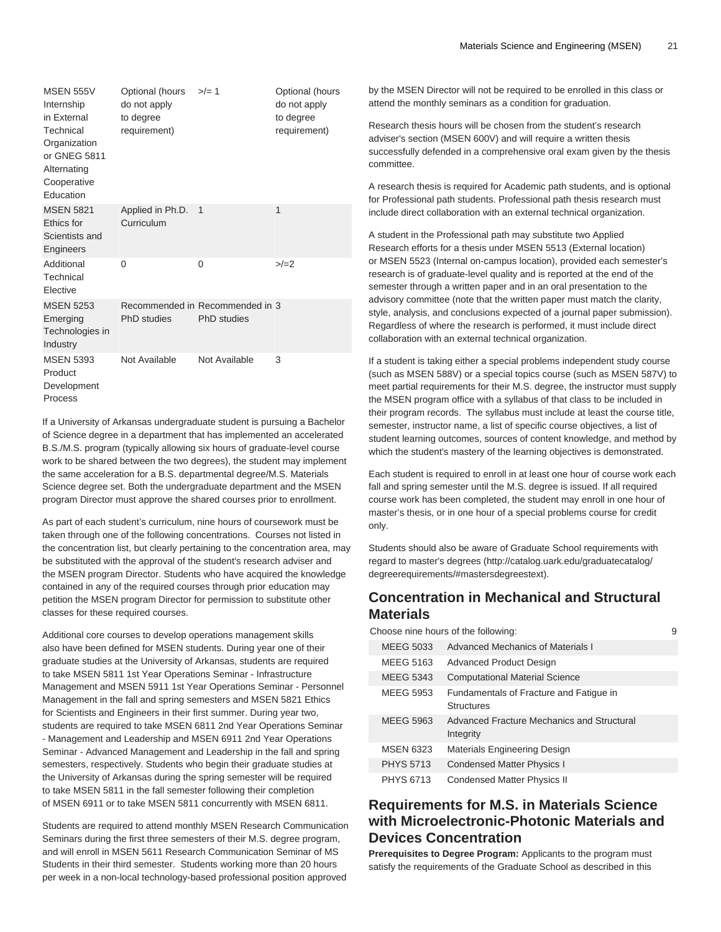| <b>MSEN 555V</b><br>Internship<br>in External<br>Technical<br>Organization<br>or GNEG 5811<br>Alternating<br>Cooperative<br>Education | Optional (hours<br>do not apply<br>to degree<br>requirement) | $>$ /= 1                                              | Optional (hours<br>do not apply<br>to degree<br>requirement) |
|---------------------------------------------------------------------------------------------------------------------------------------|--------------------------------------------------------------|-------------------------------------------------------|--------------------------------------------------------------|
| <b>MSEN 5821</b><br>Ethics for<br>Scientists and<br>Engineers                                                                         | Applied in Ph.D.<br>Curriculum                               | 1                                                     | 1                                                            |
| Additional<br>Technical<br>Elective                                                                                                   | $\Omega$                                                     | 0                                                     | >2                                                           |
| <b>MSEN 5253</b><br>Emerging<br>Technologies in<br>Industry                                                                           | PhD studies                                                  | Recommended in Recommended in 3<br><b>PhD</b> studies |                                                              |
| <b>MSEN 5393</b><br>Product<br>Development<br>Process                                                                                 | Not Available                                                | Not Available                                         | 3                                                            |

If a University of Arkansas undergraduate student is pursuing a Bachelor of Science degree in a department that has implemented an accelerated B.S./M.S. program (typically allowing six hours of graduate-level course work to be shared between the two degrees), the student may implement the same acceleration for a B.S. departmental degree/M.S. Materials Science degree set. Both the undergraduate department and the MSEN program Director must approve the shared courses prior to enrollment.

As part of each student's curriculum, nine hours of coursework must be taken through one of the following concentrations. Courses not listed in the concentration list, but clearly pertaining to the concentration area, may be substituted with the approval of the student's research adviser and the MSEN program Director. Students who have acquired the knowledge contained in any of the required courses through prior education may petition the MSEN program Director for permission to substitute other classes for these required courses.

Additional core courses to develop operations management skills also have been defined for MSEN students. During year one of their graduate studies at the University of Arkansas, students are required to take MSEN 5811 1st Year Operations Seminar - Infrastructure Management and MSEN 5911 1st Year Operations Seminar - Personnel Management in the fall and spring semesters and MSEN 5821 Ethics for Scientists and Engineers in their first summer. During year two, students are required to take MSEN 6811 2nd Year Operations Seminar - Management and Leadership and MSEN 6911 2nd Year Operations Seminar - Advanced Management and Leadership in the fall and spring semesters, respectively. Students who begin their graduate studies at the University of Arkansas during the spring semester will be required to take MSEN 5811 in the fall semester following their completion of MSEN 6911 or to take MSEN 5811 concurrently with MSEN 6811.

Students are required to attend monthly MSEN Research Communication Seminars during the first three semesters of their M.S. degree program, and will enroll in MSEN 5611 Research Communication Seminar of MS Students in their third semester. Students working more than 20 hours per week in a non-local technology-based professional position approved

by the MSEN Director will not be required to be enrolled in this class or attend the monthly seminars as a condition for graduation.

Research thesis hours will be chosen from the student's research adviser's section (MSEN 600V) and will require a written thesis successfully defended in a comprehensive oral exam given by the thesis committee.

A research thesis is required for Academic path students, and is optional for Professional path students. Professional path thesis research must include direct collaboration with an external technical organization.

A student in the Professional path may substitute two Applied Research efforts for a thesis under MSEN 5513 (External location) or MSEN 5523 (Internal on-campus location), provided each semester's research is of graduate-level quality and is reported at the end of the semester through a written paper and in an oral presentation to the advisory committee (note that the written paper must match the clarity, style, analysis, and conclusions expected of a journal paper submission). Regardless of where the research is performed, it must include direct collaboration with an external technical organization.

If a student is taking either a special problems independent study course (such as MSEN 588V) or a special topics course (such as MSEN 587V) to meet partial requirements for their M.S. degree, the instructor must supply the MSEN program office with a syllabus of that class to be included in their program records. The syllabus must include at least the course title, semester, instructor name, a list of specific course objectives, a list of student learning outcomes, sources of content knowledge, and method by which the student's mastery of the learning objectives is demonstrated.

Each student is required to enroll in at least one hour of course work each fall and spring semester until the M.S. degree is issued. If all required course work has been completed, the student may enroll in one hour of master's thesis, or in one hour of a special problems course for credit only.

Students should also be aware of Graduate School requirements with regard to [master's degrees \(http://catalog.uark.edu/graduatecatalog/](http://catalog.uark.edu/graduatecatalog/degreerequirements/#mastersdegreestext) [degreerequirements/#mastersdegreestext\)](http://catalog.uark.edu/graduatecatalog/degreerequirements/#mastersdegreestext).

### **Concentration in Mechanical and Structural Materials**

| Choose nine hours of the following:<br>9 |                                                              |  |
|------------------------------------------|--------------------------------------------------------------|--|
| MEEG 5033                                | Advanced Mechanics of Materials I                            |  |
| <b>MEEG 5163</b>                         | <b>Advanced Product Design</b>                               |  |
| MEEG 5343                                | <b>Computational Material Science</b>                        |  |
| <b>MEEG 5953</b>                         | Fundamentals of Fracture and Fatigue in<br><b>Structures</b> |  |
| <b>MEEG 5963</b>                         | Advanced Fracture Mechanics and Structural<br>Integrity      |  |
| <b>MSEN 6323</b>                         | Materials Engineering Design                                 |  |
| <b>PHYS 5713</b>                         | <b>Condensed Matter Physics I</b>                            |  |
| <b>PHYS 6713</b>                         | Condensed Matter Physics II                                  |  |

### **Requirements for M.S. in Materials Science with Microelectronic-Photonic Materials and Devices Concentration**

**Prerequisites to Degree Program:** Applicants to the program must satisfy the requirements of the Graduate School as described in this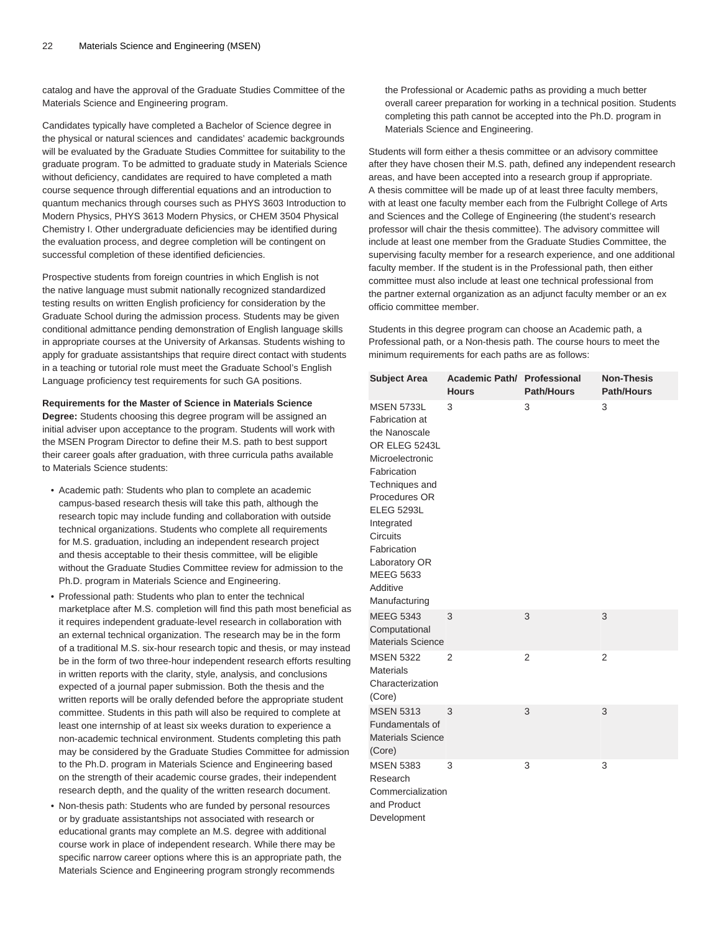catalog and have the approval of the Graduate Studies Committee of the Materials Science and Engineering program.

Candidates typically have completed a Bachelor of Science degree in the physical or natural sciences and candidates' academic backgrounds will be evaluated by the Graduate Studies Committee for suitability to the graduate program. To be admitted to graduate study in Materials Science without deficiency, candidates are required to have completed a math course sequence through differential equations and an introduction to quantum mechanics through courses such as PHYS 3603 Introduction to Modern Physics, PHYS 3613 Modern Physics, or CHEM 3504 Physical Chemistry I. Other undergraduate deficiencies may be identified during the evaluation process, and degree completion will be contingent on successful completion of these identified deficiencies.

Prospective students from foreign countries in which English is not the native language must submit nationally recognized standardized testing results on written English proficiency for consideration by the Graduate School during the admission process. Students may be given conditional admittance pending demonstration of English language skills in appropriate courses at the University of Arkansas. Students wishing to apply for graduate assistantships that require direct contact with students in a teaching or tutorial role must meet the Graduate School's English Language proficiency test requirements for such GA positions.

**Requirements for the Master of Science in Materials Science**

**Degree:** Students choosing this degree program will be assigned an initial adviser upon acceptance to the program. Students will work with the MSEN Program Director to define their M.S. path to best support their career goals after graduation, with three curricula paths available to Materials Science students:

- Academic path: Students who plan to complete an academic campus-based research thesis will take this path, although the research topic may include funding and collaboration with outside technical organizations. Students who complete all requirements for M.S. graduation, including an independent research project and thesis acceptable to their thesis committee, will be eligible without the Graduate Studies Committee review for admission to the Ph.D. program in Materials Science and Engineering.
- Professional path: Students who plan to enter the technical marketplace after M.S. completion will find this path most beneficial as it requires independent graduate-level research in collaboration with an external technical organization. The research may be in the form of a traditional M.S. six-hour research topic and thesis, or may instead be in the form of two three-hour independent research efforts resulting in written reports with the clarity, style, analysis, and conclusions expected of a journal paper submission. Both the thesis and the written reports will be orally defended before the appropriate student committee. Students in this path will also be required to complete at least one internship of at least six weeks duration to experience a non-academic technical environment. Students completing this path may be considered by the Graduate Studies Committee for admission to the Ph.D. program in Materials Science and Engineering based on the strength of their academic course grades, their independent research depth, and the quality of the written research document.
- Non-thesis path: Students who are funded by personal resources or by graduate assistantships not associated with research or educational grants may complete an M.S. degree with additional course work in place of independent research. While there may be specific narrow career options where this is an appropriate path, the Materials Science and Engineering program strongly recommends

the Professional or Academic paths as providing a much better overall career preparation for working in a technical position. Students completing this path cannot be accepted into the Ph.D. program in Materials Science and Engineering.

Students will form either a thesis committee or an advisory committee after they have chosen their M.S. path, defined any independent research areas, and have been accepted into a research group if appropriate. A thesis committee will be made up of at least three faculty members, with at least one faculty member each from the Fulbright College of Arts and Sciences and the College of Engineering (the student's research professor will chair the thesis committee). The advisory committee will include at least one member from the Graduate Studies Committee, the supervising faculty member for a research experience, and one additional faculty member. If the student is in the Professional path, then either committee must also include at least one technical professional from the partner external organization as an adjunct faculty member or an ex officio committee member.

Students in this degree program can choose an Academic path, a Professional path, or a Non-thesis path. The course hours to meet the minimum requirements for each paths are as follows:

| <b>Subject Area</b>                                                                                                                                                                                                                                                               | Academic Path/ Professional<br><b>Hours</b> | <b>Path/Hours</b> | <b>Non-Thesis</b><br>Path/Hours |
|-----------------------------------------------------------------------------------------------------------------------------------------------------------------------------------------------------------------------------------------------------------------------------------|---------------------------------------------|-------------------|---------------------------------|
| <b>MSEN 5733L</b><br>Fabrication at<br>the Nanoscale<br>OR ELEG 5243L<br>Microelectronic<br>Fabrication<br>Techniques and<br>Procedures OR<br><b>ELEG 5293L</b><br>Integrated<br><b>Circuits</b><br>Fabrication<br>Laboratory OR<br><b>MEEG 5633</b><br>Additive<br>Manufacturing | 3                                           | 3                 | 3                               |
| <b>MEEG 5343</b><br>Computational<br><b>Materials Science</b>                                                                                                                                                                                                                     | 3                                           | 3                 | 3                               |
| <b>MSEN 5322</b><br><b>Materials</b><br>Characterization<br>(Core)                                                                                                                                                                                                                | 2                                           | 2                 | 2                               |
| <b>MSEN 5313</b><br>Fundamentals of<br><b>Materials Science</b><br>(Core)                                                                                                                                                                                                         | 3                                           | 3                 | 3                               |
| <b>MSEN 5383</b><br>Research<br>Commercialization<br>and Product<br>Development                                                                                                                                                                                                   | 3                                           | 3                 | 3                               |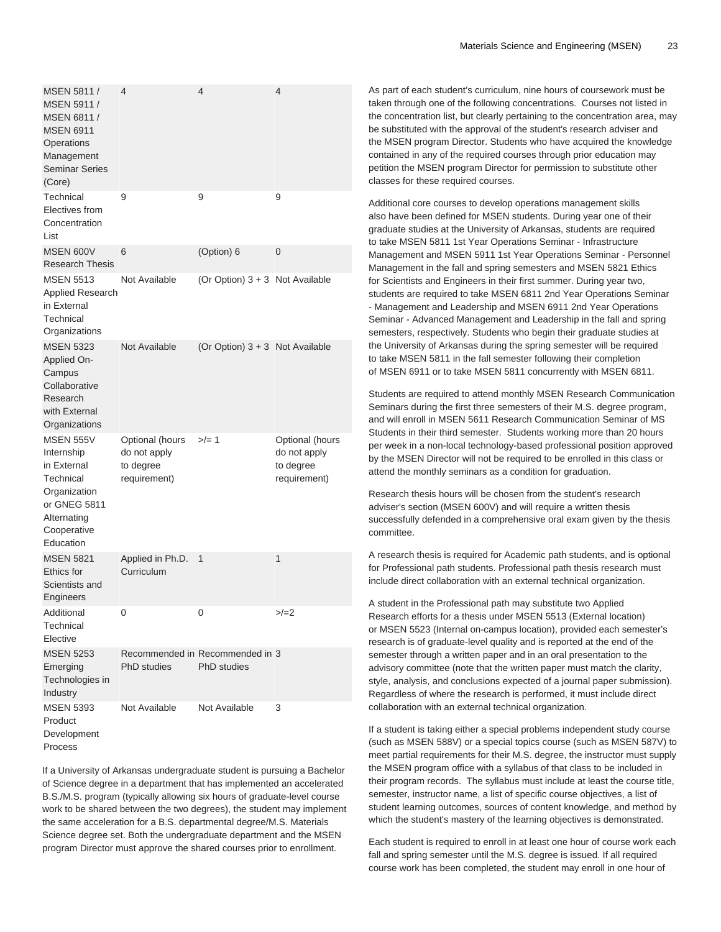| MSEN 5811 /<br>MSEN 5911 /<br>MSEN 6811 /<br><b>MSEN 6911</b><br>Operations<br>Management<br><b>Seminar Series</b><br>(Core)          | 4                                                            | 4                                                     | 4                                                            |
|---------------------------------------------------------------------------------------------------------------------------------------|--------------------------------------------------------------|-------------------------------------------------------|--------------------------------------------------------------|
| Technical<br>Electives from<br>Concentration<br>List                                                                                  | 9                                                            | 9                                                     | 9                                                            |
| <b>MSEN 600V</b><br><b>Research Thesis</b>                                                                                            | 6                                                            | (Option) 6                                            | 0                                                            |
| <b>MSEN 5513</b><br><b>Applied Research</b><br>in External<br>Technical<br>Organizations                                              | Not Available                                                | (Or Option) 3 + 3 Not Available                       |                                                              |
| <b>MSEN 5323</b><br>Applied On-<br>Campus<br>Collaborative<br>Research<br>with External<br>Organizations                              | Not Available                                                | (Or Option) 3 + 3 Not Available                       |                                                              |
| <b>MSEN 555V</b><br>Internship<br>in External<br>Technical<br>Organization<br>or GNEG 5811<br>Alternating<br>Cooperative<br>Education | Optional (hours<br>do not apply<br>to degree<br>requirement) | $>$ /= 1                                              | Optional (hours<br>do not apply<br>to degree<br>requirement) |
| <b>MSEN 5821</b><br>Ethics for<br>Scientists and<br>Engineers                                                                         | Applied in Ph.D.<br>Curriculum                               | 1                                                     | 1                                                            |
| Additional<br>Technical<br>Elective                                                                                                   | 0                                                            | 0                                                     | $>/-2$                                                       |
| <b>MSEN 5253</b><br>Emerging<br>Technologies in<br>Industry                                                                           | <b>PhD</b> studies                                           | Recommended in Recommended in 3<br><b>PhD</b> studies |                                                              |
| <b>MSEN 5393</b><br>Product<br>Development<br>Process                                                                                 | Not Available                                                | Not Available                                         | 3                                                            |

If a University of Arkansas undergraduate student is pursuing a Bachelor of Science degree in a department that has implemented an accelerated B.S./M.S. program (typically allowing six hours of graduate-level course work to be shared between the two degrees), the student may implement the same acceleration for a B.S. departmental degree/M.S. Materials Science degree set. Both the undergraduate department and the MSEN program Director must approve the shared courses prior to enrollment.

As part of each student's curriculum, nine hours of coursework must be taken through one of the following concentrations. Courses not listed in the concentration list, but clearly pertaining to the concentration area, may be substituted with the approval of the student's research adviser and the MSEN program Director. Students who have acquired the knowledge contained in any of the required courses through prior education may petition the MSEN program Director for permission to substitute other classes for these required courses.

Additional core courses to develop operations management skills also have been defined for MSEN students. During year one of their graduate studies at the University of Arkansas, students are required to take MSEN 5811 1st Year Operations Seminar - Infrastructure Management and MSEN 5911 1st Year Operations Seminar - Personnel Management in the fall and spring semesters and MSEN 5821 Ethics for Scientists and Engineers in their first summer. During year two, students are required to take MSEN 6811 2nd Year Operations Seminar - Management and Leadership and MSEN 6911 2nd Year Operations Seminar - Advanced Management and Leadership in the fall and spring semesters, respectively. Students who begin their graduate studies at the University of Arkansas during the spring semester will be required to take MSEN 5811 in the fall semester following their completion of MSEN 6911 or to take MSEN 5811 concurrently with MSEN 6811.

Students are required to attend monthly MSEN Research Communication Seminars during the first three semesters of their M.S. degree program, and will enroll in MSEN 5611 Research Communication Seminar of MS Students in their third semester. Students working more than 20 hours per week in a non-local technology-based professional position approved by the MSEN Director will not be required to be enrolled in this class or attend the monthly seminars as a condition for graduation.

Research thesis hours will be chosen from the student's research adviser's section (MSEN 600V) and will require a written thesis successfully defended in a comprehensive oral exam given by the thesis committee.

A research thesis is required for Academic path students, and is optional for Professional path students. Professional path thesis research must include direct collaboration with an external technical organization.

A student in the Professional path may substitute two Applied Research efforts for a thesis under MSEN 5513 (External location) or MSEN 5523 (Internal on-campus location), provided each semester's research is of graduate-level quality and is reported at the end of the semester through a written paper and in an oral presentation to the advisory committee (note that the written paper must match the clarity, style, analysis, and conclusions expected of a journal paper submission). Regardless of where the research is performed, it must include direct collaboration with an external technical organization.

If a student is taking either a special problems independent study course (such as MSEN 588V) or a special topics course (such as MSEN 587V) to meet partial requirements for their M.S. degree, the instructor must supply the MSEN program office with a syllabus of that class to be included in their program records. The syllabus must include at least the course title, semester, instructor name, a list of specific course objectives, a list of student learning outcomes, sources of content knowledge, and method by which the student's mastery of the learning objectives is demonstrated.

Each student is required to enroll in at least one hour of course work each fall and spring semester until the M.S. degree is issued. If all required course work has been completed, the student may enroll in one hour of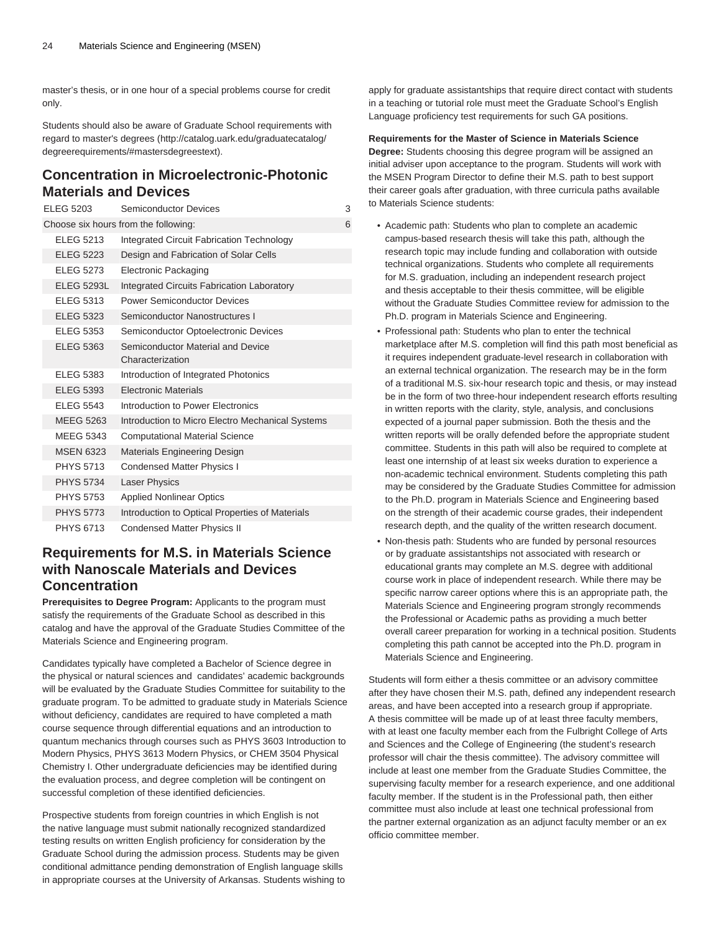master's thesis, or in one hour of a special problems course for credit only.

Students should also be aware of Graduate School requirements with regard to [master's degrees](http://catalog.uark.edu/graduatecatalog/degreerequirements/#mastersdegreestext) [\(http://catalog.uark.edu/graduatecatalog/](http://catalog.uark.edu/graduatecatalog/degreerequirements/#mastersdegreestext) [degreerequirements/#mastersdegreestext\)](http://catalog.uark.edu/graduatecatalog/degreerequirements/#mastersdegreestext).

### **Concentration in Microelectronic-Photonic Materials and Devices**

| <b>ELEG 5203</b>  | Semiconductor Devices                                 | 3 |
|-------------------|-------------------------------------------------------|---|
|                   | Choose six hours from the following:                  | 6 |
| <b>ELEG 5213</b>  | Integrated Circuit Fabrication Technology             |   |
| <b>ELEG 5223</b>  | Design and Fabrication of Solar Cells                 |   |
| <b>ELEG 5273</b>  | <b>Electronic Packaging</b>                           |   |
| <b>ELEG 5293L</b> | Integrated Circuits Fabrication Laboratory            |   |
| <b>ELEG 5313</b>  | <b>Power Semiconductor Devices</b>                    |   |
| <b>ELEG 5323</b>  | Semiconductor Nanostructures I                        |   |
| <b>ELEG 5353</b>  | Semiconductor Optoelectronic Devices                  |   |
| <b>ELEG 5363</b>  | Semiconductor Material and Device<br>Characterization |   |
| <b>ELEG 5383</b>  | Introduction of Integrated Photonics                  |   |
| <b>ELEG 5393</b>  | <b>Flectronic Materials</b>                           |   |
| <b>ELEG 5543</b>  | Introduction to Power Flectronics                     |   |
| <b>MEEG 5263</b>  | Introduction to Micro Electro Mechanical Systems      |   |
| <b>MEEG 5343</b>  | <b>Computational Material Science</b>                 |   |
| <b>MSEN 6323</b>  | Materials Engineering Design                          |   |
| <b>PHYS 5713</b>  | Condensed Matter Physics I                            |   |
| <b>PHYS 5734</b>  | <b>Laser Physics</b>                                  |   |
| <b>PHYS 5753</b>  | <b>Applied Nonlinear Optics</b>                       |   |
| <b>PHYS 5773</b>  | Introduction to Optical Properties of Materials       |   |
| <b>PHYS 6713</b>  | Condensed Matter Physics II                           |   |

# **Requirements for M.S. in Materials Science with Nanoscale Materials and Devices Concentration**

**Prerequisites to Degree Program:** Applicants to the program must satisfy the requirements of the Graduate School as described in this catalog and have the approval of the Graduate Studies Committee of the Materials Science and Engineering program.

Candidates typically have completed a Bachelor of Science degree in the physical or natural sciences and candidates' academic backgrounds will be evaluated by the Graduate Studies Committee for suitability to the graduate program. To be admitted to graduate study in Materials Science without deficiency, candidates are required to have completed a math course sequence through differential equations and an introduction to quantum mechanics through courses such as PHYS 3603 Introduction to Modern Physics, PHYS 3613 Modern Physics, or CHEM 3504 Physical Chemistry I. Other undergraduate deficiencies may be identified during the evaluation process, and degree completion will be contingent on successful completion of these identified deficiencies.

Prospective students from foreign countries in which English is not the native language must submit nationally recognized standardized testing results on written English proficiency for consideration by the Graduate School during the admission process. Students may be given conditional admittance pending demonstration of English language skills in appropriate courses at the University of Arkansas. Students wishing to apply for graduate assistantships that require direct contact with students in a teaching or tutorial role must meet the Graduate School's English Language proficiency test requirements for such GA positions.

### **Requirements for the Master of Science in Materials Science**

**Degree:** Students choosing this degree program will be assigned an initial adviser upon acceptance to the program. Students will work with the MSEN Program Director to define their M.S. path to best support their career goals after graduation, with three curricula paths available to Materials Science students:

- Academic path: Students who plan to complete an academic campus-based research thesis will take this path, although the research topic may include funding and collaboration with outside technical organizations. Students who complete all requirements for M.S. graduation, including an independent research project and thesis acceptable to their thesis committee, will be eligible without the Graduate Studies Committee review for admission to the Ph.D. program in Materials Science and Engineering.
- Professional path: Students who plan to enter the technical marketplace after M.S. completion will find this path most beneficial as it requires independent graduate-level research in collaboration with an external technical organization. The research may be in the form of a traditional M.S. six-hour research topic and thesis, or may instead be in the form of two three-hour independent research efforts resulting in written reports with the clarity, style, analysis, and conclusions expected of a journal paper submission. Both the thesis and the written reports will be orally defended before the appropriate student committee. Students in this path will also be required to complete at least one internship of at least six weeks duration to experience a non-academic technical environment. Students completing this path may be considered by the Graduate Studies Committee for admission to the Ph.D. program in Materials Science and Engineering based on the strength of their academic course grades, their independent research depth, and the quality of the written research document.
- Non-thesis path: Students who are funded by personal resources or by graduate assistantships not associated with research or educational grants may complete an M.S. degree with additional course work in place of independent research. While there may be specific narrow career options where this is an appropriate path, the Materials Science and Engineering program strongly recommends the Professional or Academic paths as providing a much better overall career preparation for working in a technical position. Students completing this path cannot be accepted into the Ph.D. program in Materials Science and Engineering.

Students will form either a thesis committee or an advisory committee after they have chosen their M.S. path, defined any independent research areas, and have been accepted into a research group if appropriate. A thesis committee will be made up of at least three faculty members, with at least one faculty member each from the Fulbright College of Arts and Sciences and the College of Engineering (the student's research professor will chair the thesis committee). The advisory committee will include at least one member from the Graduate Studies Committee, the supervising faculty member for a research experience, and one additional faculty member. If the student is in the Professional path, then either committee must also include at least one technical professional from the partner external organization as an adjunct faculty member or an ex officio committee member.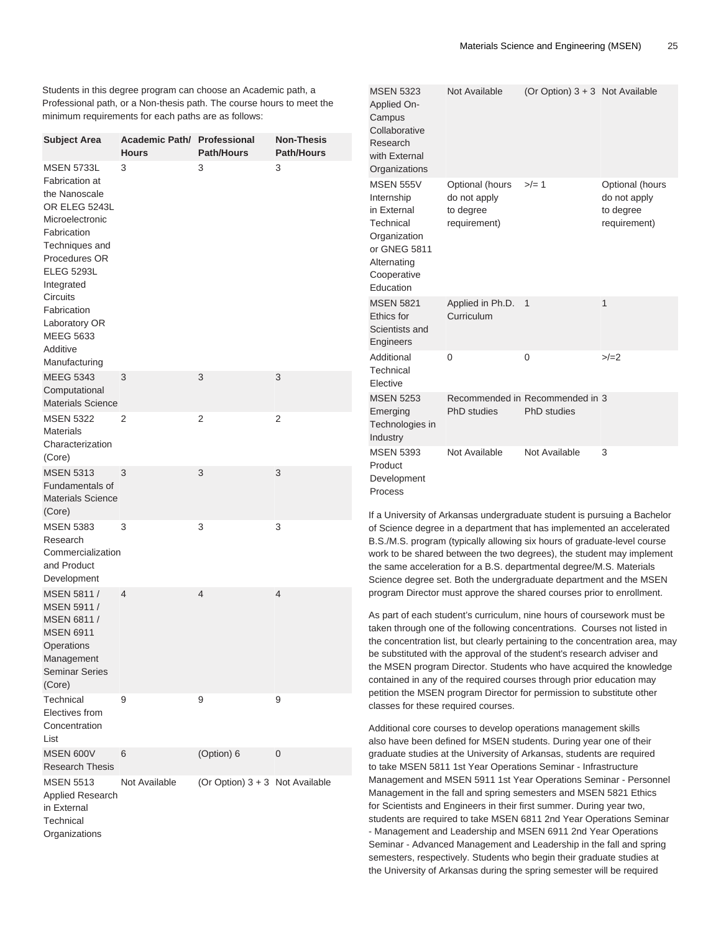Students in this degree program can choose an Academic path, a Professional path, or a Non-thesis path. The course hours to meet the minimum requirements for each paths are as follows:

| <b>Subject Area</b>                                                                                                                                                                                                                                                               | Academic Path/ Professional<br><b>Hours</b> | <b>Path/Hours</b>               | <b>Non-Thesis</b><br><b>Path/Hours</b> |
|-----------------------------------------------------------------------------------------------------------------------------------------------------------------------------------------------------------------------------------------------------------------------------------|---------------------------------------------|---------------------------------|----------------------------------------|
| <b>MSEN 5733L</b><br>Fabrication at<br>the Nanoscale<br>OR ELEG 5243L<br>Microelectronic<br>Fabrication<br>Techniques and<br>Procedures OR<br><b>ELEG 5293L</b><br>Integrated<br><b>Circuits</b><br>Fabrication<br>Laboratory OR<br><b>MEEG 5633</b><br>Additive<br>Manufacturing | 3                                           | 3                               | 3                                      |
| <b>MEEG 5343</b><br>Computational<br><b>Materials Science</b>                                                                                                                                                                                                                     | 3                                           | 3                               | 3                                      |
| <b>MSEN 5322</b><br><b>Materials</b><br>Characterization<br>(Core)                                                                                                                                                                                                                | 2                                           | 2                               | 2                                      |
| <b>MSEN 5313</b><br><b>Fundamentals of</b><br><b>Materials Science</b><br>(Core)                                                                                                                                                                                                  | 3                                           | 3                               | 3                                      |
| <b>MSEN 5383</b><br>Research<br>Commercialization<br>and Product<br>Development                                                                                                                                                                                                   | 3                                           | 3                               | 3                                      |
| MSEN 5811 /<br>MSEN 5911 /<br>MSEN 6811 /<br><b>MSEN 6911</b><br>Operations<br>Management<br><b>Seminar Series</b><br>(Core)                                                                                                                                                      | $\overline{4}$                              | 4                               | 4                                      |
| Technical<br>Electives from<br>Concentration<br>List                                                                                                                                                                                                                              | 9                                           | 9                               | 9                                      |
| <b>MSEN 600V</b><br><b>Research Thesis</b>                                                                                                                                                                                                                                        | 6                                           | (Option) 6                      | 0                                      |
| <b>MSEN 5513</b><br>Applied Research<br>in External<br>Technical<br>Organizations                                                                                                                                                                                                 | Not Available                               | (Or Option) 3 + 3 Not Available |                                        |

| <b>MSEN 5323</b><br>Applied On-<br>Campus<br>Collaborative<br>Research<br>with External<br>Organizations                              | Not Available                                                | (Or Option) $3 + 3$ Not Available                     |                                                              |
|---------------------------------------------------------------------------------------------------------------------------------------|--------------------------------------------------------------|-------------------------------------------------------|--------------------------------------------------------------|
| <b>MSEN 555V</b><br>Internship<br>in External<br>Technical<br>Organization<br>or GNEG 5811<br>Alternating<br>Cooperative<br>Education | Optional (hours<br>do not apply<br>to degree<br>requirement) | $>/- 1$                                               | Optional (hours<br>do not apply<br>to degree<br>requirement) |
| <b>MSEN 5821</b><br>Ethics for<br>Scientists and<br>Engineers                                                                         | Applied in Ph.D.<br>Curriculum                               | 1                                                     | $\mathbf 1$                                                  |
| Additional<br>Technical<br>Elective                                                                                                   | $\Omega$                                                     | 0                                                     | $>/-2$                                                       |
| <b>MSEN 5253</b><br>Emerging<br>Technologies in<br>Industry                                                                           | <b>PhD</b> studies                                           | Recommended in Recommended in 3<br><b>PhD</b> studies |                                                              |
| <b>MSEN 5393</b><br>Product<br>Development<br>Process                                                                                 | Not Available                                                | Not Available                                         | 3                                                            |

If a University of Arkansas undergraduate student is pursuing a Bachelor of Science degree in a department that has implemented an accelerated B.S./M.S. program (typically allowing six hours of graduate-level course work to be shared between the two degrees), the student may implement the same acceleration for a B.S. departmental degree/M.S. Materials Science degree set. Both the undergraduate department and the MSEN program Director must approve the shared courses prior to enrollment.

As part of each student's curriculum, nine hours of coursework must be taken through one of the following concentrations. Courses not listed in the concentration list, but clearly pertaining to the concentration area, may be substituted with the approval of the student's research adviser and the MSEN program Director. Students who have acquired the knowledge contained in any of the required courses through prior education may petition the MSEN program Director for permission to substitute other classes for these required courses.

Additional core courses to develop operations management skills also have been defined for MSEN students. During year one of their graduate studies at the University of Arkansas, students are required to take MSEN 5811 1st Year Operations Seminar - Infrastructure Management and MSEN 5911 1st Year Operations Seminar - Personnel Management in the fall and spring semesters and MSEN 5821 Ethics for Scientists and Engineers in their first summer. During year two, students are required to take MSEN 6811 2nd Year Operations Seminar - Management and Leadership and MSEN 6911 2nd Year Operations Seminar - Advanced Management and Leadership in the fall and spring semesters, respectively. Students who begin their graduate studies at the University of Arkansas during the spring semester will be required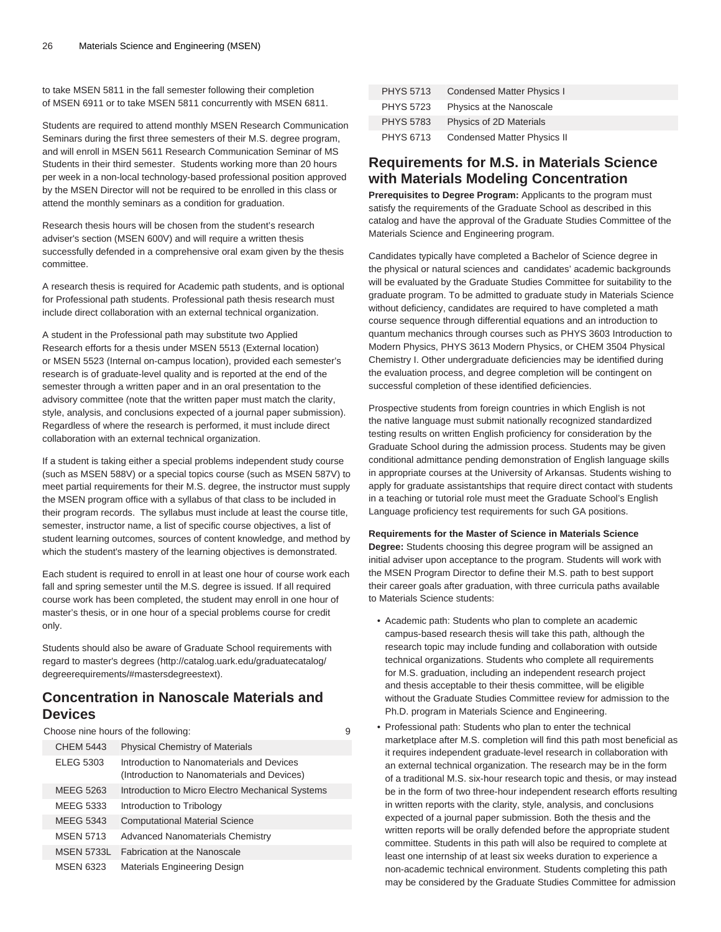to take MSEN 5811 in the fall semester following their completion of MSEN 6911 or to take MSEN 5811 concurrently with MSEN 6811.

Students are required to attend monthly MSEN Research Communication Seminars during the first three semesters of their M.S. degree program, and will enroll in MSEN 5611 Research Communication Seminar of MS Students in their third semester. Students working more than 20 hours per week in a non-local technology-based professional position approved by the MSEN Director will not be required to be enrolled in this class or attend the monthly seminars as a condition for graduation.

Research thesis hours will be chosen from the student's research adviser's section (MSEN 600V) and will require a written thesis successfully defended in a comprehensive oral exam given by the thesis committee.

A research thesis is required for Academic path students, and is optional for Professional path students. Professional path thesis research must include direct collaboration with an external technical organization.

A student in the Professional path may substitute two Applied Research efforts for a thesis under MSEN 5513 (External location) or MSEN 5523 (Internal on-campus location), provided each semester's research is of graduate-level quality and is reported at the end of the semester through a written paper and in an oral presentation to the advisory committee (note that the written paper must match the clarity, style, analysis, and conclusions expected of a journal paper submission). Regardless of where the research is performed, it must include direct collaboration with an external technical organization.

If a student is taking either a special problems independent study course (such as MSEN 588V) or a special topics course (such as MSEN 587V) to meet partial requirements for their M.S. degree, the instructor must supply the MSEN program office with a syllabus of that class to be included in their program records. The syllabus must include at least the course title, semester, instructor name, a list of specific course objectives, a list of student learning outcomes, sources of content knowledge, and method by which the student's mastery of the learning objectives is demonstrated.

Each student is required to enroll in at least one hour of course work each fall and spring semester until the M.S. degree is issued. If all required course work has been completed, the student may enroll in one hour of master's thesis, or in one hour of a special problems course for credit only.

Students should also be aware of Graduate School requirements with regard to [master's degrees](http://catalog.uark.edu/graduatecatalog/degreerequirements/#mastersdegreestext) [\(http://catalog.uark.edu/graduatecatalog/](http://catalog.uark.edu/graduatecatalog/degreerequirements/#mastersdegreestext) [degreerequirements/#mastersdegreestext\)](http://catalog.uark.edu/graduatecatalog/degreerequirements/#mastersdegreestext).

### **Concentration in Nanoscale Materials and Devices**

Choose nine hours of the following: 9

| <b>CHEM 5443</b>  | <b>Physical Chemistry of Materials</b>                                                   |
|-------------------|------------------------------------------------------------------------------------------|
| ELEG 5303         | Introduction to Nanomaterials and Devices<br>(Introduction to Nanomaterials and Devices) |
| MEEG 5263         | Introduction to Micro Electro Mechanical Systems                                         |
| MEEG 5333         | Introduction to Tribology                                                                |
| MEEG 5343         | <b>Computational Material Science</b>                                                    |
| <b>MSEN 5713</b>  | <b>Advanced Nanomaterials Chemistry</b>                                                  |
| <b>MSEN 5733L</b> | <b>Fabrication at the Nanoscale</b>                                                      |
| <b>MSEN 6323</b>  | Materials Engineering Design                                                             |

| <b>PHYS 5713</b> | Condensed Matter Physics I  |
|------------------|-----------------------------|
| <b>PHYS 5723</b> | Physics at the Nanoscale    |
| <b>PHYS 5783</b> | Physics of 2D Materials     |
| PHYS 6713        | Condensed Matter Physics II |

### **Requirements for M.S. in Materials Science with Materials Modeling Concentration**

**Prerequisites to Degree Program:** Applicants to the program must satisfy the requirements of the Graduate School as described in this catalog and have the approval of the Graduate Studies Committee of the Materials Science and Engineering program.

Candidates typically have completed a Bachelor of Science degree in the physical or natural sciences and candidates' academic backgrounds will be evaluated by the Graduate Studies Committee for suitability to the graduate program. To be admitted to graduate study in Materials Science without deficiency, candidates are required to have completed a math course sequence through differential equations and an introduction to quantum mechanics through courses such as PHYS 3603 Introduction to Modern Physics, PHYS 3613 Modern Physics, or CHEM 3504 Physical Chemistry I. Other undergraduate deficiencies may be identified during the evaluation process, and degree completion will be contingent on successful completion of these identified deficiencies.

Prospective students from foreign countries in which English is not the native language must submit nationally recognized standardized testing results on written English proficiency for consideration by the Graduate School during the admission process. Students may be given conditional admittance pending demonstration of English language skills in appropriate courses at the University of Arkansas. Students wishing to apply for graduate assistantships that require direct contact with students in a teaching or tutorial role must meet the Graduate School's English Language proficiency test requirements for such GA positions.

#### **Requirements for the Master of Science in Materials Science**

**Degree:** Students choosing this degree program will be assigned an initial adviser upon acceptance to the program. Students will work with the MSEN Program Director to define their M.S. path to best support their career goals after graduation, with three curricula paths available to Materials Science students:

- Academic path: Students who plan to complete an academic campus-based research thesis will take this path, although the research topic may include funding and collaboration with outside technical organizations. Students who complete all requirements for M.S. graduation, including an independent research project and thesis acceptable to their thesis committee, will be eligible without the Graduate Studies Committee review for admission to the Ph.D. program in Materials Science and Engineering.
- Professional path: Students who plan to enter the technical marketplace after M.S. completion will find this path most beneficial as it requires independent graduate-level research in collaboration with an external technical organization. The research may be in the form of a traditional M.S. six-hour research topic and thesis, or may instead be in the form of two three-hour independent research efforts resulting in written reports with the clarity, style, analysis, and conclusions expected of a journal paper submission. Both the thesis and the written reports will be orally defended before the appropriate student committee. Students in this path will also be required to complete at least one internship of at least six weeks duration to experience a non-academic technical environment. Students completing this path may be considered by the Graduate Studies Committee for admission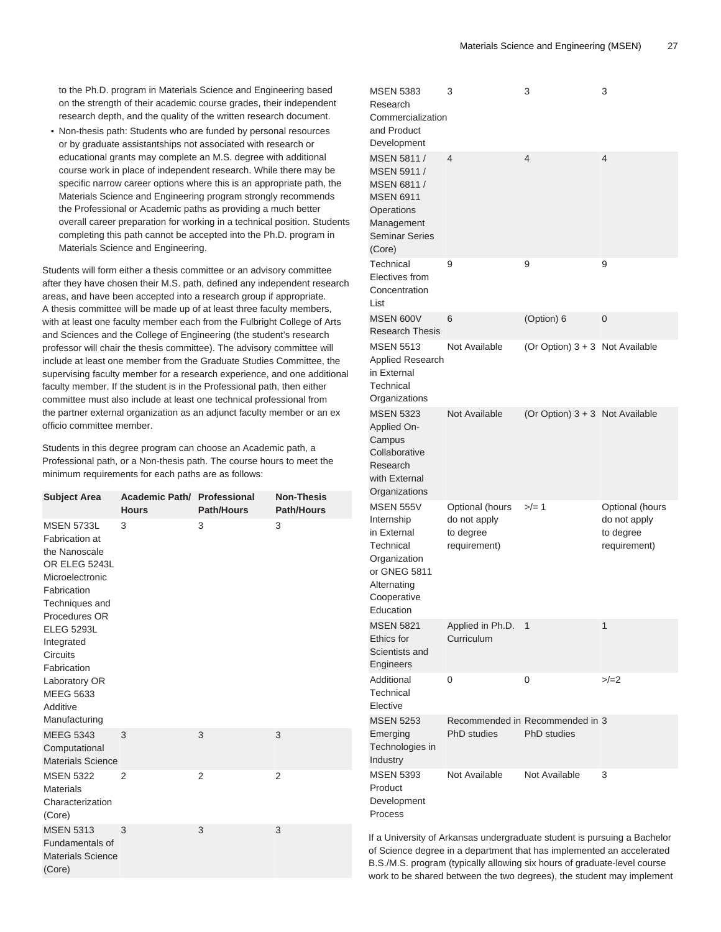to the Ph.D. program in Materials Science and Engineering based on the strength of their academic course grades, their independent research depth, and the quality of the written research document.

• Non-thesis path: Students who are funded by personal resources or by graduate assistantships not associated with research or educational grants may complete an M.S. degree with additional course work in place of independent research. While there may be specific narrow career options where this is an appropriate path, the Materials Science and Engineering program strongly recommends the Professional or Academic paths as providing a much better overall career preparation for working in a technical position. Students completing this path cannot be accepted into the Ph.D. program in Materials Science and Engineering.

Students will form either a thesis committee or an advisory committee after they have chosen their M.S. path, defined any independent research areas, and have been accepted into a research group if appropriate. A thesis committee will be made up of at least three faculty members, with at least one faculty member each from the Fulbright College of Arts and Sciences and the College of Engineering (the student's research professor will chair the thesis committee). The advisory committee will include at least one member from the Graduate Studies Committee, the supervising faculty member for a research experience, and one additional faculty member. If the student is in the Professional path, then either committee must also include at least one technical professional from the partner external organization as an adjunct faculty member or an ex officio committee member.

Students in this degree program can choose an Academic path, a Professional path, or a Non-thesis path. The course hours to meet the minimum requirements for each paths are as follows:

| <b>Subject Area</b>                                                                                                                                                                                                                                                               | <b>Academic Path/ Professional</b><br><b>Hours</b> | <b>Path/Hours</b> | <b>Non-Thesis</b><br><b>Path/Hours</b> |
|-----------------------------------------------------------------------------------------------------------------------------------------------------------------------------------------------------------------------------------------------------------------------------------|----------------------------------------------------|-------------------|----------------------------------------|
| <b>MSEN 5733L</b><br>Fabrication at<br>the Nanoscale<br>OR ELEG 5243L<br>Microelectronic<br>Fabrication<br>Techniques and<br>Procedures OR<br><b>ELEG 5293L</b><br>Integrated<br><b>Circuits</b><br>Fabrication<br>Laboratory OR<br><b>MEEG 5633</b><br>Additive<br>Manufacturing | 3                                                  | 3                 | 3                                      |
| <b>MEEG 5343</b><br>Computational<br><b>Materials Science</b>                                                                                                                                                                                                                     | 3                                                  | 3                 | 3                                      |
| <b>MSEN 5322</b><br><b>Materials</b><br>Characterization<br>(Core)                                                                                                                                                                                                                | 2                                                  | 2                 | $\overline{2}$                         |
| <b>MSEN 5313</b><br>Fundamentals of<br><b>Materials Science</b><br>(Core)                                                                                                                                                                                                         | 3                                                  | 3                 | 3                                      |

| <b>MSEN 5383</b><br>Research<br>Commercialization<br>and Product<br>Development                                                       | 3                                                            | 3                                                     | 3                                                            |
|---------------------------------------------------------------------------------------------------------------------------------------|--------------------------------------------------------------|-------------------------------------------------------|--------------------------------------------------------------|
| MSEN 5811 /<br>MSEN 5911 /<br>MSEN 6811 /<br><b>MSEN 6911</b><br>Operations<br>Management<br><b>Seminar Series</b><br>(Core)          | 4                                                            | $\overline{4}$                                        | 4                                                            |
| Technical<br>Electives from<br>Concentration<br>List                                                                                  | 9                                                            | 9                                                     | 9                                                            |
| <b>MSEN 600V</b><br><b>Research Thesis</b>                                                                                            | 6                                                            | (Option) 6                                            | 0                                                            |
| <b>MSEN 5513</b><br><b>Applied Research</b><br>in External<br>Technical<br>Organizations                                              | Not Available                                                | (Or Option) 3 + 3 Not Available                       |                                                              |
| <b>MSEN 5323</b><br>Applied On-<br>Campus<br>Collaborative<br>Research<br>with External<br>Organizations                              | Not Available                                                | (Or Option) 3 + 3 Not Available                       |                                                              |
| <b>MSEN 555V</b><br>Internship<br>in External<br>Technical<br>Organization<br>or GNEG 5811<br>Alternating<br>Cooperative<br>Education | Optional (hours<br>do not apply<br>to degree<br>requirement) | $>/- 1$                                               | Optional (hours<br>do not apply<br>to degree<br>requirement) |
| <b>MSEN 5821</b><br>Ethics for<br>Scientists and<br>Engineers                                                                         | Applied in Ph.D.<br>Curriculum                               | 1                                                     | 1                                                            |
| Additional<br>Technical<br>Elective                                                                                                   | 0                                                            | 0                                                     | $>/-2$                                                       |
| <b>MSEN 5253</b><br>Emerging<br>Technologies in<br>Industry                                                                           | PhD studies                                                  | Recommended in Recommended in 3<br><b>PhD</b> studies |                                                              |
| <b>MSEN 5393</b><br>Product<br>Development<br>Process                                                                                 | Not Available                                                | Not Available                                         | 3                                                            |

If a University of Arkansas undergraduate student is pursuing a Bachelor of Science degree in a department that has implemented an accelerated B.S./M.S. program (typically allowing six hours of graduate-level course work to be shared between the two degrees), the student may implement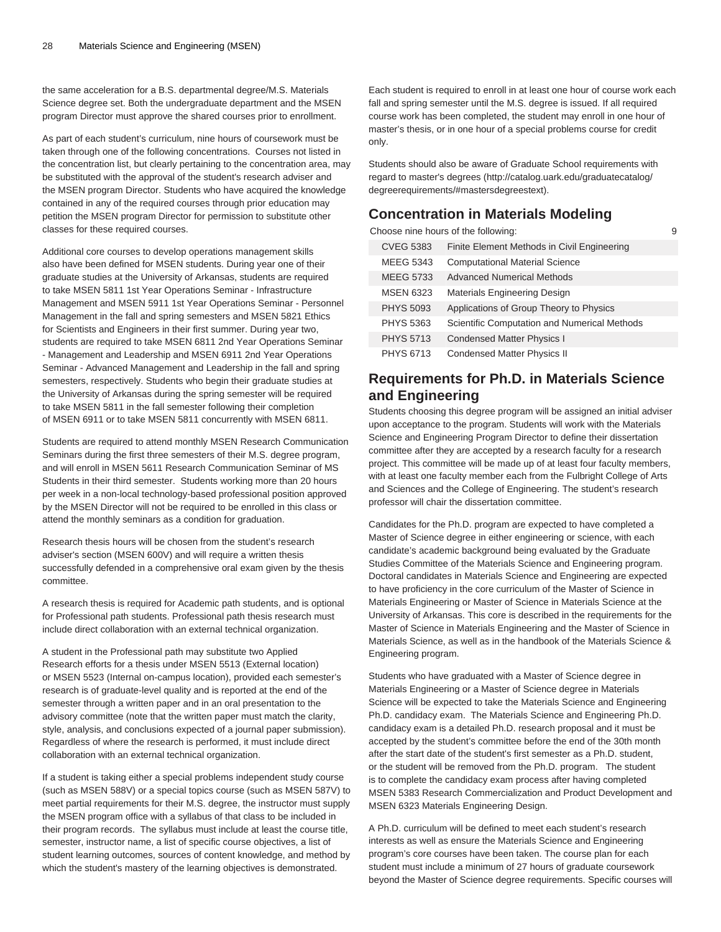the same acceleration for a B.S. departmental degree/M.S. Materials Science degree set. Both the undergraduate department and the MSEN program Director must approve the shared courses prior to enrollment.

As part of each student's curriculum, nine hours of coursework must be taken through one of the following concentrations. Courses not listed in the concentration list, but clearly pertaining to the concentration area, may be substituted with the approval of the student's research adviser and the MSEN program Director. Students who have acquired the knowledge contained in any of the required courses through prior education may petition the MSEN program Director for permission to substitute other classes for these required courses.

Additional core courses to develop operations management skills also have been defined for MSEN students. During year one of their graduate studies at the University of Arkansas, students are required to take MSEN 5811 1st Year Operations Seminar - Infrastructure Management and MSEN 5911 1st Year Operations Seminar - Personnel Management in the fall and spring semesters and MSEN 5821 Ethics for Scientists and Engineers in their first summer. During year two, students are required to take MSEN 6811 2nd Year Operations Seminar - Management and Leadership and MSEN 6911 2nd Year Operations Seminar - Advanced Management and Leadership in the fall and spring semesters, respectively. Students who begin their graduate studies at the University of Arkansas during the spring semester will be required to take MSEN 5811 in the fall semester following their completion of MSEN 6911 or to take MSEN 5811 concurrently with MSEN 6811.

Students are required to attend monthly MSEN Research Communication Seminars during the first three semesters of their M.S. degree program, and will enroll in MSEN 5611 Research Communication Seminar of MS Students in their third semester. Students working more than 20 hours per week in a non-local technology-based professional position approved by the MSEN Director will not be required to be enrolled in this class or attend the monthly seminars as a condition for graduation.

Research thesis hours will be chosen from the student's research adviser's section (MSEN 600V) and will require a written thesis successfully defended in a comprehensive oral exam given by the thesis committee.

A research thesis is required for Academic path students, and is optional for Professional path students. Professional path thesis research must include direct collaboration with an external technical organization.

A student in the Professional path may substitute two Applied Research efforts for a thesis under MSEN 5513 (External location) or MSEN 5523 (Internal on-campus location), provided each semester's research is of graduate-level quality and is reported at the end of the semester through a written paper and in an oral presentation to the advisory committee (note that the written paper must match the clarity, style, analysis, and conclusions expected of a journal paper submission). Regardless of where the research is performed, it must include direct collaboration with an external technical organization.

If a student is taking either a special problems independent study course (such as MSEN 588V) or a special topics course (such as MSEN 587V) to meet partial requirements for their M.S. degree, the instructor must supply the MSEN program office with a syllabus of that class to be included in their program records. The syllabus must include at least the course title, semester, instructor name, a list of specific course objectives, a list of student learning outcomes, sources of content knowledge, and method by which the student's mastery of the learning objectives is demonstrated.

Each student is required to enroll in at least one hour of course work each fall and spring semester until the M.S. degree is issued. If all required course work has been completed, the student may enroll in one hour of master's thesis, or in one hour of a special problems course for credit only.

Students should also be aware of Graduate School requirements with regard to [master's degrees \(http://catalog.uark.edu/graduatecatalog/](http://catalog.uark.edu/graduatecatalog/degreerequirements/#mastersdegreestext) [degreerequirements/#mastersdegreestext\)](http://catalog.uark.edu/graduatecatalog/degreerequirements/#mastersdegreestext).

### **Concentration in Materials Modeling**

Choose nine hours of the following: 9 CVEG 5383 Finite Element Methods in Civil Engineering MEEG 5343 Computational Material Science MEEG 5733 Advanced Numerical Methods MSEN 6323 Materials Engineering Design PHYS 5093 Applications of Group Theory to Physics PHYS 5363 Scientific Computation and Numerical Methods PHYS 5713 Condensed Matter Physics I PHYS 6713 Condensed Matter Physics II

### **Requirements for Ph.D. in Materials Science and Engineering**

Students choosing this degree program will be assigned an initial adviser upon acceptance to the program. Students will work with the Materials Science and Engineering Program Director to define their dissertation committee after they are accepted by a research faculty for a research project. This committee will be made up of at least four faculty members, with at least one faculty member each from the Fulbright College of Arts and Sciences and the College of Engineering. The student's research professor will chair the dissertation committee.

Candidates for the Ph.D. program are expected to have completed a Master of Science degree in either engineering or science, with each candidate's academic background being evaluated by the Graduate Studies Committee of the Materials Science and Engineering program. Doctoral candidates in Materials Science and Engineering are expected to have proficiency in the core curriculum of the Master of Science in Materials Engineering or Master of Science in Materials Science at the University of Arkansas. This core is described in the requirements for the Master of Science in Materials Engineering and the Master of Science in Materials Science, as well as in the handbook of the Materials Science & Engineering program.

Students who have graduated with a Master of Science degree in Materials Engineering or a Master of Science degree in Materials Science will be expected to take the Materials Science and Engineering Ph.D. candidacy exam. The Materials Science and Engineering Ph.D. candidacy exam is a detailed Ph.D. research proposal and it must be accepted by the student's committee before the end of the 30th month after the start date of the student's first semester as a Ph.D. student, or the student will be removed from the Ph.D. program. The student is to complete the candidacy exam process after having completed MSEN 5383 Research Commercialization and Product Development and MSEN 6323 Materials Engineering Design.

A Ph.D. curriculum will be defined to meet each student's research interests as well as ensure the Materials Science and Engineering program's core courses have been taken. The course plan for each student must include a minimum of 27 hours of graduate coursework beyond the Master of Science degree requirements. Specific courses will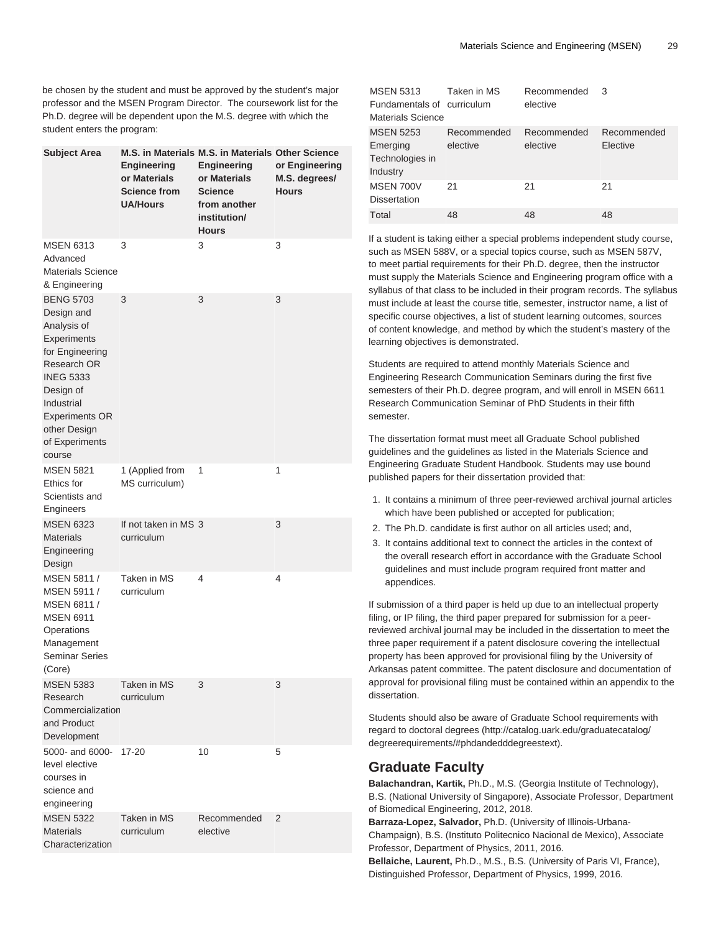be chosen by the student and must be approved by the student's major professor and the MSEN Program Director. The coursework list for the Ph.D. degree will be dependent upon the M.S. degree with which the student enters the program:

| <b>Subject Area</b>                                                                                                                                                                                                | Engineering<br>or Materials<br><b>Science from</b><br><b>UA/Hours</b> | M.S. in Materials M.S. in Materials Other Science<br><b>Engineering</b><br>or Materials<br><b>Science</b><br>from another<br>institution/<br><b>Hours</b> | or Engineering<br>M.S. degrees/<br><b>Hours</b> |
|--------------------------------------------------------------------------------------------------------------------------------------------------------------------------------------------------------------------|-----------------------------------------------------------------------|-----------------------------------------------------------------------------------------------------------------------------------------------------------|-------------------------------------------------|
| <b>MSEN 6313</b><br>Advanced<br><b>Materials Science</b><br>& Engineering                                                                                                                                          | 3                                                                     | 3                                                                                                                                                         | 3                                               |
| <b>BENG 5703</b><br>Design and<br>Analysis of<br>Experiments<br>for Engineering<br>Research OR<br><b>INEG 5333</b><br>Design of<br>Industrial<br><b>Experiments OR</b><br>other Design<br>of Experiments<br>course | 3                                                                     | 3                                                                                                                                                         | 3                                               |
| <b>MSEN 5821</b><br>Ethics for<br>Scientists and<br>Engineers                                                                                                                                                      | 1 (Applied from<br>MS curriculum)                                     | 1                                                                                                                                                         | 1                                               |
| <b>MSEN 6323</b><br><b>Materials</b><br>Engineering<br>Design                                                                                                                                                      | If not taken in MS 3<br>curriculum                                    |                                                                                                                                                           | 3                                               |
| MSEN 5811 /<br>MSEN 5911 /<br>MSEN 6811 /<br><b>MSEN 6911</b><br>Operations<br>Management<br><b>Seminar Series</b><br>(Core)                                                                                       | Taken in MS<br>curriculum                                             | 4                                                                                                                                                         | 4                                               |
| <b>MSEN 5383</b><br>Research<br>Commercialization<br>and Product<br>Development                                                                                                                                    | Taken in MS<br>curriculum                                             | 3                                                                                                                                                         | 3                                               |
| 5000- and 6000-<br>level elective<br>courses in<br>science and<br>engineering                                                                                                                                      | 17-20                                                                 | 10                                                                                                                                                        | 5                                               |
| <b>MSEN 5322</b><br><b>Materials</b><br>Characterization                                                                                                                                                           | Taken in MS<br>curriculum                                             | Recommended<br>elective                                                                                                                                   | 2                                               |

| <b>MSEN 5313</b><br>Fundamentals of curriculum<br>Materials Science | Taken in MS             | Recommended<br>elective | 3                       |
|---------------------------------------------------------------------|-------------------------|-------------------------|-------------------------|
| <b>MSEN 5253</b><br>Emerging<br>Technologies in<br>Industry         | Recommended<br>elective | Recommended<br>elective | Recommended<br>Elective |
| MSEN 700V<br><b>Dissertation</b>                                    | 21                      | 21                      | 21                      |
| Total                                                               | 48                      | 48                      | 48                      |

If a student is taking either a special problems independent study course, such as MSEN 588V, or a special topics course, such as MSEN 587V, to meet partial requirements for their Ph.D. degree, then the instructor must supply the Materials Science and Engineering program office with a syllabus of that class to be included in their program records. The syllabus must include at least the course title, semester, instructor name, a list of specific course objectives, a list of student learning outcomes, sources of content knowledge, and method by which the student's mastery of the learning objectives is demonstrated.

Students are required to attend monthly Materials Science and Engineering Research Communication Seminars during the first five semesters of their Ph.D. degree program, and will enroll in MSEN 6611 Research Communication Seminar of PhD Students in their fifth semester.

The dissertation format must meet all Graduate School published guidelines and the guidelines as listed in the Materials Science and Engineering Graduate Student Handbook. Students may use bound published papers for their dissertation provided that:

- 1. It contains a minimum of three peer-reviewed archival journal articles which have been published or accepted for publication;
- 2. The Ph.D. candidate is first author on all articles used; and,
- 3. It contains additional text to connect the articles in the context of the overall research effort in accordance with the Graduate School guidelines and must include program required front matter and appendices.

If submission of a third paper is held up due to an intellectual property filing, or IP filing, the third paper prepared for submission for a peerreviewed archival journal may be included in the dissertation to meet the three paper requirement if a patent disclosure covering the intellectual property has been approved for provisional filing by the University of Arkansas patent committee. The patent disclosure and documentation of approval for provisional filing must be contained within an appendix to the dissertation.

Students should also be aware of Graduate School requirements with regard to [doctoral degrees](http://catalog.uark.edu/graduatecatalog/degreerequirements/#phdandedddegreestext) ([http://catalog.uark.edu/graduatecatalog/](http://catalog.uark.edu/graduatecatalog/degreerequirements/#phdandedddegreestext) [degreerequirements/#phdandedddegreestext](http://catalog.uark.edu/graduatecatalog/degreerequirements/#phdandedddegreestext)).

### **Graduate Faculty**

**Balachandran, Kartik,** Ph.D., M.S. (Georgia Institute of Technology), B.S. (National University of Singapore), Associate Professor, Department of Biomedical Engineering, 2012, 2018.

**Barraza-Lopez, Salvador,** Ph.D. (University of Illinois-Urbana-Champaign), B.S. (Instituto Politecnico Nacional de Mexico), Associate Professor, Department of Physics, 2011, 2016.

**Bellaiche, Laurent,** Ph.D., M.S., B.S. (University of Paris VI, France), Distinguished Professor, Department of Physics, 1999, 2016.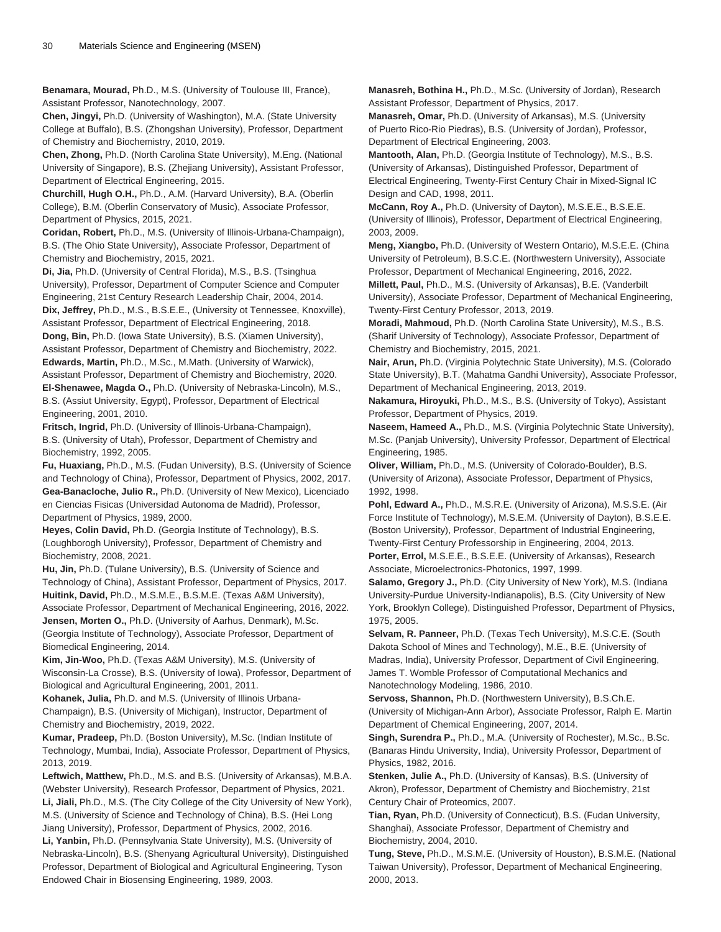**Benamara, Mourad,** Ph.D., M.S. (University of Toulouse III, France), Assistant Professor, Nanotechnology, 2007.

**Chen, Jingyi,** Ph.D. (University of Washington), M.A. (State University College at Buffalo), B.S. (Zhongshan University), Professor, Department of Chemistry and Biochemistry, 2010, 2019.

**Chen, Zhong,** Ph.D. (North Carolina State University), M.Eng. (National University of Singapore), B.S. (Zhejiang University), Assistant Professor, Department of Electrical Engineering, 2015.

**Churchill, Hugh O.H.,** Ph.D., A.M. (Harvard University), B.A. (Oberlin College), B.M. (Oberlin Conservatory of Music), Associate Professor, Department of Physics, 2015, 2021.

**Coridan, Robert,** Ph.D., M.S. (University of Illinois-Urbana-Champaign), B.S. (The Ohio State University), Associate Professor, Department of Chemistry and Biochemistry, 2015, 2021.

**Di, Jia,** Ph.D. (University of Central Florida), M.S., B.S. (Tsinghua University), Professor, Department of Computer Science and Computer Engineering, 21st Century Research Leadership Chair, 2004, 2014. **Dix, Jeffrey,** Ph.D., M.S., B.S.E.E., (University ot Tennessee, Knoxville),

Assistant Professor, Department of Electrical Engineering, 2018. **Dong, Bin,** Ph.D. (Iowa State University), B.S. (Xiamen University), Assistant Professor, Department of Chemistry and Biochemistry, 2022. **Edwards, Martin,** Ph.D., M.Sc., M.Math. (University of Warwick),

Assistant Professor, Department of Chemistry and Biochemistry, 2020. **El-Shenawee, Magda O.,** Ph.D. (University of Nebraska-Lincoln), M.S., B.S. (Assiut University, Egypt), Professor, Department of Electrical Engineering, 2001, 2010.

**Fritsch, Ingrid,** Ph.D. (University of Illinois-Urbana-Champaign), B.S. (University of Utah), Professor, Department of Chemistry and Biochemistry, 1992, 2005.

**Fu, Huaxiang,** Ph.D., M.S. (Fudan University), B.S. (University of Science and Technology of China), Professor, Department of Physics, 2002, 2017. **Gea-Banacloche, Julio R.,** Ph.D. (University of New Mexico), Licenciado en Ciencias Fisicas (Universidad Autonoma de Madrid), Professor, Department of Physics, 1989, 2000.

**Heyes, Colin David,** Ph.D. (Georgia Institute of Technology), B.S. (Loughborogh University), Professor, Department of Chemistry and Biochemistry, 2008, 2021.

**Hu, Jin,** Ph.D. (Tulane University), B.S. (University of Science and Technology of China), Assistant Professor, Department of Physics, 2017. **Huitink, David,** Ph.D., M.S.M.E., B.S.M.E. (Texas A&M University), Associate Professor, Department of Mechanical Engineering, 2016, 2022. **Jensen, Morten O.,** Ph.D. (University of Aarhus, Denmark), M.Sc.

(Georgia Institute of Technology), Associate Professor, Department of Biomedical Engineering, 2014.

**Kim, Jin-Woo,** Ph.D. (Texas A&M University), M.S. (University of Wisconsin-La Crosse), B.S. (University of Iowa), Professor, Department of Biological and Agricultural Engineering, 2001, 2011.

**Kohanek, Julia,** Ph.D. and M.S. (University of Illinois Urbana-

Champaign), B.S. (University of Michigan), Instructor, Department of Chemistry and Biochemistry, 2019, 2022.

**Kumar, Pradeep,** Ph.D. (Boston University), M.Sc. (Indian Institute of Technology, Mumbai, India), Associate Professor, Department of Physics, 2013, 2019.

**Leftwich, Matthew,** Ph.D., M.S. and B.S. (University of Arkansas), M.B.A. (Webster University), Research Professor, Department of Physics, 2021. **Li, Jiali,** Ph.D., M.S. (The City College of the City University of New York), M.S. (University of Science and Technology of China), B.S. (Hei Long Jiang University), Professor, Department of Physics, 2002, 2016. **Li, Yanbin,** Ph.D. (Pennsylvania State University), M.S. (University of Nebraska-Lincoln), B.S. (Shenyang Agricultural University), Distinguished Professor, Department of Biological and Agricultural Engineering, Tyson Endowed Chair in Biosensing Engineering, 1989, 2003.

**Manasreh, Bothina H.,** Ph.D., M.Sc. (University of Jordan), Research Assistant Professor, Department of Physics, 2017.

**Manasreh, Omar,** Ph.D. (University of Arkansas), M.S. (University of Puerto Rico-Rio Piedras), B.S. (University of Jordan), Professor, Department of Electrical Engineering, 2003.

**Mantooth, Alan,** Ph.D. (Georgia Institute of Technology), M.S., B.S. (University of Arkansas), Distinguished Professor, Department of Electrical Engineering, Twenty-First Century Chair in Mixed-Signal IC Design and CAD, 1998, 2011.

**McCann, Roy A.,** Ph.D. (University of Dayton), M.S.E.E., B.S.E.E. (University of Illinois), Professor, Department of Electrical Engineering, 2003, 2009.

**Meng, Xiangbo,** Ph.D. (University of Western Ontario), M.S.E.E. (China University of Petroleum), B.S.C.E. (Northwestern University), Associate Professor, Department of Mechanical Engineering, 2016, 2022.

**Millett, Paul,** Ph.D., M.S. (University of Arkansas), B.E. (Vanderbilt University), Associate Professor, Department of Mechanical Engineering, Twenty-First Century Professor, 2013, 2019.

**Moradi, Mahmoud,** Ph.D. (North Carolina State University), M.S., B.S. (Sharif University of Technology), Associate Professor, Department of Chemistry and Biochemistry, 2015, 2021.

**Nair, Arun,** Ph.D. (Virginia Polytechnic State University), M.S. (Colorado State University), B.T. (Mahatma Gandhi University), Associate Professor, Department of Mechanical Engineering, 2013, 2019.

**Nakamura, Hiroyuki,** Ph.D., M.S., B.S. (University of Tokyo), Assistant Professor, Department of Physics, 2019.

**Naseem, Hameed A.,** Ph.D., M.S. (Virginia Polytechnic State University), M.Sc. (Panjab University), University Professor, Department of Electrical Engineering, 1985.

**Oliver, William,** Ph.D., M.S. (University of Colorado-Boulder), B.S. (University of Arizona), Associate Professor, Department of Physics, 1992, 1998.

**Pohl, Edward A.,** Ph.D., M.S.R.E. (University of Arizona), M.S.S.E. (Air Force Institute of Technology), M.S.E.M. (University of Dayton), B.S.E.E. (Boston University), Professor, Department of Industrial Engineering, Twenty-First Century Professorship in Engineering, 2004, 2013.

**Porter, Errol,** M.S.E.E., B.S.E.E. (University of Arkansas), Research Associate, Microelectronics-Photonics, 1997, 1999.

**Salamo, Gregory J.,** Ph.D. (City University of New York), M.S. (Indiana University-Purdue University-Indianapolis), B.S. (City University of New York, Brooklyn College), Distinguished Professor, Department of Physics, 1975, 2005.

**Selvam, R. Panneer,** Ph.D. (Texas Tech University), M.S.C.E. (South Dakota School of Mines and Technology), M.E., B.E. (University of Madras, India), University Professor, Department of Civil Engineering, James T. Womble Professor of Computational Mechanics and Nanotechnology Modeling, 1986, 2010.

**Servoss, Shannon,** Ph.D. (Northwestern University), B.S.Ch.E. (University of Michigan-Ann Arbor), Associate Professor, Ralph E. Martin Department of Chemical Engineering, 2007, 2014.

**Singh, Surendra P.,** Ph.D., M.A. (University of Rochester), M.Sc., B.Sc. (Banaras Hindu University, India), University Professor, Department of Physics, 1982, 2016.

**Stenken, Julie A.,** Ph.D. (University of Kansas), B.S. (University of Akron), Professor, Department of Chemistry and Biochemistry, 21st Century Chair of Proteomics, 2007.

**Tian, Ryan,** Ph.D. (University of Connecticut), B.S. (Fudan University, Shanghai), Associate Professor, Department of Chemistry and Biochemistry, 2004, 2010.

**Tung, Steve,** Ph.D., M.S.M.E. (University of Houston), B.S.M.E. (National Taiwan University), Professor, Department of Mechanical Engineering, 2000, 2013.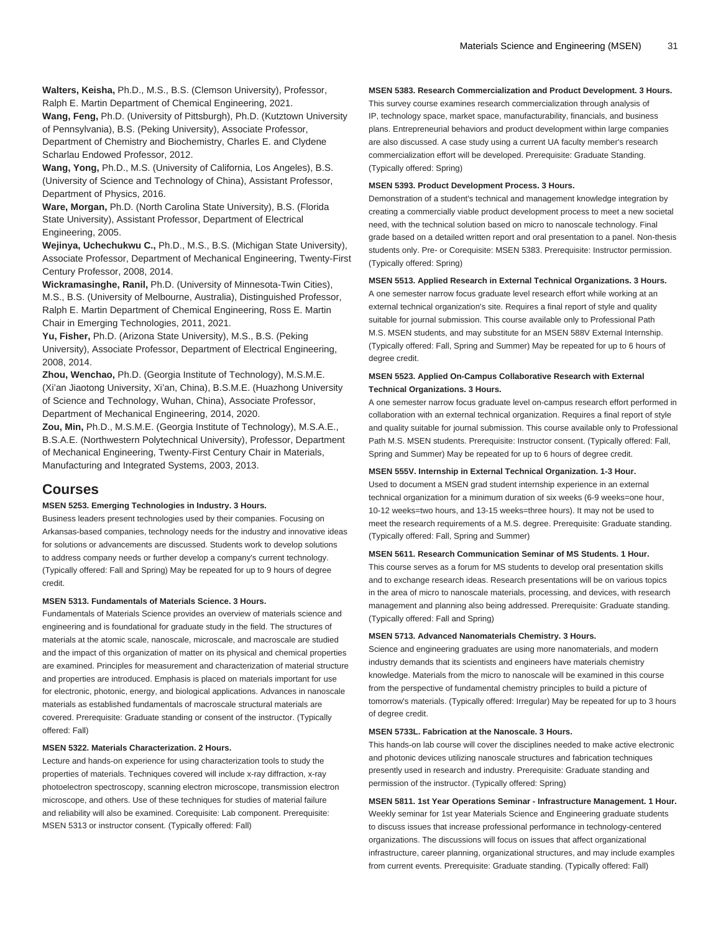**Walters, Keisha,** Ph.D., M.S., B.S. (Clemson University), Professor, Ralph E. Martin Department of Chemical Engineering, 2021.

**Wang, Feng,** Ph.D. (University of Pittsburgh), Ph.D. (Kutztown University of Pennsylvania), B.S. (Peking University), Associate Professor,

Department of Chemistry and Biochemistry, Charles E. and Clydene Scharlau Endowed Professor, 2012.

**Wang, Yong,** Ph.D., M.S. (University of California, Los Angeles), B.S. (University of Science and Technology of China), Assistant Professor, Department of Physics, 2016.

**Ware, Morgan,** Ph.D. (North Carolina State University), B.S. (Florida State University), Assistant Professor, Department of Electrical Engineering, 2005.

**Wejinya, Uchechukwu C.,** Ph.D., M.S., B.S. (Michigan State University), Associate Professor, Department of Mechanical Engineering, Twenty-First Century Professor, 2008, 2014.

**Wickramasinghe, Ranil,** Ph.D. (University of Minnesota-Twin Cities), M.S., B.S. (University of Melbourne, Australia), Distinguished Professor, Ralph E. Martin Department of Chemical Engineering, Ross E. Martin Chair in Emerging Technologies, 2011, 2021.

**Yu, Fisher,** Ph.D. (Arizona State University), M.S., B.S. (Peking University), Associate Professor, Department of Electrical Engineering, 2008, 2014.

**Zhou, Wenchao,** Ph.D. (Georgia Institute of Technology), M.S.M.E. (Xi'an Jiaotong University, Xi'an, China), B.S.M.E. (Huazhong University of Science and Technology, Wuhan, China), Associate Professor, Department of Mechanical Engineering, 2014, 2020.

**Zou, Min,** Ph.D., M.S.M.E. (Georgia Institute of Technology), M.S.A.E., B.S.A.E. (Northwestern Polytechnical University), Professor, Department of Mechanical Engineering, Twenty-First Century Chair in Materials, Manufacturing and Integrated Systems, 2003, 2013.

### **Courses**

#### **MSEN 5253. Emerging Technologies in Industry. 3 Hours.**

Business leaders present technologies used by their companies. Focusing on Arkansas-based companies, technology needs for the industry and innovative ideas for solutions or advancements are discussed. Students work to develop solutions to address company needs or further develop a company's current technology. (Typically offered: Fall and Spring) May be repeated for up to 9 hours of degree credit.

#### **MSEN 5313. Fundamentals of Materials Science. 3 Hours.**

Fundamentals of Materials Science provides an overview of materials science and engineering and is foundational for graduate study in the field. The structures of materials at the atomic scale, nanoscale, microscale, and macroscale are studied and the impact of this organization of matter on its physical and chemical properties are examined. Principles for measurement and characterization of material structure and properties are introduced. Emphasis is placed on materials important for use for electronic, photonic, energy, and biological applications. Advances in nanoscale materials as established fundamentals of macroscale structural materials are covered. Prerequisite: Graduate standing or consent of the instructor. (Typically offered: Fall)

#### **MSEN 5322. Materials Characterization. 2 Hours.**

Lecture and hands-on experience for using characterization tools to study the properties of materials. Techniques covered will include x-ray diffraction, x-ray photoelectron spectroscopy, scanning electron microscope, transmission electron microscope, and others. Use of these techniques for studies of material failure and reliability will also be examined. Corequisite: Lab component. Prerequisite: [MSEN 5313](/search/?P=MSEN%205313) or instructor consent. (Typically offered: Fall)

#### **MSEN 5383. Research Commercialization and Product Development. 3 Hours.**

This survey course examines research commercialization through analysis of IP, technology space, market space, manufacturability, financials, and business plans. Entrepreneurial behaviors and product development within large companies are also discussed. A case study using a current UA faculty member's research commercialization effort will be developed. Prerequisite: Graduate Standing. (Typically offered: Spring)

#### **MSEN 5393. Product Development Process. 3 Hours.**

Demonstration of a student's technical and management knowledge integration by creating a commercially viable product development process to meet a new societal need, with the technical solution based on micro to nanoscale technology. Final grade based on a detailed written report and oral presentation to a panel. Non-thesis students only. Pre- or Corequisite: [MSEN 5383.](/search/?P=MSEN%205383) Prerequisite: Instructor permission. (Typically offered: Spring)

#### **MSEN 5513. Applied Research in External Technical Organizations. 3 Hours.**

A one semester narrow focus graduate level research effort while working at an external technical organization's site. Requires a final report of style and quality suitable for journal submission. This course available only to Professional Path M.S. MSEN students, and may substitute for an [MSEN 588V](/search/?P=MSEN%20588V) External Internship. (Typically offered: Fall, Spring and Summer) May be repeated for up to 6 hours of degree credit.

#### **MSEN 5523. Applied On-Campus Collaborative Research with External Technical Organizations. 3 Hours.**

A one semester narrow focus graduate level on-campus research effort performed in collaboration with an external technical organization. Requires a final report of style and quality suitable for journal submission. This course available only to Professional Path M.S. MSEN students. Prerequisite: Instructor consent. (Typically offered: Fall, Spring and Summer) May be repeated for up to 6 hours of degree credit.

#### **MSEN 555V. Internship in External Technical Organization. 1-3 Hour.**

Used to document a MSEN grad student internship experience in an external technical organization for a minimum duration of six weeks (6-9 weeks=one hour, 10-12 weeks=two hours, and 13-15 weeks=three hours). It may not be used to meet the research requirements of a M.S. degree. Prerequisite: Graduate standing. (Typically offered: Fall, Spring and Summer)

#### **MSEN 5611. Research Communication Seminar of MS Students. 1 Hour.**

This course serves as a forum for MS students to develop oral presentation skills and to exchange research ideas. Research presentations will be on various topics in the area of micro to nanoscale materials, processing, and devices, with research management and planning also being addressed. Prerequisite: Graduate standing. (Typically offered: Fall and Spring)

#### **MSEN 5713. Advanced Nanomaterials Chemistry. 3 Hours.**

Science and engineering graduates are using more nanomaterials, and modern industry demands that its scientists and engineers have materials chemistry knowledge. Materials from the micro to nanoscale will be examined in this course from the perspective of fundamental chemistry principles to build a picture of tomorrow's materials. (Typically offered: Irregular) May be repeated for up to 3 hours of degree credit.

#### **MSEN 5733L. Fabrication at the Nanoscale. 3 Hours.**

This hands-on lab course will cover the disciplines needed to make active electronic and photonic devices utilizing nanoscale structures and fabrication techniques presently used in research and industry. Prerequisite: Graduate standing and permission of the instructor. (Typically offered: Spring)

**MSEN 5811. 1st Year Operations Seminar - Infrastructure Management. 1 Hour.** Weekly seminar for 1st year Materials Science and Engineering graduate students to discuss issues that increase professional performance in technology-centered organizations. The discussions will focus on issues that affect organizational infrastructure, career planning, organizational structures, and may include examples from current events. Prerequisite: Graduate standing. (Typically offered: Fall)